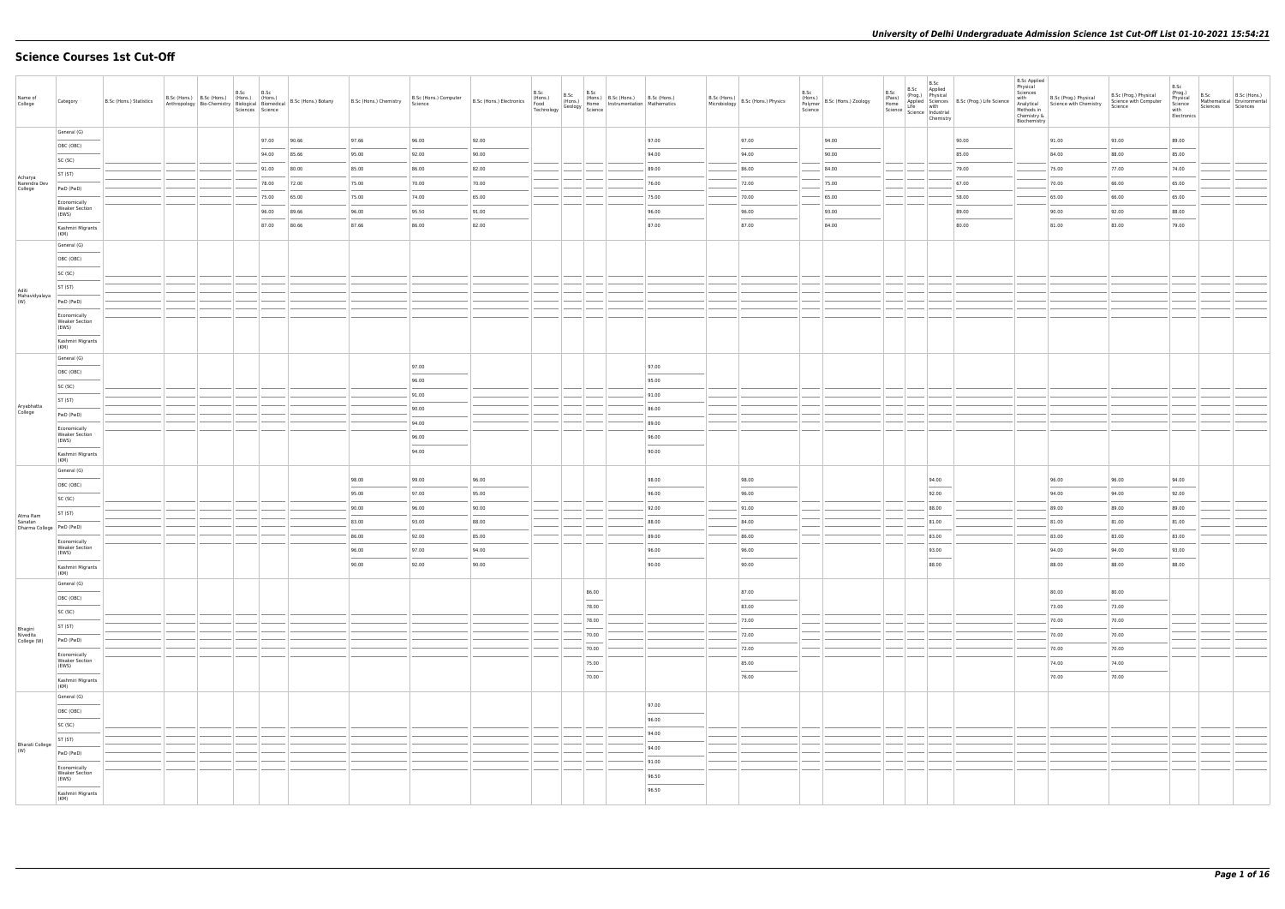# **Science Courses 1st Cut-Off**

| Name of<br>College                  | Category                                       | B.Sc (Hons.) Statistics |  | B.Sc | B.Sc        |       | B.Sc (Hons.) B.Sc (Hons.) (Hons.) (Hons.)<br>Anthropology Bio-Chemistry Biological B.Sc (Hons.) Botany B.Sc (Hons.) Chemistry<br>Sciences Science Biological B.Sc (Hons.) Chemistry | Science        | B.Sc (Hons.) Computer   B.Sc (Hons.) Electronics | B.Sc<br>(Hons.)<br>Food<br>Technology |                                                                                                                                                                                                                                                                                                                                                                                                                                                                                     | $\begin{array}{c c c} & \text{B.Sc} & \text{B.Sc (Hons.)} \\ \text{(Hons.)} & \text{(Hons.)} & \text{B.Sc (Hons.)} & \text{B.Sc (Hous.,} \\ \text{(Hons.)} & \text{Some} & \text{Instrumentation} & \text{Mathematics} \\ \hline \text{Seology} & \text{Science} & & \text{Mathematics} \\ \end{array}$ | Microbiology | $B.Sc$ (Hons.) $B.Sc$ (Hons.) Physics | B.Sc<br>Polymer<br>Science | (Hons.)<br>B.Sc (Hons.) Zoology |                | $\begin{tabular}{c c c} .sc & B.Sc & B.Sc \\ .sc & P(Prog) & Applied \\ (Prog) & Physical \\ Home & Line & with \\ Some & Line & with the image \\ Science & Science & Industrial \\ (Chemistry) & & \end{tabular}$ | <b>B.Sc Applied</b><br>Physical<br>Sciences<br>with<br>Chemistry &<br>Biochemistry | B.Sc (Prog.) Physical<br>Analytical Science with Chemistry<br>Methods in | B.Sc (Prog.) Physical<br>Science with Computer<br>Science | B.Sc<br>(Prog.)<br>Physical<br>Science<br>with<br>Electronics | B.Sc<br>Sciences | B.Sc (Hons.)<br>Mathematical Environmental<br>Sciences |
|-------------------------------------|------------------------------------------------|-------------------------|--|------|-------------|-------|-------------------------------------------------------------------------------------------------------------------------------------------------------------------------------------|----------------|--------------------------------------------------|---------------------------------------|-------------------------------------------------------------------------------------------------------------------------------------------------------------------------------------------------------------------------------------------------------------------------------------------------------------------------------------------------------------------------------------------------------------------------------------------------------------------------------------|---------------------------------------------------------------------------------------------------------------------------------------------------------------------------------------------------------------------------------------------------------------------------------------------------------|--------------|---------------------------------------|----------------------------|---------------------------------|----------------|---------------------------------------------------------------------------------------------------------------------------------------------------------------------------------------------------------------------|------------------------------------------------------------------------------------|--------------------------------------------------------------------------|-----------------------------------------------------------|---------------------------------------------------------------|------------------|--------------------------------------------------------|
|                                     | General (G)                                    |                         |  |      | 97.00 90.66 |       | 97.66                                                                                                                                                                               | 96.00          | 92.00                                            |                                       |                                                                                                                                                                                                                                                                                                                                                                                                                                                                                     | 97.00                                                                                                                                                                                                                                                                                                   |              | 97.00                                 |                            | 94.00                           |                | 90.00                                                                                                                                                                                                               |                                                                                    | 91.00                                                                    | 93.00                                                     | 89.00                                                         |                  |                                                        |
|                                     | OBC (OBC)                                      |                         |  |      | 94.00 85.66 |       | 95.00                                                                                                                                                                               | 92.00          | 90.00                                            |                                       |                                                                                                                                                                                                                                                                                                                                                                                                                                                                                     | 94.00                                                                                                                                                                                                                                                                                                   |              | 94.00                                 |                            | 90.00                           |                | 85.00                                                                                                                                                                                                               |                                                                                    | 84.00                                                                    | 88.00                                                     | 85.00                                                         |                  |                                                        |
|                                     | SC (SC)                                        |                         |  |      | 91.00 80.00 |       | 85.00                                                                                                                                                                               | 86.00          | 82.00                                            |                                       |                                                                                                                                                                                                                                                                                                                                                                                                                                                                                     | 89.00                                                                                                                                                                                                                                                                                                   |              | 86.00                                 |                            | 84.00                           |                | 79.00                                                                                                                                                                                                               |                                                                                    | 75.00                                                                    | 77.00                                                     | 74.00                                                         |                  |                                                        |
| Acharya<br>Narendra Dev             | ST (ST)                                        |                         |  |      | 78.00 72.00 |       | 75.00                                                                                                                                                                               | 70.00          | 70.00                                            |                                       |                                                                                                                                                                                                                                                                                                                                                                                                                                                                                     | 76.00                                                                                                                                                                                                                                                                                                   |              | 72.00                                 |                            | 75.00                           |                | 67.00                                                                                                                                                                                                               |                                                                                    | 70.00                                                                    | 66.00                                                     | 65.00                                                         |                  |                                                        |
| College                             | PwD (PwD)                                      |                         |  |      | 75.00       | 65.00 | 75.00                                                                                                                                                                               | 74.00          | 65.00                                            |                                       |                                                                                                                                                                                                                                                                                                                                                                                                                                                                                     | 75.00                                                                                                                                                                                                                                                                                                   |              | 70.00                                 |                            | 65.00                           |                | 58.00                                                                                                                                                                                                               |                                                                                    | 65.00                                                                    | 66.00                                                     | 65.00                                                         |                  |                                                        |
|                                     | Economically<br><b>Weaker Section</b><br>(EWS) |                         |  |      | 96.00       | 89.66 | 96.00                                                                                                                                                                               | 95.50          | 91.00                                            |                                       |                                                                                                                                                                                                                                                                                                                                                                                                                                                                                     | 96.00                                                                                                                                                                                                                                                                                                   |              | 96.00                                 |                            | 93.00                           |                | 89.00                                                                                                                                                                                                               |                                                                                    | 90.00                                                                    | 92.00                                                     | 88.00                                                         |                  |                                                        |
|                                     | Kashmiri Migrants                              |                         |  |      | 87.00       | 80.66 | 87.66                                                                                                                                                                               | 86.00          | 82.00                                            |                                       |                                                                                                                                                                                                                                                                                                                                                                                                                                                                                     | 87.00                                                                                                                                                                                                                                                                                                   |              | 87.00                                 |                            | 84.00                           |                | 80.00                                                                                                                                                                                                               |                                                                                    | 81.00                                                                    | 83.00                                                     | 79.00                                                         |                  |                                                        |
|                                     | (KM)<br>General (G)                            |                         |  |      |             |       |                                                                                                                                                                                     |                |                                                  |                                       |                                                                                                                                                                                                                                                                                                                                                                                                                                                                                     |                                                                                                                                                                                                                                                                                                         |              |                                       |                            |                                 |                |                                                                                                                                                                                                                     |                                                                                    |                                                                          |                                                           |                                                               |                  |                                                        |
|                                     | OBC (OBC)                                      |                         |  |      |             |       |                                                                                                                                                                                     |                |                                                  |                                       |                                                                                                                                                                                                                                                                                                                                                                                                                                                                                     |                                                                                                                                                                                                                                                                                                         |              |                                       |                            |                                 |                |                                                                                                                                                                                                                     |                                                                                    |                                                                          |                                                           |                                                               |                  |                                                        |
|                                     | SC (SC)                                        |                         |  |      |             |       |                                                                                                                                                                                     |                |                                                  |                                       |                                                                                                                                                                                                                                                                                                                                                                                                                                                                                     |                                                                                                                                                                                                                                                                                                         |              |                                       |                            |                                 |                |                                                                                                                                                                                                                     |                                                                                    |                                                                          |                                                           |                                                               |                  |                                                        |
|                                     | ST (ST)                                        |                         |  |      |             |       |                                                                                                                                                                                     |                |                                                  |                                       |                                                                                                                                                                                                                                                                                                                                                                                                                                                                                     |                                                                                                                                                                                                                                                                                                         |              |                                       |                            |                                 |                |                                                                                                                                                                                                                     |                                                                                    |                                                                          |                                                           |                                                               |                  |                                                        |
| Aditi<br>Mahavidyalaya<br>(W)       | PwD (PwD)                                      |                         |  |      |             |       |                                                                                                                                                                                     |                |                                                  |                                       |                                                                                                                                                                                                                                                                                                                                                                                                                                                                                     |                                                                                                                                                                                                                                                                                                         |              |                                       |                            |                                 |                |                                                                                                                                                                                                                     |                                                                                    |                                                                          |                                                           |                                                               |                  |                                                        |
|                                     | Economically                                   |                         |  |      |             |       |                                                                                                                                                                                     |                |                                                  |                                       |                                                                                                                                                                                                                                                                                                                                                                                                                                                                                     |                                                                                                                                                                                                                                                                                                         |              |                                       |                            |                                 |                |                                                                                                                                                                                                                     |                                                                                    |                                                                          |                                                           |                                                               |                  |                                                        |
|                                     | <b>Weaker Section</b><br>(EWS)                 |                         |  |      |             |       |                                                                                                                                                                                     |                |                                                  |                                       |                                                                                                                                                                                                                                                                                                                                                                                                                                                                                     |                                                                                                                                                                                                                                                                                                         |              |                                       |                            |                                 |                |                                                                                                                                                                                                                     |                                                                                    |                                                                          |                                                           |                                                               |                  |                                                        |
|                                     | Kashmiri Migrants<br>(KM)                      |                         |  |      |             |       |                                                                                                                                                                                     |                |                                                  |                                       |                                                                                                                                                                                                                                                                                                                                                                                                                                                                                     |                                                                                                                                                                                                                                                                                                         |              |                                       |                            |                                 |                |                                                                                                                                                                                                                     |                                                                                    |                                                                          |                                                           |                                                               |                  |                                                        |
|                                     | General (G)                                    |                         |  |      |             |       |                                                                                                                                                                                     |                |                                                  |                                       |                                                                                                                                                                                                                                                                                                                                                                                                                                                                                     |                                                                                                                                                                                                                                                                                                         |              |                                       |                            |                                 |                |                                                                                                                                                                                                                     |                                                                                    |                                                                          |                                                           |                                                               |                  |                                                        |
|                                     | OBC (OBC)                                      |                         |  |      |             |       |                                                                                                                                                                                     | 97.00          |                                                  |                                       |                                                                                                                                                                                                                                                                                                                                                                                                                                                                                     | 97.00                                                                                                                                                                                                                                                                                                   |              |                                       |                            |                                 |                |                                                                                                                                                                                                                     |                                                                                    |                                                                          |                                                           |                                                               |                  |                                                        |
|                                     | SC (SC)                                        |                         |  |      |             |       |                                                                                                                                                                                     | 96.00          |                                                  |                                       |                                                                                                                                                                                                                                                                                                                                                                                                                                                                                     | 95.00                                                                                                                                                                                                                                                                                                   |              |                                       |                            |                                 |                |                                                                                                                                                                                                                     |                                                                                    |                                                                          |                                                           |                                                               |                  |                                                        |
|                                     | ST (ST)                                        |                         |  |      |             |       |                                                                                                                                                                                     | 91.00          |                                                  |                                       |                                                                                                                                                                                                                                                                                                                                                                                                                                                                                     | 91.00                                                                                                                                                                                                                                                                                                   |              |                                       |                            |                                 |                |                                                                                                                                                                                                                     |                                                                                    |                                                                          |                                                           |                                                               |                  |                                                        |
| Aryabhatta<br>College               | PwD (PwD)                                      |                         |  |      |             |       |                                                                                                                                                                                     | 90.00          |                                                  |                                       |                                                                                                                                                                                                                                                                                                                                                                                                                                                                                     | 86.00                                                                                                                                                                                                                                                                                                   |              |                                       |                            |                                 |                |                                                                                                                                                                                                                     |                                                                                    |                                                                          |                                                           |                                                               |                  |                                                        |
|                                     | Economically                                   |                         |  |      |             |       |                                                                                                                                                                                     | 94.00          |                                                  |                                       |                                                                                                                                                                                                                                                                                                                                                                                                                                                                                     | 89.00                                                                                                                                                                                                                                                                                                   |              |                                       |                            |                                 |                |                                                                                                                                                                                                                     |                                                                                    |                                                                          |                                                           |                                                               |                  |                                                        |
|                                     | <b>Weaker Section</b><br>(EWS)                 |                         |  |      |             |       |                                                                                                                                                                                     | 96.00          |                                                  |                                       |                                                                                                                                                                                                                                                                                                                                                                                                                                                                                     | 96.00                                                                                                                                                                                                                                                                                                   |              |                                       |                            |                                 |                |                                                                                                                                                                                                                     |                                                                                    |                                                                          |                                                           |                                                               |                  |                                                        |
|                                     | Kashmiri Migrants<br>(KM)                      |                         |  |      |             |       |                                                                                                                                                                                     | 94.00          |                                                  |                                       |                                                                                                                                                                                                                                                                                                                                                                                                                                                                                     | 90.00                                                                                                                                                                                                                                                                                                   |              |                                       |                            |                                 |                |                                                                                                                                                                                                                     |                                                                                    |                                                                          |                                                           |                                                               |                  |                                                        |
|                                     | General (G)                                    |                         |  |      |             |       |                                                                                                                                                                                     |                |                                                  |                                       |                                                                                                                                                                                                                                                                                                                                                                                                                                                                                     |                                                                                                                                                                                                                                                                                                         |              |                                       |                            |                                 |                |                                                                                                                                                                                                                     |                                                                                    |                                                                          |                                                           |                                                               |                  |                                                        |
|                                     | OBC (OBC)                                      |                         |  |      |             |       | 98.00                                                                                                                                                                               | 99.00          | 96.00                                            |                                       |                                                                                                                                                                                                                                                                                                                                                                                                                                                                                     | 98.00                                                                                                                                                                                                                                                                                                   |              | 98.00                                 |                            |                                 | 94.00          |                                                                                                                                                                                                                     |                                                                                    | 96.00                                                                    | 96.00                                                     | 94.00                                                         |                  |                                                        |
|                                     | SC (SC)                                        |                         |  |      |             |       | 95.00                                                                                                                                                                               | 97.00          | 95.00                                            |                                       |                                                                                                                                                                                                                                                                                                                                                                                                                                                                                     | 96.00                                                                                                                                                                                                                                                                                                   |              | 96.00                                 |                            |                                 | 92.00          |                                                                                                                                                                                                                     |                                                                                    | 94.00                                                                    | 94.00                                                     | 92.00                                                         |                  |                                                        |
| Atma Ram                            | ST (ST)                                        |                         |  |      |             |       | 90.00                                                                                                                                                                               | 96.00          | 90.00                                            |                                       |                                                                                                                                                                                                                                                                                                                                                                                                                                                                                     | 92.00                                                                                                                                                                                                                                                                                                   |              | 91.00                                 |                            |                                 | 88.00          |                                                                                                                                                                                                                     |                                                                                    | 89.00                                                                    | 89.00                                                     | 89.00                                                         |                  |                                                        |
| Sanatan<br>Dharma College PwD (PwD) |                                                |                         |  |      |             |       | 83.00                                                                                                                                                                               | 93.00          | 88.00                                            |                                       |                                                                                                                                                                                                                                                                                                                                                                                                                                                                                     | 88.00                                                                                                                                                                                                                                                                                                   |              | 84.00                                 |                            |                                 | 81.00          |                                                                                                                                                                                                                     |                                                                                    | 81.00                                                                    | 81.00                                                     | 81.00                                                         |                  |                                                        |
|                                     | Economically<br><b>Weaker Section</b>          |                         |  |      |             |       | 86.00<br>96.00                                                                                                                                                                      | 92.00<br>97.00 | 85.00<br>94.00                                   |                                       |                                                                                                                                                                                                                                                                                                                                                                                                                                                                                     | 89.00<br>96.00                                                                                                                                                                                                                                                                                          |              | 86.00<br>96.00                        |                            |                                 | 83.00<br>93.00 |                                                                                                                                                                                                                     |                                                                                    | 83.00<br>94.00                                                           | 83.00<br>94.00                                            | 83.00<br>93.00                                                |                  |                                                        |
|                                     | (EWS)                                          |                         |  |      |             |       | 90.00                                                                                                                                                                               | 92.00          | 90.00                                            |                                       |                                                                                                                                                                                                                                                                                                                                                                                                                                                                                     | 90.00                                                                                                                                                                                                                                                                                                   |              | 90.00                                 |                            |                                 | 88.00          |                                                                                                                                                                                                                     |                                                                                    | 88.00                                                                    | 88.00                                                     | 88.00                                                         |                  |                                                        |
|                                     | Kashmiri Migrants<br>(KM)                      |                         |  |      |             |       |                                                                                                                                                                                     |                |                                                  |                                       |                                                                                                                                                                                                                                                                                                                                                                                                                                                                                     |                                                                                                                                                                                                                                                                                                         |              |                                       |                            |                                 |                |                                                                                                                                                                                                                     |                                                                                    |                                                                          |                                                           |                                                               |                  |                                                        |
|                                     | General (G)                                    |                         |  |      |             |       |                                                                                                                                                                                     |                |                                                  |                                       | 86.00                                                                                                                                                                                                                                                                                                                                                                                                                                                                               |                                                                                                                                                                                                                                                                                                         |              | 87.00                                 |                            |                                 |                |                                                                                                                                                                                                                     |                                                                                    | 80.00                                                                    | 80.00                                                     |                                                               |                  |                                                        |
|                                     | OBC (OBC)                                      |                         |  |      |             |       |                                                                                                                                                                                     |                |                                                  |                                       | __<br>78.00                                                                                                                                                                                                                                                                                                                                                                                                                                                                         |                                                                                                                                                                                                                                                                                                         |              | 83.00                                 |                            |                                 |                |                                                                                                                                                                                                                     |                                                                                    | 73.00                                                                    | 73.00                                                     |                                                               |                  |                                                        |
|                                     | SC (SC)                                        |                         |  |      |             |       |                                                                                                                                                                                     |                |                                                  |                                       | 78.00                                                                                                                                                                                                                                                                                                                                                                                                                                                                               |                                                                                                                                                                                                                                                                                                         |              | 73.00                                 |                            |                                 |                |                                                                                                                                                                                                                     |                                                                                    | 70.00                                                                    | 70.00                                                     |                                                               |                  |                                                        |
| Bhagini<br>Nivedita                 | ST (ST)                                        |                         |  |      |             |       |                                                                                                                                                                                     |                |                                                  |                                       | 70.00                                                                                                                                                                                                                                                                                                                                                                                                                                                                               |                                                                                                                                                                                                                                                                                                         |              | 72.00                                 |                            |                                 |                |                                                                                                                                                                                                                     |                                                                                    | 70.00                                                                    | 70.00                                                     |                                                               |                  |                                                        |
| College (W)                         | PwD (PwD)                                      |                         |  |      |             |       |                                                                                                                                                                                     |                |                                                  |                                       | $\frac{1}{2} \left( \frac{1}{2} \right) \left( \frac{1}{2} \right) \left( \frac{1}{2} \right) \left( \frac{1}{2} \right) \left( \frac{1}{2} \right) \left( \frac{1}{2} \right) \left( \frac{1}{2} \right) \left( \frac{1}{2} \right) \left( \frac{1}{2} \right) \left( \frac{1}{2} \right) \left( \frac{1}{2} \right) \left( \frac{1}{2} \right) \left( \frac{1}{2} \right) \left( \frac{1}{2} \right) \left( \frac{1}{2} \right) \left( \frac{1}{2} \right) \left( \frac$<br>70.00 |                                                                                                                                                                                                                                                                                                         |              | 72.00                                 |                            |                                 |                |                                                                                                                                                                                                                     |                                                                                    | 70.00                                                                    | 70.00                                                     |                                                               |                  |                                                        |
|                                     | Economically<br><b>Weaker Section</b><br>(EWS) |                         |  |      |             |       |                                                                                                                                                                                     |                |                                                  |                                       | 75.00                                                                                                                                                                                                                                                                                                                                                                                                                                                                               |                                                                                                                                                                                                                                                                                                         |              | 85.00                                 |                            |                                 |                |                                                                                                                                                                                                                     |                                                                                    | 74.00                                                                    | 74.00                                                     |                                                               |                  |                                                        |
|                                     | Kashmiri Migrants                              |                         |  |      |             |       |                                                                                                                                                                                     |                |                                                  |                                       | $\overline{\phantom{a}}$<br>70.00                                                                                                                                                                                                                                                                                                                                                                                                                                                   |                                                                                                                                                                                                                                                                                                         |              | 76.00                                 |                            |                                 |                |                                                                                                                                                                                                                     |                                                                                    | 70.00                                                                    | 70.00                                                     |                                                               |                  |                                                        |
|                                     | (KM)                                           |                         |  |      |             |       |                                                                                                                                                                                     |                |                                                  |                                       |                                                                                                                                                                                                                                                                                                                                                                                                                                                                                     |                                                                                                                                                                                                                                                                                                         |              |                                       |                            |                                 |                |                                                                                                                                                                                                                     |                                                                                    |                                                                          |                                                           |                                                               |                  |                                                        |
|                                     | General (G)                                    |                         |  |      |             |       |                                                                                                                                                                                     |                |                                                  |                                       |                                                                                                                                                                                                                                                                                                                                                                                                                                                                                     | 97.00                                                                                                                                                                                                                                                                                                   |              |                                       |                            |                                 |                |                                                                                                                                                                                                                     |                                                                                    |                                                                          |                                                           |                                                               |                  |                                                        |
|                                     | OBC (OBC)                                      |                         |  |      |             |       |                                                                                                                                                                                     |                |                                                  |                                       |                                                                                                                                                                                                                                                                                                                                                                                                                                                                                     | 96.00                                                                                                                                                                                                                                                                                                   |              |                                       |                            |                                 |                |                                                                                                                                                                                                                     |                                                                                    |                                                                          |                                                           |                                                               |                  |                                                        |
|                                     | SC (SC)                                        |                         |  |      |             |       |                                                                                                                                                                                     |                |                                                  |                                       |                                                                                                                                                                                                                                                                                                                                                                                                                                                                                     | 94.00                                                                                                                                                                                                                                                                                                   |              |                                       |                            |                                 |                |                                                                                                                                                                                                                     |                                                                                    |                                                                          |                                                           |                                                               |                  |                                                        |
| <b>Bharati College</b><br>(W)       | ST (ST)                                        |                         |  |      |             |       |                                                                                                                                                                                     |                |                                                  |                                       |                                                                                                                                                                                                                                                                                                                                                                                                                                                                                     | 94.00                                                                                                                                                                                                                                                                                                   |              |                                       |                            |                                 |                |                                                                                                                                                                                                                     |                                                                                    |                                                                          |                                                           |                                                               |                  |                                                        |
|                                     | PwD (PwD)                                      |                         |  |      |             |       |                                                                                                                                                                                     |                |                                                  |                                       |                                                                                                                                                                                                                                                                                                                                                                                                                                                                                     | 91.00                                                                                                                                                                                                                                                                                                   |              |                                       |                            |                                 |                |                                                                                                                                                                                                                     |                                                                                    |                                                                          |                                                           |                                                               |                  |                                                        |
|                                     | Economically<br><b>Weaker Section</b><br>(EWS) |                         |  |      |             |       |                                                                                                                                                                                     |                |                                                  |                                       |                                                                                                                                                                                                                                                                                                                                                                                                                                                                                     | 96.50                                                                                                                                                                                                                                                                                                   |              |                                       |                            |                                 |                |                                                                                                                                                                                                                     |                                                                                    |                                                                          |                                                           |                                                               |                  |                                                        |
|                                     | Kashmiri Migrants                              |                         |  |      |             |       |                                                                                                                                                                                     |                |                                                  |                                       |                                                                                                                                                                                                                                                                                                                                                                                                                                                                                     | 96.50                                                                                                                                                                                                                                                                                                   |              |                                       |                            |                                 |                |                                                                                                                                                                                                                     |                                                                                    |                                                                          |                                                           |                                                               |                  |                                                        |
|                                     | (KM)                                           |                         |  |      |             |       |                                                                                                                                                                                     |                |                                                  |                                       |                                                                                                                                                                                                                                                                                                                                                                                                                                                                                     |                                                                                                                                                                                                                                                                                                         |              |                                       |                            |                                 |                |                                                                                                                                                                                                                     |                                                                                    |                                                                          |                                                           |                                                               |                  |                                                        |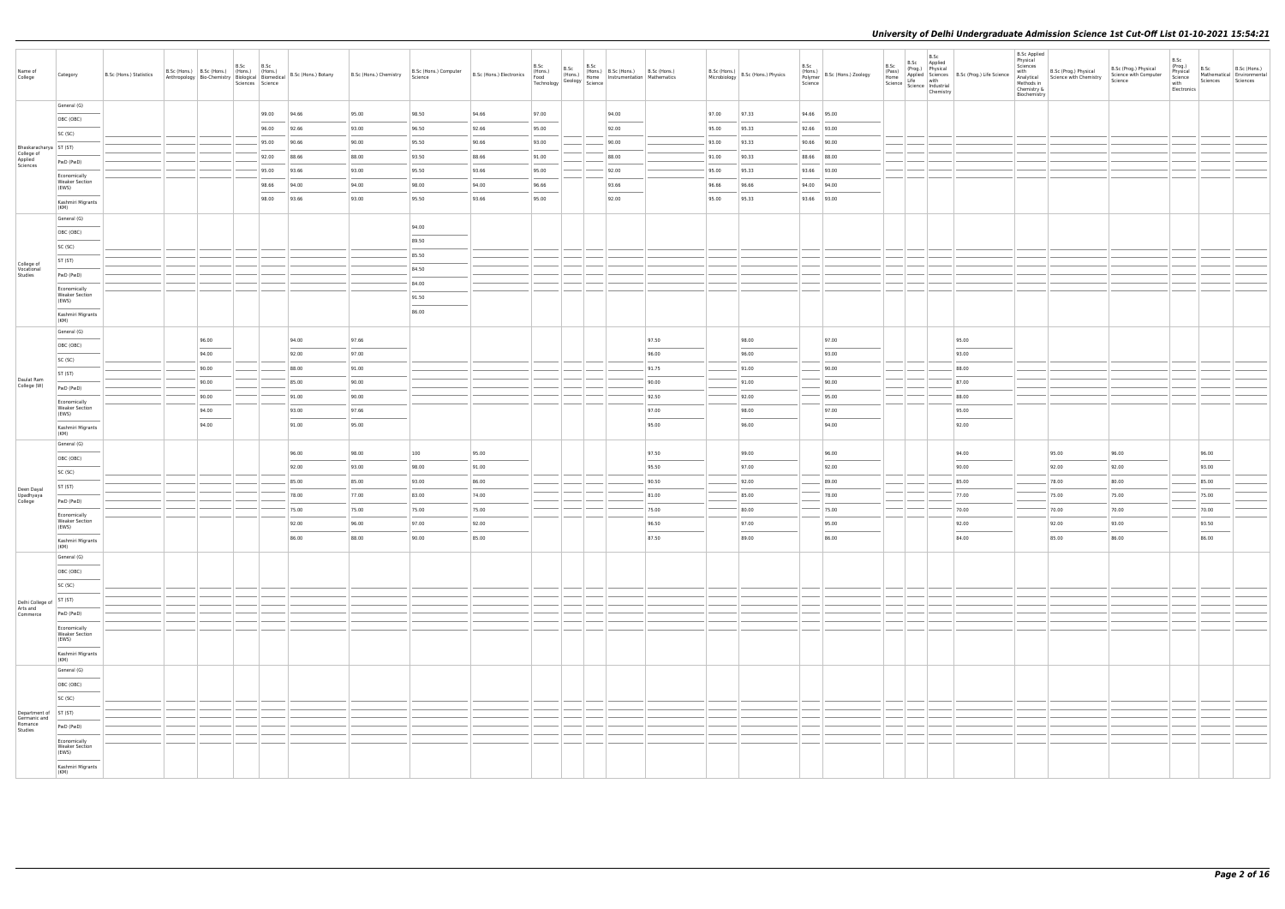| Name of<br>College                     | Category                                       | B.Sc (Hons.) Statistics |       | B.Sc | B.Sc<br>Sciences Science |                | B.Sc (Hons.) B.Sc (Hons.) (Hons.) (Hons.) B.Sc (Hons.) Botany B.Sc (Hons.) Chemistry Anthropology Bio-Chemistry Biological Biomedical B.Sc (Hons.) Botany | B.Sc (Hons.) Computer<br>Science<br>Science<br>Technology |                | B.Sc<br>B.Sc<br>(Hons.) | B.Sc | (Hons.) B.Sc (Hons.) B.Sc (Hons.)<br>Home   Instrumentation   Mathematics<br>$\frac{1}{\sqrt{2}}$ Geology $\frac{1}{\sqrt{2}}$ Science |                |       | B.Sc (Hons.) B.Sc (Hons.) Physics | B.Sc<br>(Hons.)<br>Polymer<br>Science | B.Sc (Hons.) Zoology | B.Sc<br>(Pass)<br>Home<br>Science | B.Sc<br>B.Sc Applied<br>Science Industrial<br>Chemistry | Prog.) Physical<br>Applied Sciences B.Sc (Prog.) Life Science<br>Life with | B.Sc Applied<br>Physical<br>Sciences<br>with<br>Analytical<br>Methods in<br>Chemistry &<br>Biochemistry | B.Sc (Prog.) Physical<br>Science with Chemistry | B.Sc (Prog.) Physical<br>Science with Computer<br>Science | B.Sc<br>(Prog.)<br>Physical<br>Science<br>with<br>Electronics | B.Sc<br>Sciences | B.Sc (Hons.)<br>Mathematical Environmental<br>Sciences |
|----------------------------------------|------------------------------------------------|-------------------------|-------|------|--------------------------|----------------|-----------------------------------------------------------------------------------------------------------------------------------------------------------|-----------------------------------------------------------|----------------|-------------------------|------|----------------------------------------------------------------------------------------------------------------------------------------|----------------|-------|-----------------------------------|---------------------------------------|----------------------|-----------------------------------|---------------------------------------------------------|----------------------------------------------------------------------------|---------------------------------------------------------------------------------------------------------|-------------------------------------------------|-----------------------------------------------------------|---------------------------------------------------------------|------------------|--------------------------------------------------------|
|                                        | General (G)                                    |                         |       |      | 99.00                    | 94.66          | 95.00                                                                                                                                                     | 98.50                                                     | 94.66          | 97.00                   |      | 94.00                                                                                                                                  |                | 97.00 | 97.33                             |                                       | 94.66 95.00          |                                   |                                                         |                                                                            |                                                                                                         |                                                 |                                                           |                                                               |                  |                                                        |
|                                        | OBC (OBC)                                      |                         |       |      | 96.00                    | 92.66          | 93.00                                                                                                                                                     | 96.50                                                     | 92.66          | 95.00                   |      | 92.00                                                                                                                                  |                | 95.00 | 95.33                             |                                       | 92.66 93.00          |                                   |                                                         |                                                                            |                                                                                                         |                                                 |                                                           |                                                               |                  |                                                        |
|                                        | SC (SC)                                        |                         |       |      | 95.00                    | 90.66          | 90.00                                                                                                                                                     | 95.50                                                     | 90.66          | 93.00                   |      | 90.00                                                                                                                                  |                | 93.00 | 93.33                             |                                       | 90.66 90.00          |                                   |                                                         |                                                                            |                                                                                                         |                                                 |                                                           |                                                               |                  |                                                        |
| Bhaskaracharya   ST (ST)<br>College of |                                                |                         |       |      | 92.00                    | 88.66          | 88.00                                                                                                                                                     | 93.50                                                     | 88.66          | 91.00                   |      | 88.00                                                                                                                                  |                | 91.00 | 90.33                             |                                       | 88.66 88.00          |                                   |                                                         |                                                                            |                                                                                                         |                                                 |                                                           |                                                               |                  |                                                        |
| Applied<br>Sciences                    | PwD (PwD)                                      |                         |       |      | 95.00                    | 93.66          | 93.00                                                                                                                                                     | 95.50                                                     | 93.66          | 95.00                   |      | 92.00                                                                                                                                  |                | 95.00 | 95.33                             |                                       | 93.66 93.00          |                                   |                                                         |                                                                            |                                                                                                         |                                                 |                                                           |                                                               |                  |                                                        |
|                                        | Economically<br><b>Weaker Section</b><br>(EWS) |                         |       |      | 98.66                    | 94.00          | 94.00                                                                                                                                                     | 98.00                                                     | 94.00          | 96.66                   |      | 93.66                                                                                                                                  |                | 96.66 | 96.66                             |                                       | 94.00 94.00          |                                   |                                                         |                                                                            |                                                                                                         |                                                 |                                                           |                                                               |                  |                                                        |
|                                        | Kashmiri Migrants                              |                         |       |      | 98.00                    | 93.66          | 93.00                                                                                                                                                     | 95.50                                                     | 93.66          | 95.00                   |      | 92.00                                                                                                                                  |                | 95.00 | 95.33                             |                                       | 93.66 93.00          |                                   |                                                         |                                                                            |                                                                                                         |                                                 |                                                           |                                                               |                  |                                                        |
|                                        | (KM)<br>General (G)                            |                         |       |      |                          |                |                                                                                                                                                           |                                                           |                |                         |      |                                                                                                                                        |                |       |                                   |                                       |                      |                                   |                                                         |                                                                            |                                                                                                         |                                                 |                                                           |                                                               |                  |                                                        |
|                                        | OBC (OBC)                                      |                         |       |      |                          |                |                                                                                                                                                           | 94.00                                                     |                |                         |      |                                                                                                                                        |                |       |                                   |                                       |                      |                                   |                                                         |                                                                            |                                                                                                         |                                                 |                                                           |                                                               |                  |                                                        |
|                                        | SC (SC)                                        |                         |       |      |                          |                |                                                                                                                                                           | 89.50                                                     |                |                         |      |                                                                                                                                        |                |       |                                   |                                       |                      |                                   |                                                         |                                                                            |                                                                                                         |                                                 |                                                           |                                                               |                  |                                                        |
|                                        | ST (ST)                                        |                         |       |      |                          |                |                                                                                                                                                           | 85.50                                                     |                |                         |      |                                                                                                                                        |                |       |                                   |                                       |                      |                                   |                                                         |                                                                            |                                                                                                         |                                                 |                                                           |                                                               |                  |                                                        |
| College of<br>Vocational<br>Studies    | PwD (PwD)                                      |                         |       |      |                          |                |                                                                                                                                                           | 84.50                                                     |                |                         |      |                                                                                                                                        |                |       |                                   |                                       |                      |                                   |                                                         |                                                                            |                                                                                                         |                                                 |                                                           |                                                               |                  |                                                        |
|                                        | Economically                                   |                         |       |      |                          |                |                                                                                                                                                           | 84.00                                                     |                |                         |      |                                                                                                                                        |                |       |                                   |                                       |                      |                                   |                                                         |                                                                            |                                                                                                         |                                                 |                                                           |                                                               |                  |                                                        |
|                                        | <b>Weaker Section</b><br>(EWS)                 |                         |       |      |                          |                |                                                                                                                                                           | 91.50                                                     |                |                         |      |                                                                                                                                        |                |       |                                   |                                       |                      |                                   |                                                         |                                                                            |                                                                                                         |                                                 |                                                           |                                                               |                  |                                                        |
|                                        | Kashmiri Migrants<br>(KM)                      |                         |       |      |                          |                |                                                                                                                                                           | 86.00                                                     |                |                         |      |                                                                                                                                        |                |       |                                   |                                       |                      |                                   |                                                         |                                                                            |                                                                                                         |                                                 |                                                           |                                                               |                  |                                                        |
|                                        | General (G)                                    |                         | 96.00 |      |                          | 94.00          | 97.66                                                                                                                                                     |                                                           |                |                         |      |                                                                                                                                        | 97.50          |       | 98.00                             |                                       | 97.00                |                                   |                                                         | 95.00                                                                      |                                                                                                         |                                                 |                                                           |                                                               |                  |                                                        |
|                                        | OBC (OBC)                                      |                         | 94.00 |      |                          | 92.00          | 97.00                                                                                                                                                     |                                                           |                |                         |      |                                                                                                                                        | 96.00          |       | 96.00                             |                                       | 93.00                |                                   |                                                         | 93.00                                                                      |                                                                                                         |                                                 |                                                           |                                                               |                  |                                                        |
|                                        | SC (SC)                                        |                         | 90.00 |      |                          | 88.00          | 91.00                                                                                                                                                     |                                                           |                |                         |      |                                                                                                                                        | 91.75          |       | 91.00                             |                                       | 90.00                |                                   |                                                         | 88.00                                                                      |                                                                                                         |                                                 |                                                           |                                                               |                  |                                                        |
| Daulat Ram<br>College (W)              | ST (ST)                                        |                         | 90.00 |      |                          | 85.00          | 90.00                                                                                                                                                     |                                                           |                |                         |      |                                                                                                                                        | 90.00          |       | 91.00                             |                                       | 90.00                |                                   |                                                         | 87.00                                                                      |                                                                                                         |                                                 |                                                           |                                                               |                  |                                                        |
|                                        | PwD (PwD)                                      |                         | 90.00 |      |                          | 91.00          | 90.00                                                                                                                                                     |                                                           |                |                         |      |                                                                                                                                        | 92.50          |       | 92.00                             |                                       | 95.00                |                                   |                                                         | 88.00                                                                      |                                                                                                         |                                                 |                                                           |                                                               |                  |                                                        |
|                                        | Economically<br><b>Weaker Section</b><br>(EWS) |                         | 94.00 |      |                          | 93.00          | 97.66                                                                                                                                                     |                                                           |                |                         |      |                                                                                                                                        | 97.00          |       | 98.00                             |                                       | 97.00                |                                   |                                                         | 95.00                                                                      |                                                                                                         |                                                 |                                                           |                                                               |                  |                                                        |
|                                        | Kashmiri Migrants<br>(KM)                      |                         | 94.00 |      |                          | 91.00          | 95.00                                                                                                                                                     |                                                           |                |                         |      |                                                                                                                                        | 95.00          |       | 96.00                             |                                       | 94.00                |                                   |                                                         | 92.00                                                                      |                                                                                                         |                                                 |                                                           |                                                               |                  |                                                        |
|                                        | General (G)                                    |                         |       |      |                          |                |                                                                                                                                                           |                                                           |                |                         |      |                                                                                                                                        |                |       |                                   |                                       |                      |                                   |                                                         |                                                                            |                                                                                                         |                                                 |                                                           |                                                               |                  |                                                        |
|                                        | OBC (OBC)                                      |                         |       |      |                          | 96.00          | 98.00                                                                                                                                                     | 100                                                       | 95.00          |                         |      |                                                                                                                                        | 97.50          |       | 99.00                             |                                       | 96.00                |                                   |                                                         | 94.00                                                                      |                                                                                                         | 95.00                                           | 96.00                                                     |                                                               | 96.00            |                                                        |
|                                        | SC (SC)                                        |                         |       |      |                          | 92.00          | 93.00                                                                                                                                                     | 98.00                                                     | 91.00          |                         |      |                                                                                                                                        | 95.50          |       | 97.00                             |                                       | 92.00                |                                   |                                                         | 90.00                                                                      |                                                                                                         | 92.00                                           | 92.00                                                     |                                                               | 93.00            |                                                        |
| Deen Dayal                             | ST (ST)                                        |                         |       |      |                          | 85.00          | 85.00                                                                                                                                                     | 93.00                                                     | 86.00          |                         |      |                                                                                                                                        | 90.50          |       | 92.00                             |                                       | 89.00                |                                   |                                                         | 85.00                                                                      |                                                                                                         | 78.00                                           | 80.00                                                     |                                                               | 85.00            |                                                        |
| Upadhyaya<br>College                   | PwD (PwD)                                      |                         |       |      |                          | 78.00          | 77.00                                                                                                                                                     | 83.00                                                     | 74.00          |                         |      |                                                                                                                                        | 81.00          |       | 85.00                             |                                       | 78.00                |                                   |                                                         | 77.00                                                                      |                                                                                                         | 75.00                                           | 75.00                                                     |                                                               | 75.00            |                                                        |
|                                        | Economically<br><b>Weaker Section</b>          |                         |       |      |                          | 75.00<br>92.00 | 75.00<br>96.00                                                                                                                                            | 75.00<br>97.00                                            | 75.00<br>92.00 |                         |      |                                                                                                                                        | 75.00<br>96.50 |       | 80.00<br>97.00                    |                                       | 75.00<br>95.00       |                                   |                                                         | 70.00<br>92.00                                                             |                                                                                                         | 70.00<br>92.00                                  | 70.00<br>93.00                                            |                                                               | 70.00<br>93.50   |                                                        |
|                                        | (EWS)<br>Kashmiri Migrants                     |                         |       |      |                          | 86.00          | 88.00                                                                                                                                                     | 90.00                                                     | 85.00          |                         |      |                                                                                                                                        | 87.50          |       | 89.00                             |                                       | 86.00                |                                   |                                                         | 84.00                                                                      |                                                                                                         | 85.00                                           | 86.00                                                     |                                                               | 86.00            |                                                        |
|                                        | (KM)<br>General (G)                            |                         |       |      |                          |                |                                                                                                                                                           |                                                           |                |                         |      |                                                                                                                                        |                |       |                                   |                                       |                      |                                   |                                                         |                                                                            |                                                                                                         |                                                 |                                                           |                                                               |                  |                                                        |
|                                        | OBC (OBC)                                      |                         |       |      |                          |                |                                                                                                                                                           |                                                           |                |                         |      |                                                                                                                                        |                |       |                                   |                                       |                      |                                   |                                                         |                                                                            |                                                                                                         |                                                 |                                                           |                                                               |                  |                                                        |
|                                        | SC (SC)                                        |                         |       |      |                          |                |                                                                                                                                                           |                                                           |                |                         |      |                                                                                                                                        |                |       |                                   |                                       |                      |                                   |                                                         |                                                                            |                                                                                                         |                                                 |                                                           |                                                               |                  |                                                        |
| Delhi College of                       | ST (ST)                                        |                         |       |      |                          |                |                                                                                                                                                           |                                                           |                |                         |      |                                                                                                                                        |                |       |                                   |                                       |                      |                                   |                                                         |                                                                            |                                                                                                         |                                                 |                                                           |                                                               |                  |                                                        |
| Arts and<br>Commerce                   | PwD (PwD)                                      |                         |       |      |                          |                |                                                                                                                                                           |                                                           |                |                         |      |                                                                                                                                        |                |       |                                   |                                       |                      |                                   |                                                         |                                                                            |                                                                                                         |                                                 |                                                           |                                                               |                  |                                                        |
|                                        | Economically<br><b>Weaker Section</b>          |                         |       |      |                          |                |                                                                                                                                                           |                                                           |                |                         |      |                                                                                                                                        |                |       |                                   |                                       |                      |                                   |                                                         |                                                                            |                                                                                                         |                                                 |                                                           |                                                               |                  |                                                        |
|                                        | (EWS)<br>Kashmiri Migrants                     |                         |       |      |                          |                |                                                                                                                                                           |                                                           |                |                         |      |                                                                                                                                        |                |       |                                   |                                       |                      |                                   |                                                         |                                                                            |                                                                                                         |                                                 |                                                           |                                                               |                  |                                                        |
|                                        | (KM)<br>General (G)                            |                         |       |      |                          |                |                                                                                                                                                           |                                                           |                |                         |      |                                                                                                                                        |                |       |                                   |                                       |                      |                                   |                                                         |                                                                            |                                                                                                         |                                                 |                                                           |                                                               |                  |                                                        |
|                                        | OBC (OBC)                                      |                         |       |      |                          |                |                                                                                                                                                           |                                                           |                |                         |      |                                                                                                                                        |                |       |                                   |                                       |                      |                                   |                                                         |                                                                            |                                                                                                         |                                                 |                                                           |                                                               |                  |                                                        |
|                                        | SC (SC)                                        |                         |       |      |                          |                |                                                                                                                                                           |                                                           |                |                         |      |                                                                                                                                        |                |       |                                   |                                       |                      |                                   |                                                         |                                                                            |                                                                                                         |                                                 |                                                           |                                                               |                  |                                                        |
| Department of                          | ST (ST)                                        |                         |       |      |                          |                |                                                                                                                                                           |                                                           |                |                         |      |                                                                                                                                        |                |       |                                   |                                       |                      |                                   |                                                         |                                                                            |                                                                                                         |                                                 |                                                           |                                                               |                  |                                                        |
| Germanic and<br>Romance<br>Studies     | PwD (PwD)                                      |                         |       |      |                          |                |                                                                                                                                                           |                                                           |                |                         |      |                                                                                                                                        |                |       |                                   |                                       |                      |                                   |                                                         |                                                                            |                                                                                                         |                                                 |                                                           |                                                               |                  |                                                        |
|                                        | Economically                                   |                         |       |      |                          |                |                                                                                                                                                           |                                                           |                |                         |      |                                                                                                                                        |                |       |                                   |                                       |                      |                                   |                                                         |                                                                            |                                                                                                         |                                                 |                                                           |                                                               |                  |                                                        |
|                                        | <b>Weaker Section</b><br>(EWS)                 |                         |       |      |                          |                |                                                                                                                                                           |                                                           |                |                         |      |                                                                                                                                        |                |       |                                   |                                       |                      |                                   |                                                         |                                                                            |                                                                                                         |                                                 |                                                           |                                                               |                  |                                                        |
|                                        | Kashmiri Migrants<br>(KM)                      |                         |       |      |                          |                |                                                                                                                                                           |                                                           |                |                         |      |                                                                                                                                        |                |       |                                   |                                       |                      |                                   |                                                         |                                                                            |                                                                                                         |                                                 |                                                           |                                                               |                  |                                                        |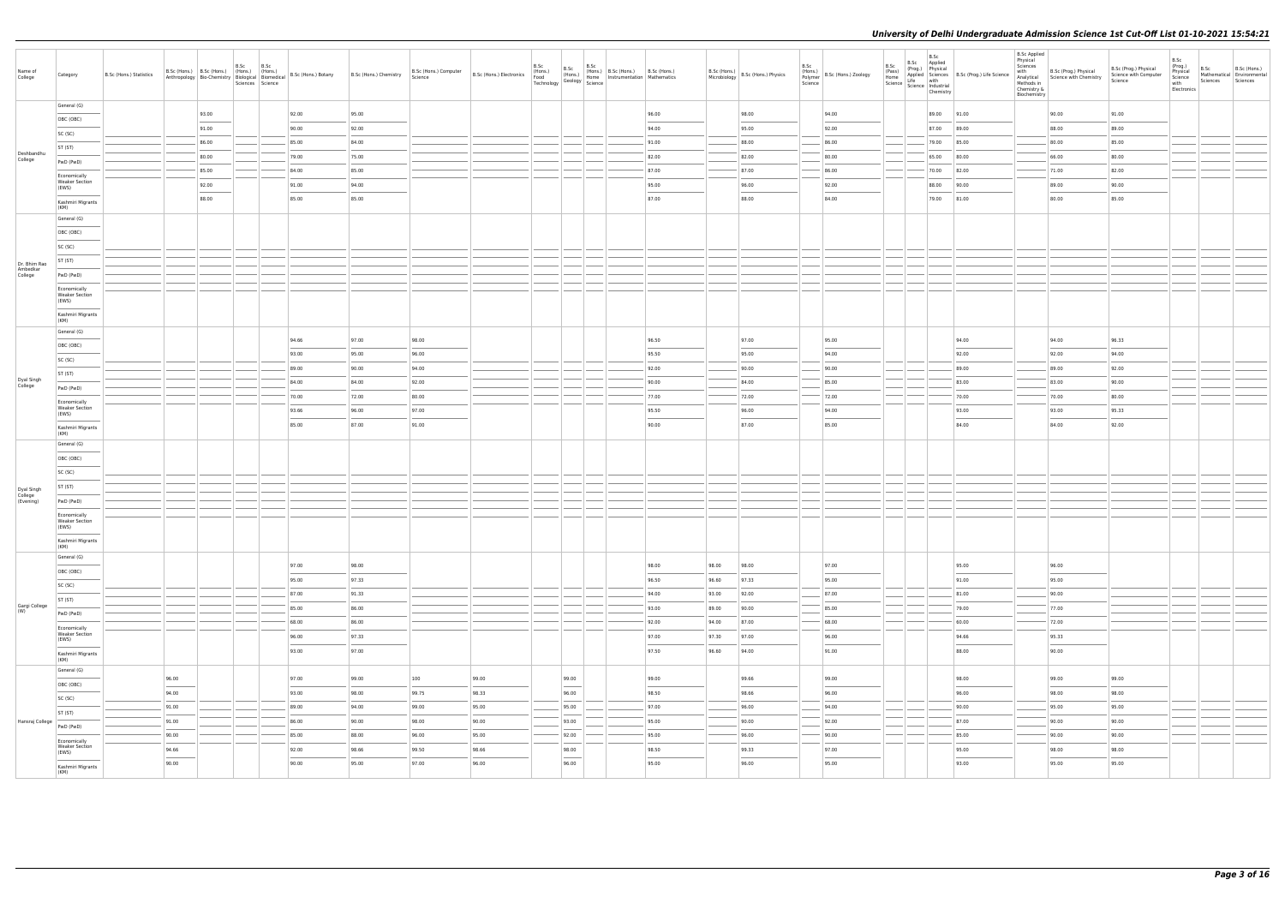| Name of<br>College                  | Category                                       | B.Sc (Hons.) Statistics |       | B.Sc | B.Sc<br>Sciences Science |                | Anthropology   Bio-Chemistry   Biological   Biomedical   B.Sc (Hons.) Botany   B.Sc (Hons.) Chemistry | B.Sc (Hons.) Computer<br>Science | B.Sc (Hons.) Electronics<br>Food<br>Technology | B.Sc | B.Sc  | B.Sc<br>(Hons.) B.Sc (Hons.) B.Sc (Hons.)<br>(Hons.)   (Hons.)   B.J. (Hons.)   Charles   Mathematics<br>$\frac{1}{\sqrt{2}}$ Geology $\frac{1}{\sqrt{2}}$ Science |                |                | B.Sc (Hons.) B.Sc (Hons.) Physics | B.Sc<br>(Hons.)<br>B.Sc (Hons.) Zoology<br>Polymer<br>Science | B.Sc<br>(Pass)<br>Home | B.Sc<br>B.Sc Applied<br>$\left  \frac{\text{Since}}{\text{Science}} \right  \frac{\text{Line}}{\text{Science}} \left  \frac{\text{mean}}{\text{The vertical}} \right $<br>Chemistry | Processor Physical<br>Applied Sciences B.Sc (Prog.) Life Science<br>Life with | <b>B.Sc Applied</b><br>Physical<br>Sciences<br>with<br>Methods in<br>Chemistry &<br>Biochemistry | B.Sc (Prog.) Physical<br>Analytical Science with Chemistry | B.Sc (Prog.) Physical<br>Science with Computer<br>Science | B.Sc<br>(Prog.)<br>B.Sc<br>Physical<br>Science<br>Sciences<br>with<br>Electronics | B.Sc (Hons.)<br>Mathematical Environmental<br>Sciences |
|-------------------------------------|------------------------------------------------|-------------------------|-------|------|--------------------------|----------------|-------------------------------------------------------------------------------------------------------|----------------------------------|------------------------------------------------|------|-------|--------------------------------------------------------------------------------------------------------------------------------------------------------------------|----------------|----------------|-----------------------------------|---------------------------------------------------------------|------------------------|-------------------------------------------------------------------------------------------------------------------------------------------------------------------------------------|-------------------------------------------------------------------------------|--------------------------------------------------------------------------------------------------|------------------------------------------------------------|-----------------------------------------------------------|-----------------------------------------------------------------------------------|--------------------------------------------------------|
|                                     | General (G)                                    |                         | 93.00 |      |                          | 92.00          | 95.00                                                                                                 |                                  |                                                |      |       |                                                                                                                                                                    | 96.00          |                | 98.00                             | 94.00                                                         |                        |                                                                                                                                                                                     | 89.00 91.00                                                                   |                                                                                                  | 90.00                                                      | 91.00                                                     |                                                                                   |                                                        |
|                                     | OBC (OBC)                                      |                         | 91.00 |      |                          | 90.00          | 92.00                                                                                                 |                                  |                                                |      |       |                                                                                                                                                                    | 94.00          |                | 95.00                             | 92.00                                                         |                        | 87.00 89.00                                                                                                                                                                         |                                                                               |                                                                                                  | 88.00                                                      | 89.00                                                     |                                                                                   |                                                        |
|                                     | SC (SC)                                        |                         | 86.00 |      |                          | 85.00          | 84.00                                                                                                 |                                  |                                                |      |       |                                                                                                                                                                    | 91.00          |                | 88.00                             | 86.00                                                         |                        |                                                                                                                                                                                     | 79.00 85.00                                                                   |                                                                                                  | 80.00                                                      | 85.00                                                     |                                                                                   |                                                        |
| Deshbandhu<br>College               | ST (ST)                                        |                         | 80.00 |      |                          | 79.00          | 75.00                                                                                                 |                                  |                                                |      |       |                                                                                                                                                                    | 82.00          |                | 82.00                             | 80.00                                                         |                        | 65.00 80.00                                                                                                                                                                         |                                                                               |                                                                                                  | 66.00                                                      | 80.00                                                     |                                                                                   |                                                        |
|                                     | PwD (PwD)                                      |                         | 85.00 |      |                          | 84.00          | 85.00                                                                                                 |                                  |                                                |      |       |                                                                                                                                                                    | 87.00          |                | 87.00                             | 86.00                                                         |                        | 70.00 82.00                                                                                                                                                                         |                                                                               |                                                                                                  | 71.00                                                      | 82.00                                                     |                                                                                   |                                                        |
|                                     | Economically<br><b>Weaker Section</b><br>(EWS) |                         | 92.00 |      |                          | 91.00          | 94.00                                                                                                 |                                  |                                                |      |       |                                                                                                                                                                    | 95.00          |                | 96.00                             | 92.00                                                         |                        |                                                                                                                                                                                     | 88.00 90.00                                                                   |                                                                                                  | 89.00                                                      | 90.00                                                     |                                                                                   |                                                        |
|                                     | Kashmiri Migrants                              |                         | 88.00 |      |                          | 85.00          | 85.00                                                                                                 |                                  |                                                |      |       |                                                                                                                                                                    | 87.00          |                | 88.00                             | 84.00                                                         |                        |                                                                                                                                                                                     | 79.00 81.00                                                                   |                                                                                                  | 80.00                                                      | 85.00                                                     |                                                                                   |                                                        |
|                                     | (KM)                                           |                         |       |      |                          |                |                                                                                                       |                                  |                                                |      |       |                                                                                                                                                                    |                |                |                                   |                                                               |                        |                                                                                                                                                                                     |                                                                               |                                                                                                  |                                                            |                                                           |                                                                                   |                                                        |
|                                     | General (G)<br>OBC (OBC)                       |                         |       |      |                          |                |                                                                                                       |                                  |                                                |      |       |                                                                                                                                                                    |                |                |                                   |                                                               |                        |                                                                                                                                                                                     |                                                                               |                                                                                                  |                                                            |                                                           |                                                                                   |                                                        |
|                                     | SC (SC)                                        |                         |       |      |                          |                |                                                                                                       |                                  |                                                |      |       |                                                                                                                                                                    |                |                |                                   |                                                               |                        |                                                                                                                                                                                     |                                                                               |                                                                                                  |                                                            |                                                           |                                                                                   |                                                        |
|                                     | ST (ST)                                        |                         |       |      |                          |                |                                                                                                       |                                  |                                                |      |       |                                                                                                                                                                    |                |                |                                   |                                                               |                        |                                                                                                                                                                                     |                                                                               |                                                                                                  |                                                            |                                                           |                                                                                   |                                                        |
| Dr. Bhim Rao<br>Ambedkar<br>College | PwD (PwD)                                      |                         |       |      |                          |                |                                                                                                       |                                  |                                                |      |       |                                                                                                                                                                    |                |                |                                   |                                                               |                        |                                                                                                                                                                                     |                                                                               |                                                                                                  |                                                            |                                                           |                                                                                   |                                                        |
|                                     | Economically                                   |                         |       |      |                          |                |                                                                                                       |                                  |                                                |      |       |                                                                                                                                                                    |                |                |                                   |                                                               |                        |                                                                                                                                                                                     |                                                                               |                                                                                                  |                                                            |                                                           |                                                                                   |                                                        |
|                                     | <b>Weaker Section</b><br>(EWS)                 |                         |       |      |                          |                |                                                                                                       |                                  |                                                |      |       |                                                                                                                                                                    |                |                |                                   |                                                               |                        |                                                                                                                                                                                     |                                                                               |                                                                                                  |                                                            |                                                           |                                                                                   |                                                        |
|                                     | Kashmiri Migrants<br>(KM)                      |                         |       |      |                          |                |                                                                                                       |                                  |                                                |      |       |                                                                                                                                                                    |                |                |                                   |                                                               |                        |                                                                                                                                                                                     |                                                                               |                                                                                                  |                                                            |                                                           |                                                                                   |                                                        |
|                                     | General (G)                                    |                         |       |      |                          | 94.66          | 97.00                                                                                                 | 98.00                            |                                                |      |       |                                                                                                                                                                    | 96.50          |                | 97.00                             | 95.00                                                         |                        |                                                                                                                                                                                     | 94.00                                                                         |                                                                                                  | 94.00                                                      | 96.33                                                     |                                                                                   |                                                        |
|                                     | OBC (OBC)                                      |                         |       |      |                          | 93.00          | 95.00                                                                                                 | 96.00                            |                                                |      |       |                                                                                                                                                                    | 95.50          |                | 95.00                             | 94.00                                                         |                        |                                                                                                                                                                                     | 92.00                                                                         |                                                                                                  | 92.00                                                      | 94.00                                                     |                                                                                   |                                                        |
|                                     | SC (SC)                                        |                         |       |      |                          | 89.00          | 90.00                                                                                                 | 94.00                            |                                                |      |       |                                                                                                                                                                    | 92.00          |                | 90.00                             | 90.00                                                         |                        |                                                                                                                                                                                     | 89.00                                                                         |                                                                                                  | 89.00                                                      | 92.00                                                     |                                                                                   |                                                        |
| Dyal Singh<br>College               | ST (ST)                                        |                         |       |      |                          | 84.00          | 84.00                                                                                                 | 92.00                            |                                                |      |       |                                                                                                                                                                    | 90.00          |                | 84.00                             | 85.00                                                         |                        |                                                                                                                                                                                     | 83.00                                                                         |                                                                                                  | 83.00                                                      | 90.00                                                     |                                                                                   |                                                        |
|                                     | PwD (PwD)                                      |                         |       |      |                          | 70.00          | 72.00                                                                                                 | 80.00                            |                                                |      |       |                                                                                                                                                                    | 77.00          |                | 72.00                             | 72.00                                                         |                        |                                                                                                                                                                                     | 70.00                                                                         |                                                                                                  | 70.00                                                      | 80.00                                                     |                                                                                   |                                                        |
|                                     | Economically<br><b>Weaker Section</b><br>(EWS) |                         |       |      |                          | 93.66          | 96.00                                                                                                 | 97.00                            |                                                |      |       |                                                                                                                                                                    | 95.50          |                | 96.00                             | 94.00                                                         |                        |                                                                                                                                                                                     | 93.00                                                                         |                                                                                                  | 93.00                                                      | 95.33                                                     |                                                                                   |                                                        |
|                                     | Kashmiri Migrants                              |                         |       |      |                          | 85.00          | 87.00                                                                                                 | 91.00                            |                                                |      |       |                                                                                                                                                                    | 90.00          |                | 87.00                             | 85.00                                                         |                        |                                                                                                                                                                                     | 84.00                                                                         |                                                                                                  | 84.00                                                      | 92.00                                                     |                                                                                   |                                                        |
|                                     | (KM)<br>General (G)                            |                         |       |      |                          |                |                                                                                                       |                                  |                                                |      |       |                                                                                                                                                                    |                |                |                                   |                                                               |                        |                                                                                                                                                                                     |                                                                               |                                                                                                  |                                                            |                                                           |                                                                                   |                                                        |
|                                     | OBC (OBC)                                      |                         |       |      |                          |                |                                                                                                       |                                  |                                                |      |       |                                                                                                                                                                    |                |                |                                   |                                                               |                        |                                                                                                                                                                                     |                                                                               |                                                                                                  |                                                            |                                                           |                                                                                   |                                                        |
|                                     | SC (SC)                                        |                         |       |      |                          |                |                                                                                                       |                                  |                                                |      |       |                                                                                                                                                                    |                |                |                                   |                                                               |                        |                                                                                                                                                                                     |                                                                               |                                                                                                  |                                                            |                                                           |                                                                                   |                                                        |
|                                     | ST (ST)                                        |                         |       |      |                          |                |                                                                                                       |                                  |                                                |      |       |                                                                                                                                                                    |                |                |                                   |                                                               |                        |                                                                                                                                                                                     |                                                                               |                                                                                                  |                                                            |                                                           |                                                                                   |                                                        |
| Dyal Singh<br>College<br>(Evening)  | PwD (PwD)                                      |                         |       |      |                          |                |                                                                                                       |                                  |                                                |      |       |                                                                                                                                                                    |                |                |                                   |                                                               |                        |                                                                                                                                                                                     |                                                                               |                                                                                                  |                                                            |                                                           |                                                                                   |                                                        |
|                                     | Economically<br><b>Weaker Section</b>          |                         |       |      |                          |                |                                                                                                       |                                  |                                                |      |       |                                                                                                                                                                    |                |                |                                   |                                                               |                        |                                                                                                                                                                                     |                                                                               |                                                                                                  |                                                            |                                                           |                                                                                   |                                                        |
|                                     | (EWS)<br>Kashmiri Migrants<br>(KM)             |                         |       |      |                          |                |                                                                                                       |                                  |                                                |      |       |                                                                                                                                                                    |                |                |                                   |                                                               |                        |                                                                                                                                                                                     |                                                                               |                                                                                                  |                                                            |                                                           |                                                                                   |                                                        |
|                                     | General (G)                                    |                         |       |      |                          |                |                                                                                                       |                                  |                                                |      |       |                                                                                                                                                                    |                |                |                                   |                                                               |                        |                                                                                                                                                                                     |                                                                               |                                                                                                  |                                                            |                                                           |                                                                                   |                                                        |
|                                     | OBC (OBC)                                      |                         |       |      |                          | 97.00<br>95.00 | 98.00<br>97.33                                                                                        |                                  |                                                |      |       |                                                                                                                                                                    | 98.00<br>96.50 | 98.00<br>96.60 | 98.00<br>97.33                    | 97.00<br>95.00                                                |                        |                                                                                                                                                                                     | 95.00<br>91.00                                                                |                                                                                                  | 96.00<br>95.00                                             |                                                           |                                                                                   |                                                        |
|                                     | SC (SC)                                        |                         |       |      |                          | 87.00          | 91.33                                                                                                 |                                  |                                                |      |       |                                                                                                                                                                    | 94.00          | 93.00          | 92.00                             | 87.00                                                         |                        |                                                                                                                                                                                     | 81.00                                                                         |                                                                                                  | 90.00                                                      |                                                           |                                                                                   |                                                        |
| Gargi College                       | ST (ST)                                        |                         |       |      |                          | 85.00          | 86.00                                                                                                 |                                  |                                                |      |       |                                                                                                                                                                    | 93.00          | 89.00          | 90.00                             | 85.00                                                         |                        |                                                                                                                                                                                     | 79.00                                                                         |                                                                                                  | 77.00                                                      |                                                           |                                                                                   |                                                        |
| (W)                                 | PwD (PwD)                                      |                         |       |      |                          | 68.00          | 86.00                                                                                                 |                                  |                                                |      |       |                                                                                                                                                                    | 92.00          | 94.00          | 87.00                             | 68.00                                                         |                        |                                                                                                                                                                                     | 60.00                                                                         |                                                                                                  | 72.00                                                      |                                                           |                                                                                   |                                                        |
|                                     | Economically<br><b>Weaker Section</b>          |                         |       |      |                          | 96.00          | 97.33                                                                                                 |                                  |                                                |      |       |                                                                                                                                                                    | 97.00          | 97.30          | 97.00                             | 96.00                                                         |                        |                                                                                                                                                                                     | 94.66                                                                         |                                                                                                  | 95.33                                                      |                                                           |                                                                                   |                                                        |
|                                     | (EWS)<br>Kashmiri Migrants                     |                         |       |      |                          | 93.00          | 97.00                                                                                                 |                                  |                                                |      |       |                                                                                                                                                                    | 97.50          | 96.60          | 94.00                             | 91.00                                                         |                        |                                                                                                                                                                                     | 88.00                                                                         |                                                                                                  | $\overline{\phantom{a}}$<br>90.00                          |                                                           |                                                                                   |                                                        |
|                                     | (KM)                                           |                         |       |      |                          |                |                                                                                                       |                                  |                                                |      |       |                                                                                                                                                                    |                |                |                                   |                                                               |                        |                                                                                                                                                                                     |                                                                               |                                                                                                  |                                                            |                                                           |                                                                                   |                                                        |
|                                     | General (G)<br>OBC (OBC)                       |                         | 96.00 |      |                          | 97.00          | 99.00                                                                                                 | 100                              | 99.00                                          |      | 99.00 |                                                                                                                                                                    | 99.00          |                | 99.66                             | 99.00                                                         |                        |                                                                                                                                                                                     | 98.00                                                                         |                                                                                                  | 99.00                                                      | 99.00                                                     |                                                                                   |                                                        |
|                                     | SC (SC)                                        |                         | 94.00 |      |                          | 93.00          | 98.00                                                                                                 | 99.75                            | 98.33                                          |      | 96.00 |                                                                                                                                                                    | 98.50          |                | 98.66                             | 96.00                                                         |                        |                                                                                                                                                                                     | 96.00                                                                         |                                                                                                  | 98.00                                                      | 98.00                                                     |                                                                                   |                                                        |
|                                     | ST (ST)                                        |                         | 91.00 |      |                          | 89.00          | 94.00                                                                                                 | 99.00                            | 95.00                                          |      | 95.00 |                                                                                                                                                                    | 97.00          |                | 96.00                             | 94.00                                                         |                        |                                                                                                                                                                                     | 90.00                                                                         |                                                                                                  | 95.00                                                      | 95.00                                                     |                                                                                   |                                                        |
| Hansraj College                     | PwD (PwD)                                      |                         | 91.00 |      |                          | 86.00          | 90.00                                                                                                 | 98.00                            | 90.00                                          |      | 93.00 |                                                                                                                                                                    | 95.00          |                | 90.00                             | 92.00                                                         |                        |                                                                                                                                                                                     | 87.00                                                                         |                                                                                                  | 90.00                                                      | 90.00                                                     |                                                                                   |                                                        |
|                                     | Economically                                   |                         | 90.00 |      |                          | 85.00          | 88.00                                                                                                 | 96.00                            | 95.00                                          |      | 92.00 |                                                                                                                                                                    | 95.00          |                | 96.00                             | 90.00                                                         |                        |                                                                                                                                                                                     | 85.00                                                                         |                                                                                                  | 90.00                                                      | 90.00                                                     |                                                                                   |                                                        |
|                                     | <b>Weaker Section</b><br>(EWS)                 |                         | 94.66 |      |                          | 92.00          | 98.66                                                                                                 | 99.50                            | 98.66                                          |      | 98.00 |                                                                                                                                                                    | 98.50          |                | 99.33                             | 97.00                                                         |                        |                                                                                                                                                                                     | 95.00                                                                         |                                                                                                  | 98.00<br>$\sim$                                            | 98.00                                                     |                                                                                   |                                                        |
|                                     | Kashmiri Migrants<br>(KM)                      |                         | 90.00 |      |                          | 90.00          | 95.00                                                                                                 | 97.00                            | 96.00                                          |      | 96.00 |                                                                                                                                                                    | 95.00          |                | 96.00                             | 95.00                                                         |                        |                                                                                                                                                                                     | 93.00                                                                         |                                                                                                  | 95.00                                                      | 95.00                                                     |                                                                                   |                                                        |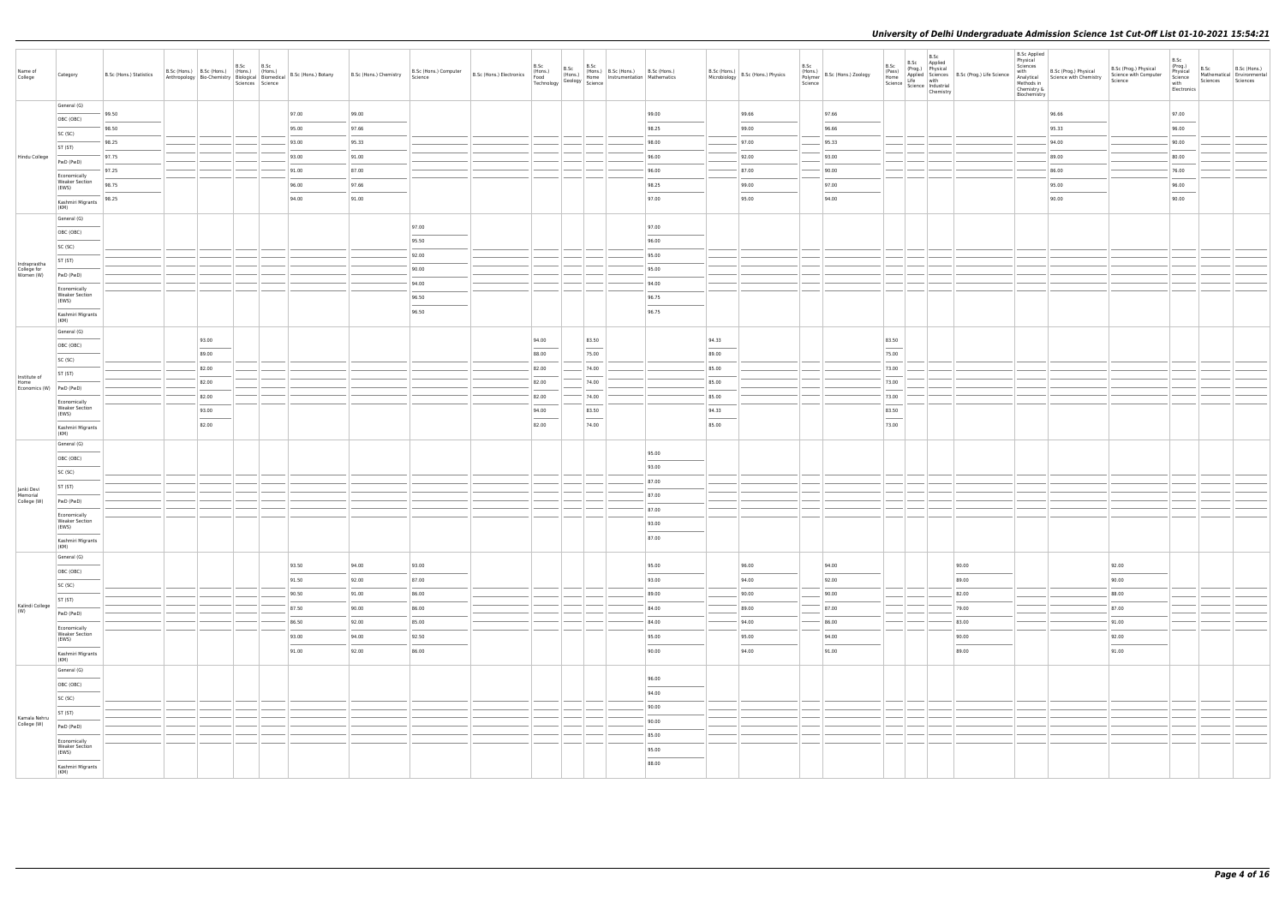| Name of<br>College       | Category                                       | B.Sc (Hons.) Statistics |                                                                                                                                                                                                                                                                                                                                                                                                                                                                                              | B.Sc | B.Sc | B.Sc (Hons.) B.Sc (Hons.) (Hons.) (Hons.) (Hons.) (Hons.) (Hons.) B.Sc (Hons.) Chemistry B.Sc (Hons.) Computer B.Sc (Hons.) Electronics (Hons.) (Hons.) B.Sc (Hons.) B.Sc (Hons.) B.Sc (Hons.) B.Sc (Hons.) B.Sc (Hons.) B.Sc |       |       | B.Sc           | B.Sc | B.Sc                                              |                                   |                                                                                                                                                                                                                                                                                                                                                                                                                                                                                     | B.Sc (Hons.) B.Sc (Hons.) Physics | B.Sc<br>Science | $\begin{array}{ c c c c c } \hline \text{r-cons.} & \text{B.Sc (Hons.)} & \text{Zoology} \ \hline \end{array}$ | B.Sc<br>(Pass)                                                                                                                                                                                                                                                                                                                                                                                                                                                                      | B.Sc<br>B.Sc Applied<br>Home<br>$\begin{array}{ c c c c }\n\hline \text{Home} & \text{Life} & \text{with} \n\end{array}$<br>Science   Industrial   Chemistr | (Prog.) Physical B.Sc (Prog.) Life Science | <b>B.Sc Applied</b><br>Physical<br>Sciences<br>with<br>Methods in<br>Chemistry &<br>Biochemistry | B.Sc (Prog.) Physical<br>Analytical Science with Chemistry | B.Sc (Prog.) Physical<br>Science with Computer<br>Science | B.Sc<br>(Prog.)<br>Physical<br>Science<br>with<br>Electronics | B.Sc Mathematical B.Sc (Hons.)<br>Sciences | Sciences |
|--------------------------|------------------------------------------------|-------------------------|----------------------------------------------------------------------------------------------------------------------------------------------------------------------------------------------------------------------------------------------------------------------------------------------------------------------------------------------------------------------------------------------------------------------------------------------------------------------------------------------|------|------|-------------------------------------------------------------------------------------------------------------------------------------------------------------------------------------------------------------------------------|-------|-------|----------------|------|---------------------------------------------------|-----------------------------------|-------------------------------------------------------------------------------------------------------------------------------------------------------------------------------------------------------------------------------------------------------------------------------------------------------------------------------------------------------------------------------------------------------------------------------------------------------------------------------------|-----------------------------------|-----------------|----------------------------------------------------------------------------------------------------------------|-------------------------------------------------------------------------------------------------------------------------------------------------------------------------------------------------------------------------------------------------------------------------------------------------------------------------------------------------------------------------------------------------------------------------------------------------------------------------------------|-------------------------------------------------------------------------------------------------------------------------------------------------------------|--------------------------------------------|--------------------------------------------------------------------------------------------------|------------------------------------------------------------|-----------------------------------------------------------|---------------------------------------------------------------|--------------------------------------------|----------|
|                          | General (G)                                    | 99.50                   |                                                                                                                                                                                                                                                                                                                                                                                                                                                                                              |      |      | 97.00                                                                                                                                                                                                                         | 99.00 |       |                |      |                                                   | 99.00                             |                                                                                                                                                                                                                                                                                                                                                                                                                                                                                     | 99.66                             |                 | 97.66                                                                                                          |                                                                                                                                                                                                                                                                                                                                                                                                                                                                                     |                                                                                                                                                             |                                            |                                                                                                  | 96.66                                                      |                                                           | 97.00                                                         |                                            |          |
|                          | OBC (OBC)                                      | 98.50                   |                                                                                                                                                                                                                                                                                                                                                                                                                                                                                              |      |      | 95.00                                                                                                                                                                                                                         | 97.66 |       |                |      |                                                   | 98.25                             |                                                                                                                                                                                                                                                                                                                                                                                                                                                                                     | 99.00                             |                 | 96.66                                                                                                          |                                                                                                                                                                                                                                                                                                                                                                                                                                                                                     |                                                                                                                                                             |                                            |                                                                                                  | 95.33                                                      |                                                           | __<br>96.00                                                   |                                            |          |
|                          | SC (SC)                                        | 98.25                   |                                                                                                                                                                                                                                                                                                                                                                                                                                                                                              |      |      | 93.00                                                                                                                                                                                                                         | 95.33 |       |                |      |                                                   | 98.00                             |                                                                                                                                                                                                                                                                                                                                                                                                                                                                                     | 97.00                             |                 | 95.33                                                                                                          |                                                                                                                                                                                                                                                                                                                                                                                                                                                                                     |                                                                                                                                                             |                                            |                                                                                                  | 94.00                                                      |                                                           | 90.00                                                         |                                            |          |
| Hindu College            | ST (ST)                                        | 97.75                   |                                                                                                                                                                                                                                                                                                                                                                                                                                                                                              |      |      | 93.00                                                                                                                                                                                                                         | 91.00 |       |                |      |                                                   | 96.00                             |                                                                                                                                                                                                                                                                                                                                                                                                                                                                                     | 92.00                             |                 | 93.00                                                                                                          |                                                                                                                                                                                                                                                                                                                                                                                                                                                                                     |                                                                                                                                                             |                                            |                                                                                                  | 89.00                                                      |                                                           | 80.00                                                         |                                            |          |
|                          | PwD (PwD)                                      | 97.25                   |                                                                                                                                                                                                                                                                                                                                                                                                                                                                                              |      |      | 91.00                                                                                                                                                                                                                         | 87.00 |       |                |      |                                                   | 96.00                             |                                                                                                                                                                                                                                                                                                                                                                                                                                                                                     | 87.00                             |                 | 90.00                                                                                                          |                                                                                                                                                                                                                                                                                                                                                                                                                                                                                     |                                                                                                                                                             |                                            |                                                                                                  | 86.00                                                      |                                                           | 76.00                                                         |                                            |          |
|                          | Economically<br><b>Weaker Section</b><br>(EWS) | 98.75                   |                                                                                                                                                                                                                                                                                                                                                                                                                                                                                              |      |      | 96.00                                                                                                                                                                                                                         | 97.66 |       |                |      |                                                   | 98.25                             |                                                                                                                                                                                                                                                                                                                                                                                                                                                                                     | 99.00                             |                 | 97.00                                                                                                          |                                                                                                                                                                                                                                                                                                                                                                                                                                                                                     |                                                                                                                                                             |                                            |                                                                                                  | 95.00                                                      |                                                           | 96.00                                                         |                                            |          |
|                          | Kashmiri Migrants                              | 98.25                   |                                                                                                                                                                                                                                                                                                                                                                                                                                                                                              |      |      | 94.00                                                                                                                                                                                                                         | 91.00 |       |                |      |                                                   | 97.00                             |                                                                                                                                                                                                                                                                                                                                                                                                                                                                                     | 95.00                             |                 | 94.00                                                                                                          |                                                                                                                                                                                                                                                                                                                                                                                                                                                                                     |                                                                                                                                                             |                                            |                                                                                                  | 90.00                                                      |                                                           | ___<br>90.00                                                  |                                            |          |
|                          | (KM)<br>General (G)                            |                         |                                                                                                                                                                                                                                                                                                                                                                                                                                                                                              |      |      |                                                                                                                                                                                                                               |       |       |                |      |                                                   |                                   |                                                                                                                                                                                                                                                                                                                                                                                                                                                                                     |                                   |                 |                                                                                                                |                                                                                                                                                                                                                                                                                                                                                                                                                                                                                     |                                                                                                                                                             |                                            |                                                                                                  |                                                            |                                                           |                                                               |                                            |          |
|                          | OBC (OBC)                                      |                         |                                                                                                                                                                                                                                                                                                                                                                                                                                                                                              |      |      |                                                                                                                                                                                                                               |       | 97.00 |                |      |                                                   | 97.00                             |                                                                                                                                                                                                                                                                                                                                                                                                                                                                                     |                                   |                 |                                                                                                                |                                                                                                                                                                                                                                                                                                                                                                                                                                                                                     |                                                                                                                                                             |                                            |                                                                                                  |                                                            |                                                           |                                                               |                                            |          |
|                          | SC (SC)                                        |                         |                                                                                                                                                                                                                                                                                                                                                                                                                                                                                              |      |      |                                                                                                                                                                                                                               |       | 95.50 |                |      |                                                   | 96.00                             |                                                                                                                                                                                                                                                                                                                                                                                                                                                                                     |                                   |                 |                                                                                                                |                                                                                                                                                                                                                                                                                                                                                                                                                                                                                     |                                                                                                                                                             |                                            |                                                                                                  |                                                            |                                                           |                                                               |                                            |          |
| Indraprastha             | ST (ST)                                        |                         |                                                                                                                                                                                                                                                                                                                                                                                                                                                                                              |      |      |                                                                                                                                                                                                                               |       | 92.00 |                |      |                                                   | 95.00                             |                                                                                                                                                                                                                                                                                                                                                                                                                                                                                     |                                   |                 |                                                                                                                |                                                                                                                                                                                                                                                                                                                                                                                                                                                                                     |                                                                                                                                                             |                                            |                                                                                                  |                                                            |                                                           |                                                               |                                            |          |
| College for<br>Women (W) | PwD (PwD)                                      |                         |                                                                                                                                                                                                                                                                                                                                                                                                                                                                                              |      |      |                                                                                                                                                                                                                               |       | 90.00 |                |      |                                                   | 95.00                             |                                                                                                                                                                                                                                                                                                                                                                                                                                                                                     |                                   |                 |                                                                                                                |                                                                                                                                                                                                                                                                                                                                                                                                                                                                                     |                                                                                                                                                             |                                            |                                                                                                  |                                                            |                                                           |                                                               |                                            |          |
|                          | Economically<br><b>Weaker Section</b>          |                         |                                                                                                                                                                                                                                                                                                                                                                                                                                                                                              |      |      |                                                                                                                                                                                                                               |       | 94.00 |                |      |                                                   | 94.00                             |                                                                                                                                                                                                                                                                                                                                                                                                                                                                                     |                                   |                 |                                                                                                                |                                                                                                                                                                                                                                                                                                                                                                                                                                                                                     |                                                                                                                                                             |                                            |                                                                                                  |                                                            |                                                           |                                                               |                                            |          |
|                          | (EWS)                                          |                         |                                                                                                                                                                                                                                                                                                                                                                                                                                                                                              |      |      |                                                                                                                                                                                                                               |       | 96.50 |                |      |                                                   | 96.75                             |                                                                                                                                                                                                                                                                                                                                                                                                                                                                                     |                                   |                 |                                                                                                                |                                                                                                                                                                                                                                                                                                                                                                                                                                                                                     |                                                                                                                                                             |                                            |                                                                                                  |                                                            |                                                           |                                                               |                                            |          |
|                          | Kashmiri Migrants<br>(KM)                      |                         |                                                                                                                                                                                                                                                                                                                                                                                                                                                                                              |      |      |                                                                                                                                                                                                                               |       | 96.50 |                |      |                                                   | 96.75                             |                                                                                                                                                                                                                                                                                                                                                                                                                                                                                     |                                   |                 |                                                                                                                |                                                                                                                                                                                                                                                                                                                                                                                                                                                                                     |                                                                                                                                                             |                                            |                                                                                                  |                                                            |                                                           |                                                               |                                            |          |
|                          | General (G)                                    |                         | 93.00                                                                                                                                                                                                                                                                                                                                                                                                                                                                                        |      |      |                                                                                                                                                                                                                               |       |       | 94.00          |      | 83.50                                             |                                   | 94.33                                                                                                                                                                                                                                                                                                                                                                                                                                                                               |                                   |                 |                                                                                                                | 83.50                                                                                                                                                                                                                                                                                                                                                                                                                                                                               |                                                                                                                                                             |                                            |                                                                                                  |                                                            |                                                           |                                                               |                                            |          |
|                          | OBC (OBC)                                      |                         | 89.00                                                                                                                                                                                                                                                                                                                                                                                                                                                                                        |      |      |                                                                                                                                                                                                                               |       |       | 88.00          |      | 75.00                                             |                                   | $\frac{1}{2} \left( \frac{1}{2} \right) \left( \frac{1}{2} \right) \left( \frac{1}{2} \right) \left( \frac{1}{2} \right) \left( \frac{1}{2} \right) \left( \frac{1}{2} \right) \left( \frac{1}{2} \right) \left( \frac{1}{2} \right) \left( \frac{1}{2} \right) \left( \frac{1}{2} \right) \left( \frac{1}{2} \right) \left( \frac{1}{2} \right) \left( \frac{1}{2} \right) \left( \frac{1}{2} \right) \left( \frac{1}{2} \right) \left( \frac{1}{2} \right) \left( \frac$<br>89.00 |                                   |                 |                                                                                                                | $\frac{1}{2} \left( \frac{1}{2} \right) \left( \frac{1}{2} \right) \left( \frac{1}{2} \right) \left( \frac{1}{2} \right) \left( \frac{1}{2} \right) \left( \frac{1}{2} \right) \left( \frac{1}{2} \right) \left( \frac{1}{2} \right) \left( \frac{1}{2} \right) \left( \frac{1}{2} \right) \left( \frac{1}{2} \right) \left( \frac{1}{2} \right) \left( \frac{1}{2} \right) \left( \frac{1}{2} \right) \left( \frac{1}{2} \right) \left( \frac{1}{2} \right) \left( \frac$<br>75.00 |                                                                                                                                                             |                                            |                                                                                                  |                                                            |                                                           |                                                               |                                            |          |
|                          | SC (SC)                                        |                         | 82.00                                                                                                                                                                                                                                                                                                                                                                                                                                                                                        |      |      |                                                                                                                                                                                                                               |       |       | 82.00          |      | 74.00                                             |                                   | 85.00                                                                                                                                                                                                                                                                                                                                                                                                                                                                               |                                   |                 |                                                                                                                | 73.00                                                                                                                                                                                                                                                                                                                                                                                                                                                                               |                                                                                                                                                             |                                            |                                                                                                  |                                                            |                                                           |                                                               |                                            |          |
| Institute of<br>Home     | ST (ST)                                        |                         | 82.00                                                                                                                                                                                                                                                                                                                                                                                                                                                                                        |      |      |                                                                                                                                                                                                                               |       |       | 82.00          |      | 74.00                                             |                                   | 85.00                                                                                                                                                                                                                                                                                                                                                                                                                                                                               |                                   |                 |                                                                                                                | 73.00                                                                                                                                                                                                                                                                                                                                                                                                                                                                               |                                                                                                                                                             |                                            |                                                                                                  |                                                            |                                                           |                                                               |                                            |          |
| Economics (W) PwD (PwD)  |                                                |                         |                                                                                                                                                                                                                                                                                                                                                                                                                                                                                              |      |      |                                                                                                                                                                                                                               |       |       | 82.00          |      | 74.00                                             |                                   | 85.00                                                                                                                                                                                                                                                                                                                                                                                                                                                                               |                                   |                 |                                                                                                                | 73.00                                                                                                                                                                                                                                                                                                                                                                                                                                                                               |                                                                                                                                                             |                                            |                                                                                                  |                                                            |                                                           |                                                               |                                            |          |
|                          | Economically<br><b>Weaker Section</b>          |                         | 82.00                                                                                                                                                                                                                                                                                                                                                                                                                                                                                        |      |      |                                                                                                                                                                                                                               |       |       |                |      |                                                   |                                   |                                                                                                                                                                                                                                                                                                                                                                                                                                                                                     |                                   |                 |                                                                                                                |                                                                                                                                                                                                                                                                                                                                                                                                                                                                                     |                                                                                                                                                             |                                            |                                                                                                  |                                                            |                                                           |                                                               |                                            |          |
|                          | (EWS)<br>Kashmiri Migrants                     |                         | 93.00<br>$\frac{1}{2} \left( \frac{1}{2} \right) \left( \frac{1}{2} \right) \left( \frac{1}{2} \right) \left( \frac{1}{2} \right) \left( \frac{1}{2} \right) \left( \frac{1}{2} \right) \left( \frac{1}{2} \right) \left( \frac{1}{2} \right) \left( \frac{1}{2} \right) \left( \frac{1}{2} \right) \left( \frac{1}{2} \right) \left( \frac{1}{2} \right) \left( \frac{1}{2} \right) \left( \frac{1}{2} \right) \left( \frac{1}{2} \right) \left( \frac{1}{2} \right) \left( \frac$<br>82.00 |      |      |                                                                                                                                                                                                                               |       |       | 94.00<br>82.00 |      | 83.50<br>$\hspace{0.1mm}-\hspace{0.1mm}$<br>74.00 |                                   | 94.33<br>$\sim$<br>85.00                                                                                                                                                                                                                                                                                                                                                                                                                                                            |                                   |                 |                                                                                                                | 83.50<br>$\overline{\phantom{a}}$<br>73.00                                                                                                                                                                                                                                                                                                                                                                                                                                          |                                                                                                                                                             |                                            |                                                                                                  |                                                            |                                                           |                                                               |                                            |          |
|                          | (KM)<br>General (G)                            |                         |                                                                                                                                                                                                                                                                                                                                                                                                                                                                                              |      |      |                                                                                                                                                                                                                               |       |       |                |      |                                                   |                                   |                                                                                                                                                                                                                                                                                                                                                                                                                                                                                     |                                   |                 |                                                                                                                |                                                                                                                                                                                                                                                                                                                                                                                                                                                                                     |                                                                                                                                                             |                                            |                                                                                                  |                                                            |                                                           |                                                               |                                            |          |
|                          |                                                |                         |                                                                                                                                                                                                                                                                                                                                                                                                                                                                                              |      |      |                                                                                                                                                                                                                               |       |       |                |      |                                                   | 95.00                             |                                                                                                                                                                                                                                                                                                                                                                                                                                                                                     |                                   |                 |                                                                                                                |                                                                                                                                                                                                                                                                                                                                                                                                                                                                                     |                                                                                                                                                             |                                            |                                                                                                  |                                                            |                                                           |                                                               |                                            |          |
|                          | OBC (OBC)                                      |                         |                                                                                                                                                                                                                                                                                                                                                                                                                                                                                              |      |      |                                                                                                                                                                                                                               |       |       |                |      |                                                   | 93.00                             |                                                                                                                                                                                                                                                                                                                                                                                                                                                                                     |                                   |                 |                                                                                                                |                                                                                                                                                                                                                                                                                                                                                                                                                                                                                     |                                                                                                                                                             |                                            |                                                                                                  |                                                            |                                                           |                                                               |                                            |          |
|                          | SC (SC)                                        |                         |                                                                                                                                                                                                                                                                                                                                                                                                                                                                                              |      |      |                                                                                                                                                                                                                               |       |       |                |      |                                                   | 87.00                             |                                                                                                                                                                                                                                                                                                                                                                                                                                                                                     |                                   |                 |                                                                                                                |                                                                                                                                                                                                                                                                                                                                                                                                                                                                                     |                                                                                                                                                             |                                            |                                                                                                  |                                                            |                                                           |                                                               |                                            |          |
| Janki Devi<br>Memorial   | ST (ST)                                        |                         |                                                                                                                                                                                                                                                                                                                                                                                                                                                                                              |      |      |                                                                                                                                                                                                                               |       |       |                |      |                                                   | 87.00                             |                                                                                                                                                                                                                                                                                                                                                                                                                                                                                     |                                   |                 |                                                                                                                |                                                                                                                                                                                                                                                                                                                                                                                                                                                                                     |                                                                                                                                                             |                                            |                                                                                                  |                                                            |                                                           |                                                               |                                            |          |
| College (W)              | PwD (PwD)                                      |                         |                                                                                                                                                                                                                                                                                                                                                                                                                                                                                              |      |      |                                                                                                                                                                                                                               |       |       |                |      |                                                   | 87.00                             |                                                                                                                                                                                                                                                                                                                                                                                                                                                                                     |                                   |                 |                                                                                                                |                                                                                                                                                                                                                                                                                                                                                                                                                                                                                     |                                                                                                                                                             |                                            |                                                                                                  |                                                            |                                                           |                                                               |                                            |          |
|                          | Economically<br><b>Weaker Section</b><br>(EWS) |                         |                                                                                                                                                                                                                                                                                                                                                                                                                                                                                              |      |      |                                                                                                                                                                                                                               |       |       |                |      |                                                   | 93.00                             |                                                                                                                                                                                                                                                                                                                                                                                                                                                                                     |                                   |                 |                                                                                                                |                                                                                                                                                                                                                                                                                                                                                                                                                                                                                     |                                                                                                                                                             |                                            |                                                                                                  |                                                            |                                                           |                                                               |                                            |          |
|                          | Kashmiri Migrants<br>(KM)                      |                         |                                                                                                                                                                                                                                                                                                                                                                                                                                                                                              |      |      |                                                                                                                                                                                                                               |       |       |                |      |                                                   | 87.00                             |                                                                                                                                                                                                                                                                                                                                                                                                                                                                                     |                                   |                 |                                                                                                                |                                                                                                                                                                                                                                                                                                                                                                                                                                                                                     |                                                                                                                                                             |                                            |                                                                                                  |                                                            |                                                           |                                                               |                                            |          |
|                          | General (G)                                    |                         |                                                                                                                                                                                                                                                                                                                                                                                                                                                                                              |      |      |                                                                                                                                                                                                                               |       |       |                |      |                                                   |                                   |                                                                                                                                                                                                                                                                                                                                                                                                                                                                                     |                                   |                 |                                                                                                                |                                                                                                                                                                                                                                                                                                                                                                                                                                                                                     |                                                                                                                                                             |                                            |                                                                                                  |                                                            |                                                           |                                                               |                                            |          |
|                          | OBC (OBC)                                      |                         |                                                                                                                                                                                                                                                                                                                                                                                                                                                                                              |      |      | 93.50                                                                                                                                                                                                                         | 94.00 | 93.00 |                |      |                                                   | 95.00                             |                                                                                                                                                                                                                                                                                                                                                                                                                                                                                     | 96.00                             |                 | 94.00                                                                                                          |                                                                                                                                                                                                                                                                                                                                                                                                                                                                                     |                                                                                                                                                             | 90.00                                      |                                                                                                  |                                                            | 92.00<br>$\sim$                                           |                                                               |                                            |          |
|                          | SC (SC)                                        |                         |                                                                                                                                                                                                                                                                                                                                                                                                                                                                                              |      |      | 91.50                                                                                                                                                                                                                         | 92.00 | 87.00 |                |      |                                                   | 93.00                             |                                                                                                                                                                                                                                                                                                                                                                                                                                                                                     | 94.00                             |                 | 92.00                                                                                                          |                                                                                                                                                                                                                                                                                                                                                                                                                                                                                     |                                                                                                                                                             | 89.00                                      |                                                                                                  |                                                            | 90.00                                                     |                                                               |                                            |          |
|                          | ST (ST)                                        |                         |                                                                                                                                                                                                                                                                                                                                                                                                                                                                                              |      |      | 90.50                                                                                                                                                                                                                         | 91.00 | 86.00 |                |      |                                                   | 89.00                             |                                                                                                                                                                                                                                                                                                                                                                                                                                                                                     | 90.00                             |                 | 90.00                                                                                                          |                                                                                                                                                                                                                                                                                                                                                                                                                                                                                     |                                                                                                                                                             | 82.00                                      |                                                                                                  |                                                            | 88.00                                                     |                                                               |                                            |          |
| Kalindi College<br>(W)   | PwD (PwD)                                      |                         |                                                                                                                                                                                                                                                                                                                                                                                                                                                                                              |      |      | 87.50                                                                                                                                                                                                                         | 90.00 | 86.00 |                |      |                                                   | 84.00                             |                                                                                                                                                                                                                                                                                                                                                                                                                                                                                     | 89.00                             |                 | 87.00                                                                                                          |                                                                                                                                                                                                                                                                                                                                                                                                                                                                                     |                                                                                                                                                             | 79.00                                      |                                                                                                  |                                                            | 87.00                                                     |                                                               |                                            |          |
|                          | Economically                                   |                         |                                                                                                                                                                                                                                                                                                                                                                                                                                                                                              |      |      | 86.50                                                                                                                                                                                                                         | 92.00 | 85.00 |                |      |                                                   | 84.00                             |                                                                                                                                                                                                                                                                                                                                                                                                                                                                                     | 94.00                             |                 | 86.00                                                                                                          |                                                                                                                                                                                                                                                                                                                                                                                                                                                                                     |                                                                                                                                                             | 83.00                                      |                                                                                                  |                                                            | 91.00                                                     |                                                               |                                            |          |
|                          | <b>Weaker Section</b><br>(EWS)                 |                         |                                                                                                                                                                                                                                                                                                                                                                                                                                                                                              |      |      | 93.00<br>$\sim$                                                                                                                                                                                                               | 94.00 | 92.50 |                |      |                                                   | 95.00<br>$\overline{\phantom{a}}$ |                                                                                                                                                                                                                                                                                                                                                                                                                                                                                     | 95.00<br>$\overline{\phantom{a}}$ |                 | 94.00<br>$\overline{\phantom{a}}$                                                                              |                                                                                                                                                                                                                                                                                                                                                                                                                                                                                     |                                                                                                                                                             | 90.00                                      |                                                                                                  |                                                            | 92.00<br>$\overline{\phantom{a}}$                         |                                                               |                                            |          |
|                          | Kashmiri Migrants<br>(KM)                      |                         |                                                                                                                                                                                                                                                                                                                                                                                                                                                                                              |      |      | 91.00                                                                                                                                                                                                                         | 92.00 | 86.00 |                |      |                                                   | 90.00                             |                                                                                                                                                                                                                                                                                                                                                                                                                                                                                     | 94.00                             |                 | 91.00                                                                                                          |                                                                                                                                                                                                                                                                                                                                                                                                                                                                                     |                                                                                                                                                             | 89.00                                      |                                                                                                  |                                                            | 91.00                                                     |                                                               |                                            |          |
|                          | General (G)                                    |                         |                                                                                                                                                                                                                                                                                                                                                                                                                                                                                              |      |      |                                                                                                                                                                                                                               |       |       |                |      |                                                   |                                   |                                                                                                                                                                                                                                                                                                                                                                                                                                                                                     |                                   |                 |                                                                                                                |                                                                                                                                                                                                                                                                                                                                                                                                                                                                                     |                                                                                                                                                             |                                            |                                                                                                  |                                                            |                                                           |                                                               |                                            |          |
|                          | OBC (OBC)                                      |                         |                                                                                                                                                                                                                                                                                                                                                                                                                                                                                              |      |      |                                                                                                                                                                                                                               |       |       |                |      |                                                   | 96.00                             |                                                                                                                                                                                                                                                                                                                                                                                                                                                                                     |                                   |                 |                                                                                                                |                                                                                                                                                                                                                                                                                                                                                                                                                                                                                     |                                                                                                                                                             |                                            |                                                                                                  |                                                            |                                                           |                                                               |                                            |          |
|                          | SC (SC)                                        |                         |                                                                                                                                                                                                                                                                                                                                                                                                                                                                                              |      |      |                                                                                                                                                                                                                               |       |       |                |      |                                                   | 94.00                             |                                                                                                                                                                                                                                                                                                                                                                                                                                                                                     |                                   |                 |                                                                                                                |                                                                                                                                                                                                                                                                                                                                                                                                                                                                                     |                                                                                                                                                             |                                            |                                                                                                  |                                                            |                                                           |                                                               |                                            |          |
| Kamala Nehru             | ST (ST)                                        |                         |                                                                                                                                                                                                                                                                                                                                                                                                                                                                                              |      |      |                                                                                                                                                                                                                               |       |       |                |      |                                                   | 90.00                             |                                                                                                                                                                                                                                                                                                                                                                                                                                                                                     |                                   |                 |                                                                                                                |                                                                                                                                                                                                                                                                                                                                                                                                                                                                                     |                                                                                                                                                             |                                            |                                                                                                  |                                                            |                                                           |                                                               |                                            |          |
| College (W)              | PwD (PwD)                                      |                         |                                                                                                                                                                                                                                                                                                                                                                                                                                                                                              |      |      |                                                                                                                                                                                                                               |       |       |                |      |                                                   | 90.00                             |                                                                                                                                                                                                                                                                                                                                                                                                                                                                                     |                                   |                 |                                                                                                                |                                                                                                                                                                                                                                                                                                                                                                                                                                                                                     |                                                                                                                                                             |                                            |                                                                                                  |                                                            |                                                           |                                                               |                                            |          |
|                          | Economically<br><b>Weaker Section</b>          |                         |                                                                                                                                                                                                                                                                                                                                                                                                                                                                                              |      |      |                                                                                                                                                                                                                               |       |       |                |      |                                                   | 85.00                             |                                                                                                                                                                                                                                                                                                                                                                                                                                                                                     |                                   |                 |                                                                                                                |                                                                                                                                                                                                                                                                                                                                                                                                                                                                                     |                                                                                                                                                             |                                            |                                                                                                  |                                                            |                                                           |                                                               |                                            |          |
|                          | (EWS)                                          |                         |                                                                                                                                                                                                                                                                                                                                                                                                                                                                                              |      |      |                                                                                                                                                                                                                               |       |       |                |      |                                                   | 95.00<br>88.00                    |                                                                                                                                                                                                                                                                                                                                                                                                                                                                                     |                                   |                 |                                                                                                                |                                                                                                                                                                                                                                                                                                                                                                                                                                                                                     |                                                                                                                                                             |                                            |                                                                                                  |                                                            |                                                           |                                                               |                                            |          |
|                          | Kashmiri Migrants<br>(KM)                      |                         |                                                                                                                                                                                                                                                                                                                                                                                                                                                                                              |      |      |                                                                                                                                                                                                                               |       |       |                |      |                                                   |                                   |                                                                                                                                                                                                                                                                                                                                                                                                                                                                                     |                                   |                 |                                                                                                                |                                                                                                                                                                                                                                                                                                                                                                                                                                                                                     |                                                                                                                                                             |                                            |                                                                                                  |                                                            |                                                           |                                                               |                                            |          |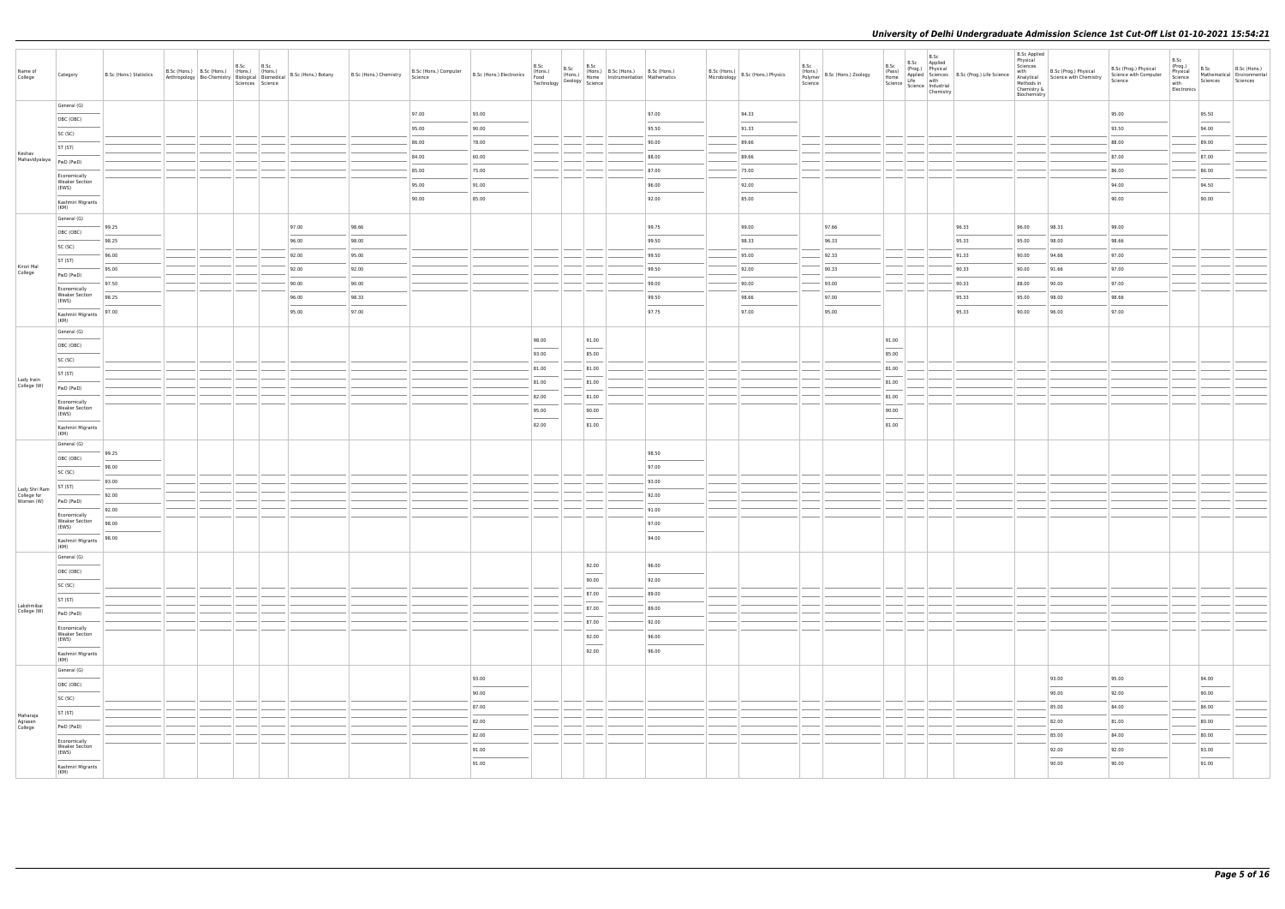| Name of<br>College             | Category                                       | B.Sc (Hons.) Statistics |  | B.Sc | B.Sc<br>Sciences Science |       | Anthropology   Bio-Chemistry   Chemistry   Chemistry   Anthropology   Bio-Chemistry   Chemistry   Reserved   Biomedical   B.Sc (Hons.) Botany   B.Sc (Hons.) Chemistry | B.Sc (Hons.) Computer<br>Science | B.Sc (Hons.) Electronics B.Sc (Hons.) B.Sc (Hons.) Electronics (Hons.) (Hons.) (Hons.) (Hone Technology Seelogy Science | B.Sc  | B.Sc                              | (Hons.) B.Sc (Hons.) B.Sc (Hons.)<br>Home Instrumentation Mathematics |                                                                                                                                                                                                                                                                                                                                                                                                                                                                                     | Microbiology | $B.Sc$ (Hons.) $B.Sc$ (Hons.) Physics | B.Sc<br>Polymer<br>Science | $\left  \begin{array}{c} 1.11 \\ \text{(Hons.)} \\ \text{Dallowerscript{200}C} \end{array} \right $ B.Sc (Hons.) Zoology | B.Sc                              | B.Sc<br>B.Sc Applied<br>Chemistry | B.S.C. (Prog.) Physical<br>(Pass) (Prog.) Physical<br>Happled Science<br>Science Industrial<br>Science Industrial<br>$\sum_{r=1}^{n}$ and $\sum_{r=1}^{n}$ and $\sum_{r=1}^{n}$ and $\sum_{r=1}^{n}$ and $\sum_{r=1}^{n}$ and $\sum_{r=1}^{n}$ and $\sum_{r=1}^{n}$ | <b>B.Sc Applied</b><br>Physical<br>Sciences<br>with<br>Analytical<br>Methods in<br>Chemistry &<br>Biochemistry | B.Sc (Prog.) Physical<br>Science with Chemistry | B.Sc (Prog.) Physical<br>Science with Computer<br>Science | B.Sc<br>(Prog.)<br>Physical<br>Science<br>with<br>Electronics | Sciences | B.Sc B.Sc (Hons.)<br>Mathematical Environmental<br>Sciences |
|--------------------------------|------------------------------------------------|-------------------------|--|------|--------------------------|-------|------------------------------------------------------------------------------------------------------------------------------------------------------------------------|----------------------------------|-------------------------------------------------------------------------------------------------------------------------|-------|-----------------------------------|-----------------------------------------------------------------------|-------------------------------------------------------------------------------------------------------------------------------------------------------------------------------------------------------------------------------------------------------------------------------------------------------------------------------------------------------------------------------------------------------------------------------------------------------------------------------------|--------------|---------------------------------------|----------------------------|--------------------------------------------------------------------------------------------------------------------------|-----------------------------------|-----------------------------------|---------------------------------------------------------------------------------------------------------------------------------------------------------------------------------------------------------------------------------------------------------------------|----------------------------------------------------------------------------------------------------------------|-------------------------------------------------|-----------------------------------------------------------|---------------------------------------------------------------|----------|-------------------------------------------------------------|
|                                | General (G)                                    |                         |  |      |                          |       |                                                                                                                                                                        | 97.00                            | 93.00                                                                                                                   |       |                                   |                                                                       | 97.00                                                                                                                                                                                                                                                                                                                                                                                                                                                                               |              | 94.33                                 |                            |                                                                                                                          |                                   |                                   |                                                                                                                                                                                                                                                                     |                                                                                                                |                                                 | 95.00                                                     |                                                               | 95.50    |                                                             |
|                                | OBC (OBC)                                      |                         |  |      |                          |       |                                                                                                                                                                        | 95.00                            | 90.00                                                                                                                   |       |                                   |                                                                       | 95.50                                                                                                                                                                                                                                                                                                                                                                                                                                                                               |              | 91.33                                 |                            |                                                                                                                          |                                   |                                   |                                                                                                                                                                                                                                                                     |                                                                                                                |                                                 | 93.50                                                     |                                                               | 94.00    |                                                             |
|                                | SC (SC)<br>ST (ST)                             |                         |  |      |                          |       |                                                                                                                                                                        | 86.00                            | 78.00                                                                                                                   |       |                                   |                                                                       | 90.00                                                                                                                                                                                                                                                                                                                                                                                                                                                                               |              | 89.66                                 |                            |                                                                                                                          |                                   |                                   |                                                                                                                                                                                                                                                                     |                                                                                                                |                                                 | 88.00                                                     |                                                               | 89.00    |                                                             |
| Keshav<br>Mahavidyalaya        | PwD (PwD)                                      |                         |  |      |                          |       |                                                                                                                                                                        | 84.00                            | 60.00                                                                                                                   |       |                                   |                                                                       | 88.00                                                                                                                                                                                                                                                                                                                                                                                                                                                                               |              | 89.66                                 |                            |                                                                                                                          |                                   |                                   |                                                                                                                                                                                                                                                                     |                                                                                                                |                                                 | 87.00                                                     |                                                               | 87.00    |                                                             |
|                                | Economically                                   |                         |  |      |                          |       |                                                                                                                                                                        | 85.00                            | 75.00                                                                                                                   |       |                                   |                                                                       | 87.00                                                                                                                                                                                                                                                                                                                                                                                                                                                                               |              | 75.00                                 |                            |                                                                                                                          |                                   |                                   |                                                                                                                                                                                                                                                                     |                                                                                                                |                                                 | 86.00                                                     |                                                               | 86.00    |                                                             |
|                                | <b>Weaker Section</b><br>(EWS)                 |                         |  |      |                          |       |                                                                                                                                                                        | 95.00                            | 91.00                                                                                                                   |       |                                   |                                                                       | 96.00                                                                                                                                                                                                                                                                                                                                                                                                                                                                               |              | 92.00                                 |                            |                                                                                                                          |                                   |                                   |                                                                                                                                                                                                                                                                     |                                                                                                                |                                                 | 94.00                                                     |                                                               | 94.50    |                                                             |
|                                | Kashmiri Migrants                              |                         |  |      |                          |       |                                                                                                                                                                        | 90.00                            | 85.00                                                                                                                   |       |                                   |                                                                       | 92.00                                                                                                                                                                                                                                                                                                                                                                                                                                                                               |              | 85.00                                 |                            |                                                                                                                          |                                   |                                   |                                                                                                                                                                                                                                                                     |                                                                                                                |                                                 | 90.00                                                     |                                                               | 90.00    |                                                             |
|                                | (KM)<br>General (G)                            |                         |  |      |                          |       |                                                                                                                                                                        |                                  |                                                                                                                         |       |                                   |                                                                       |                                                                                                                                                                                                                                                                                                                                                                                                                                                                                     |              |                                       |                            |                                                                                                                          |                                   |                                   |                                                                                                                                                                                                                                                                     |                                                                                                                |                                                 |                                                           |                                                               |          |                                                             |
|                                | OBC (OBC)                                      | 99.25                   |  |      |                          | 97.00 | 98.66                                                                                                                                                                  |                                  |                                                                                                                         |       |                                   |                                                                       | 99.75                                                                                                                                                                                                                                                                                                                                                                                                                                                                               |              | 99.00                                 |                            | 97.66                                                                                                                    |                                   |                                   | 96.33                                                                                                                                                                                                                                                               | 96.00                                                                                                          | 98.33                                           | 99.00                                                     |                                                               |          |                                                             |
|                                | SC (SC)                                        | 98.25                   |  |      |                          | 96.00 | 98.00                                                                                                                                                                  |                                  |                                                                                                                         |       |                                   |                                                                       | 99.50                                                                                                                                                                                                                                                                                                                                                                                                                                                                               |              | 98.33                                 |                            | 96.33                                                                                                                    |                                   |                                   | 95.33                                                                                                                                                                                                                                                               | 95.00                                                                                                          | 98.00                                           | 98.66                                                     |                                                               |          |                                                             |
|                                | ST (ST)                                        | 96.00                   |  |      |                          | 92.00 | 95.00                                                                                                                                                                  |                                  |                                                                                                                         |       |                                   |                                                                       | 99.50                                                                                                                                                                                                                                                                                                                                                                                                                                                                               |              | 95.00                                 |                            | 92.33                                                                                                                    |                                   |                                   | 91.33                                                                                                                                                                                                                                                               | 90.00                                                                                                          | 94.66                                           | 97.00                                                     |                                                               |          |                                                             |
| Kirori Mal<br>College          | PwD (PwD)                                      | 95.00                   |  |      |                          | 92.00 | 92.00                                                                                                                                                                  |                                  |                                                                                                                         |       |                                   |                                                                       | 99.50                                                                                                                                                                                                                                                                                                                                                                                                                                                                               |              | 92.00                                 |                            | 90.33                                                                                                                    |                                   |                                   | 90.33                                                                                                                                                                                                                                                               | 90.00                                                                                                          | 91.66                                           | 97.00                                                     |                                                               |          |                                                             |
|                                | Economically                                   | 97.50                   |  |      |                          | 90.00 | 90.00                                                                                                                                                                  |                                  |                                                                                                                         |       |                                   |                                                                       | 99.00                                                                                                                                                                                                                                                                                                                                                                                                                                                                               |              | 90.00                                 |                            | 93.00                                                                                                                    |                                   |                                   | 90.33                                                                                                                                                                                                                                                               | 88.00                                                                                                          | 90.00                                           | 97.00                                                     |                                                               |          |                                                             |
|                                | <b>Weaker Section</b><br>(EWS)                 | 98.25                   |  |      |                          | 96.00 | 98.33                                                                                                                                                                  |                                  |                                                                                                                         |       |                                   |                                                                       | 99.50                                                                                                                                                                                                                                                                                                                                                                                                                                                                               |              | 98.66                                 |                            | 97.00                                                                                                                    |                                   |                                   | 95.33                                                                                                                                                                                                                                                               | 95.00                                                                                                          | 98.00                                           | 98.66                                                     |                                                               |          |                                                             |
|                                | Kashmiri Migrants<br>(KM)                      | 97.00                   |  |      |                          | 95.00 | 97.00                                                                                                                                                                  |                                  |                                                                                                                         |       |                                   |                                                                       | 97.75                                                                                                                                                                                                                                                                                                                                                                                                                                                                               |              | 97.00                                 |                            | 95.00                                                                                                                    |                                   |                                   | 95.33                                                                                                                                                                                                                                                               | 90.00                                                                                                          | 96.00                                           | 97.00                                                     |                                                               |          |                                                             |
|                                | General (G)                                    |                         |  |      |                          |       |                                                                                                                                                                        |                                  |                                                                                                                         |       |                                   |                                                                       |                                                                                                                                                                                                                                                                                                                                                                                                                                                                                     |              |                                       |                            |                                                                                                                          |                                   |                                   |                                                                                                                                                                                                                                                                     |                                                                                                                |                                                 |                                                           |                                                               |          |                                                             |
|                                | OBC (OBC)                                      |                         |  |      |                          |       |                                                                                                                                                                        |                                  |                                                                                                                         | 98.00 | 91.00                             |                                                                       |                                                                                                                                                                                                                                                                                                                                                                                                                                                                                     |              |                                       |                            |                                                                                                                          | 91.00<br>$\overline{\phantom{a}}$ |                                   |                                                                                                                                                                                                                                                                     |                                                                                                                |                                                 |                                                           |                                                               |          |                                                             |
|                                | SC (SC)                                        |                         |  |      |                          |       |                                                                                                                                                                        |                                  |                                                                                                                         | 93.00 | 85.00                             |                                                                       |                                                                                                                                                                                                                                                                                                                                                                                                                                                                                     |              |                                       |                            |                                                                                                                          | 85.00                             |                                   |                                                                                                                                                                                                                                                                     |                                                                                                                |                                                 |                                                           |                                                               |          |                                                             |
|                                | ST (ST)                                        |                         |  |      |                          |       |                                                                                                                                                                        |                                  |                                                                                                                         | 81.00 | 81.00                             |                                                                       |                                                                                                                                                                                                                                                                                                                                                                                                                                                                                     |              |                                       |                            |                                                                                                                          | 81.00                             |                                   |                                                                                                                                                                                                                                                                     |                                                                                                                |                                                 |                                                           |                                                               |          |                                                             |
| Lady Irwin<br>College (W)      | PwD (PwD)                                      |                         |  |      |                          |       |                                                                                                                                                                        |                                  |                                                                                                                         | 81.00 | 81.00                             |                                                                       |                                                                                                                                                                                                                                                                                                                                                                                                                                                                                     |              |                                       |                            |                                                                                                                          | 81.00                             |                                   |                                                                                                                                                                                                                                                                     |                                                                                                                |                                                 |                                                           |                                                               |          |                                                             |
|                                | Economically<br><b>Weaker Section</b>          |                         |  |      |                          |       |                                                                                                                                                                        |                                  |                                                                                                                         | 82.00 | 81.00                             |                                                                       |                                                                                                                                                                                                                                                                                                                                                                                                                                                                                     |              |                                       |                            |                                                                                                                          | 81.00                             |                                   |                                                                                                                                                                                                                                                                     |                                                                                                                |                                                 |                                                           |                                                               |          |                                                             |
|                                | (EWS)                                          |                         |  |      |                          |       |                                                                                                                                                                        |                                  |                                                                                                                         | 95.00 | 90.00<br>$\overline{\phantom{a}}$ |                                                                       |                                                                                                                                                                                                                                                                                                                                                                                                                                                                                     |              |                                       |                            |                                                                                                                          | 90.00<br>$\overline{\phantom{a}}$ |                                   |                                                                                                                                                                                                                                                                     |                                                                                                                |                                                 |                                                           |                                                               |          |                                                             |
|                                | Kashmiri Migrants<br>(KM)                      |                         |  |      |                          |       |                                                                                                                                                                        |                                  |                                                                                                                         | 82.00 | 81.00                             |                                                                       |                                                                                                                                                                                                                                                                                                                                                                                                                                                                                     |              |                                       |                            |                                                                                                                          | 81.00                             |                                   |                                                                                                                                                                                                                                                                     |                                                                                                                |                                                 |                                                           |                                                               |          |                                                             |
|                                | General (G)                                    |                         |  |      |                          |       |                                                                                                                                                                        |                                  |                                                                                                                         |       |                                   |                                                                       |                                                                                                                                                                                                                                                                                                                                                                                                                                                                                     |              |                                       |                            |                                                                                                                          |                                   |                                   |                                                                                                                                                                                                                                                                     |                                                                                                                |                                                 |                                                           |                                                               |          |                                                             |
|                                | OBC (OBC)                                      | 99.25                   |  |      |                          |       |                                                                                                                                                                        |                                  |                                                                                                                         |       |                                   |                                                                       | 98.50                                                                                                                                                                                                                                                                                                                                                                                                                                                                               |              |                                       |                            |                                                                                                                          |                                   |                                   |                                                                                                                                                                                                                                                                     |                                                                                                                |                                                 |                                                           |                                                               |          |                                                             |
|                                | SC (SC)                                        | 98.00<br>93.00          |  |      |                          |       |                                                                                                                                                                        |                                  |                                                                                                                         |       |                                   |                                                                       | 97.00<br>93.00                                                                                                                                                                                                                                                                                                                                                                                                                                                                      |              |                                       |                            |                                                                                                                          |                                   |                                   |                                                                                                                                                                                                                                                                     |                                                                                                                |                                                 |                                                           |                                                               |          |                                                             |
| Lady Shri Ram<br>College for   | ST (ST)                                        | 92.00                   |  |      |                          |       |                                                                                                                                                                        |                                  |                                                                                                                         |       |                                   |                                                                       | 92.00                                                                                                                                                                                                                                                                                                                                                                                                                                                                               |              |                                       |                            |                                                                                                                          |                                   |                                   |                                                                                                                                                                                                                                                                     |                                                                                                                |                                                 |                                                           |                                                               |          |                                                             |
| Women (W)                      | PwD (PwD)                                      | 92.00                   |  |      |                          |       |                                                                                                                                                                        |                                  |                                                                                                                         |       |                                   |                                                                       | 91.00                                                                                                                                                                                                                                                                                                                                                                                                                                                                               |              |                                       |                            |                                                                                                                          |                                   |                                   |                                                                                                                                                                                                                                                                     |                                                                                                                |                                                 |                                                           |                                                               |          |                                                             |
|                                | Economically<br><b>Weaker Section</b>          | 98.00                   |  |      |                          |       |                                                                                                                                                                        |                                  |                                                                                                                         |       |                                   |                                                                       | 97.00                                                                                                                                                                                                                                                                                                                                                                                                                                                                               |              |                                       |                            |                                                                                                                          |                                   |                                   |                                                                                                                                                                                                                                                                     |                                                                                                                |                                                 |                                                           |                                                               |          |                                                             |
|                                | (EWS)                                          | 98.00                   |  |      |                          |       |                                                                                                                                                                        |                                  |                                                                                                                         |       |                                   |                                                                       | 94.00                                                                                                                                                                                                                                                                                                                                                                                                                                                                               |              |                                       |                            |                                                                                                                          |                                   |                                   |                                                                                                                                                                                                                                                                     |                                                                                                                |                                                 |                                                           |                                                               |          |                                                             |
|                                | Kashmiri Migrants<br>(KM)                      |                         |  |      |                          |       |                                                                                                                                                                        |                                  |                                                                                                                         |       |                                   |                                                                       |                                                                                                                                                                                                                                                                                                                                                                                                                                                                                     |              |                                       |                            |                                                                                                                          |                                   |                                   |                                                                                                                                                                                                                                                                     |                                                                                                                |                                                 |                                                           |                                                               |          |                                                             |
|                                | General (G)                                    |                         |  |      |                          |       |                                                                                                                                                                        |                                  |                                                                                                                         |       | 92.00                             |                                                                       | 96.00                                                                                                                                                                                                                                                                                                                                                                                                                                                                               |              |                                       |                            |                                                                                                                          |                                   |                                   |                                                                                                                                                                                                                                                                     |                                                                                                                |                                                 |                                                           |                                                               |          |                                                             |
|                                | OBC (OBC)                                      |                         |  |      |                          |       |                                                                                                                                                                        |                                  |                                                                                                                         |       | 90.00                             |                                                                       | $\frac{1}{2} \left( \frac{1}{2} \right) \left( \frac{1}{2} \right) \left( \frac{1}{2} \right) \left( \frac{1}{2} \right) \left( \frac{1}{2} \right) \left( \frac{1}{2} \right) \left( \frac{1}{2} \right) \left( \frac{1}{2} \right) \left( \frac{1}{2} \right) \left( \frac{1}{2} \right) \left( \frac{1}{2} \right) \left( \frac{1}{2} \right) \left( \frac{1}{2} \right) \left( \frac{1}{2} \right) \left( \frac{1}{2} \right) \left( \frac{1}{2} \right) \left( \frac$<br>92.00 |              |                                       |                            |                                                                                                                          |                                   |                                   |                                                                                                                                                                                                                                                                     |                                                                                                                |                                                 |                                                           |                                                               |          |                                                             |
|                                | SC (SC)                                        |                         |  |      |                          |       |                                                                                                                                                                        |                                  |                                                                                                                         |       | 87.00                             |                                                                       | 89.00                                                                                                                                                                                                                                                                                                                                                                                                                                                                               |              |                                       |                            |                                                                                                                          |                                   |                                   |                                                                                                                                                                                                                                                                     |                                                                                                                |                                                 |                                                           |                                                               |          |                                                             |
| Lakshmibai<br>College (W)      | ST (ST)                                        |                         |  |      |                          |       |                                                                                                                                                                        |                                  |                                                                                                                         |       | 87.00                             |                                                                       | 89.00                                                                                                                                                                                                                                                                                                                                                                                                                                                                               |              |                                       |                            |                                                                                                                          |                                   |                                   |                                                                                                                                                                                                                                                                     |                                                                                                                |                                                 |                                                           |                                                               |          |                                                             |
|                                | PwD (PwD)                                      |                         |  |      |                          |       |                                                                                                                                                                        |                                  |                                                                                                                         |       | 87.00                             |                                                                       | 92.00                                                                                                                                                                                                                                                                                                                                                                                                                                                                               |              |                                       |                            |                                                                                                                          |                                   |                                   |                                                                                                                                                                                                                                                                     |                                                                                                                |                                                 |                                                           |                                                               |          |                                                             |
|                                | Economically<br><b>Weaker Section</b><br>(EWS) |                         |  |      |                          |       |                                                                                                                                                                        |                                  |                                                                                                                         |       | 92.00                             |                                                                       | 96.00                                                                                                                                                                                                                                                                                                                                                                                                                                                                               |              |                                       |                            |                                                                                                                          |                                   |                                   |                                                                                                                                                                                                                                                                     |                                                                                                                |                                                 |                                                           |                                                               |          |                                                             |
|                                | $\sim$<br>Kashmiri Migrants                    |                         |  |      |                          |       |                                                                                                                                                                        |                                  |                                                                                                                         |       | $\overline{\phantom{a}}$<br>92.00 |                                                                       | $\overline{\phantom{a}}$<br>96.00                                                                                                                                                                                                                                                                                                                                                                                                                                                   |              |                                       |                            |                                                                                                                          |                                   |                                   |                                                                                                                                                                                                                                                                     |                                                                                                                |                                                 |                                                           |                                                               |          |                                                             |
|                                | (KM)<br>General (G)                            |                         |  |      |                          |       |                                                                                                                                                                        |                                  |                                                                                                                         |       |                                   |                                                                       |                                                                                                                                                                                                                                                                                                                                                                                                                                                                                     |              |                                       |                            |                                                                                                                          |                                   |                                   |                                                                                                                                                                                                                                                                     |                                                                                                                |                                                 |                                                           |                                                               |          |                                                             |
|                                | OBC (OBC)                                      |                         |  |      |                          |       |                                                                                                                                                                        |                                  | 93.00                                                                                                                   |       |                                   |                                                                       |                                                                                                                                                                                                                                                                                                                                                                                                                                                                                     |              |                                       |                            |                                                                                                                          |                                   |                                   |                                                                                                                                                                                                                                                                     |                                                                                                                | 93.00                                           | 95.00                                                     |                                                               | 94.00    |                                                             |
|                                | SC (SC)                                        |                         |  |      |                          |       |                                                                                                                                                                        |                                  | 90.00                                                                                                                   |       |                                   |                                                                       |                                                                                                                                                                                                                                                                                                                                                                                                                                                                                     |              |                                       |                            |                                                                                                                          |                                   |                                   |                                                                                                                                                                                                                                                                     |                                                                                                                | 90.00                                           | 92.00                                                     |                                                               | 90.00    |                                                             |
|                                | ST (ST)                                        |                         |  |      |                          |       |                                                                                                                                                                        |                                  | 87.00                                                                                                                   |       |                                   |                                                                       |                                                                                                                                                                                                                                                                                                                                                                                                                                                                                     |              |                                       |                            |                                                                                                                          |                                   |                                   |                                                                                                                                                                                                                                                                     |                                                                                                                | 85.00                                           | 84.00                                                     |                                                               | 86.00    |                                                             |
| Maharaja<br>Agrasen<br>College | PwD (PwD)                                      |                         |  |      |                          |       |                                                                                                                                                                        |                                  | 82.00                                                                                                                   |       |                                   |                                                                       |                                                                                                                                                                                                                                                                                                                                                                                                                                                                                     |              |                                       |                            |                                                                                                                          |                                   |                                   |                                                                                                                                                                                                                                                                     |                                                                                                                | 82.00                                           | 81.00                                                     |                                                               | 80.00    |                                                             |
|                                | Economically                                   |                         |  |      |                          |       |                                                                                                                                                                        |                                  | 82.00                                                                                                                   |       |                                   |                                                                       |                                                                                                                                                                                                                                                                                                                                                                                                                                                                                     |              |                                       |                            |                                                                                                                          |                                   |                                   |                                                                                                                                                                                                                                                                     |                                                                                                                | 85.00                                           | 84.00                                                     |                                                               | 80.00    |                                                             |
|                                | <b>Weaker Section</b><br>(EWS)                 |                         |  |      |                          |       |                                                                                                                                                                        |                                  | 91.00                                                                                                                   |       |                                   |                                                                       |                                                                                                                                                                                                                                                                                                                                                                                                                                                                                     |              |                                       |                            |                                                                                                                          |                                   |                                   |                                                                                                                                                                                                                                                                     |                                                                                                                | 92.00                                           | 92.00                                                     |                                                               | 93.00    |                                                             |
|                                | Kashmiri Migrants                              |                         |  |      |                          |       |                                                                                                                                                                        |                                  | 91.00                                                                                                                   |       |                                   |                                                                       |                                                                                                                                                                                                                                                                                                                                                                                                                                                                                     |              |                                       |                            |                                                                                                                          |                                   |                                   |                                                                                                                                                                                                                                                                     |                                                                                                                | $\overline{\phantom{a}}$<br>90.00               | 90.00                                                     |                                                               | 91.00    |                                                             |
|                                | (KM)                                           |                         |  |      |                          |       |                                                                                                                                                                        |                                  |                                                                                                                         |       |                                   |                                                                       |                                                                                                                                                                                                                                                                                                                                                                                                                                                                                     |              |                                       |                            |                                                                                                                          |                                   |                                   |                                                                                                                                                                                                                                                                     |                                                                                                                |                                                 |                                                           |                                                               |          |                                                             |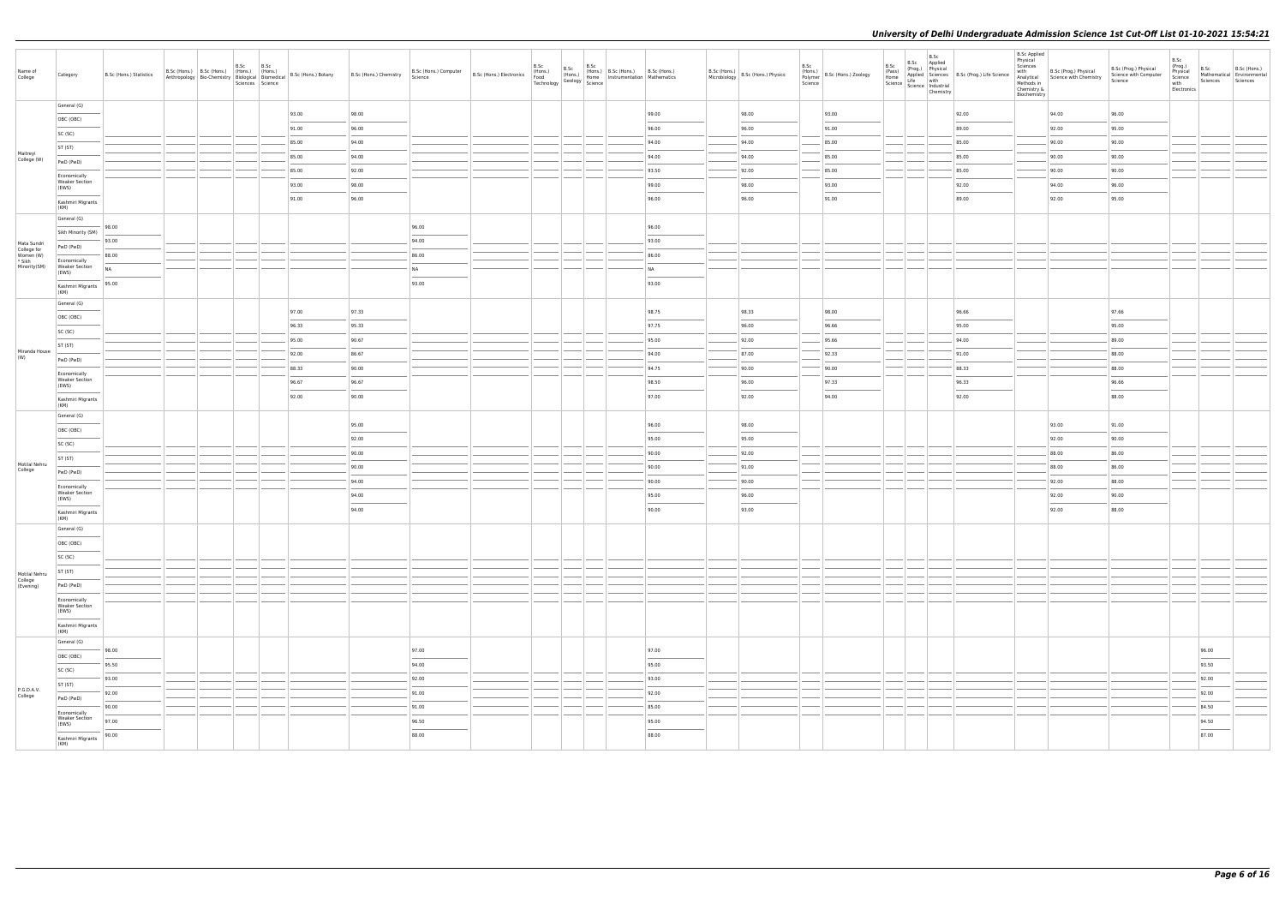| Name of<br>College                    | Category                                                                                                                                                                                                                                                                                                                                                                                                                                                                                                | B.Sc (Hons.) Statistics                                                                                                                                                                                                                                                                                                                                                                                                                                                             |  | B.Sc<br>B.Sc<br>B.Sc (Hons.) B.Sc (Hons.) (Hons.) (Hons.)<br>Sciences Science | Anthropology   Bio-Chemistry   Biological   Biomedical   B.Sc (Hons.) Botany | B.Sc (Hons.) Chemistry | B.Sc (Hons.) Computer<br>Science | B.Sc (Hons.) Electronics<br>Food<br>Technology | B.Sc | B.Sc<br>B.Sc<br>(Hons.)   (Hons.)   D.3C (Hons.)   D.2C (Hons.)   Home   Instrumentation   Mathematics<br>$\frac{1}{2}$ Geology $\frac{1}{2}$ Science | (Hons.) B.Sc (Hons.) B.Sc (Hons.) |                                   | B.Sc (Hons.) B.Sc (Hons.) Physics<br>Microbiology B.Sc (Hons.) Physics | B.Sc | $\begin{array}{c}\n\left(\text{r}(\text{v})\right) \text{log}(\text{v}) \\ \text{Polymer} \\ \text{Science}\n\end{array}$ B.Sc (Hons.) Zoology | B.Sc<br>(Pass) | B.Sc<br>B.Sc Applied<br>$\begin{array}{ l c c c }\n\hline \text{Home} & \text{Appn--} & \text{with} & \text{Science} & \text{with} & \text{Science} & \text{inductial} & \text{Science} & \text{inductial} & \text{Science} & \text{Chemistr} & \text{Sicience} & \text{Sicence} & \text{Sicence} & \text{Sicence} & \text{Sicence} & \text{Sicence} & \text{Sicence} & \text{Sicence} & \text{Sicence} & \text{Sicence} & \text{Sicence} & \text{Sicence} & \text{Sicence} & \text{Sicence} & \text{Sicence}$ | (Prog.) Physical<br>Applied Sciences B.Sc (Prog.) Life Science<br>Life with | <b>B.Sc Applied</b><br>Physical<br>Sciences<br>with<br>Chemistry &<br>Biochemistry | B.Sc (Prog.) Physical<br>Analytical Science with Chemistry | B.Sc (Prog.) Physical<br>Science with Computer<br>Science | B.Sc<br>(Prog.)<br>Physical<br>Science<br>with<br>Electronics | B.Sc<br>B.Sc (Hons.)<br>Mathematical Environmental<br>Sciences<br>Sciences |
|---------------------------------------|---------------------------------------------------------------------------------------------------------------------------------------------------------------------------------------------------------------------------------------------------------------------------------------------------------------------------------------------------------------------------------------------------------------------------------------------------------------------------------------------------------|-------------------------------------------------------------------------------------------------------------------------------------------------------------------------------------------------------------------------------------------------------------------------------------------------------------------------------------------------------------------------------------------------------------------------------------------------------------------------------------|--|-------------------------------------------------------------------------------|------------------------------------------------------------------------------|------------------------|----------------------------------|------------------------------------------------|------|-------------------------------------------------------------------------------------------------------------------------------------------------------|-----------------------------------|-----------------------------------|------------------------------------------------------------------------|------|------------------------------------------------------------------------------------------------------------------------------------------------|----------------|----------------------------------------------------------------------------------------------------------------------------------------------------------------------------------------------------------------------------------------------------------------------------------------------------------------------------------------------------------------------------------------------------------------------------------------------------------------------------------------------------------------|-----------------------------------------------------------------------------|------------------------------------------------------------------------------------|------------------------------------------------------------|-----------------------------------------------------------|---------------------------------------------------------------|----------------------------------------------------------------------------|
|                                       | General (G)                                                                                                                                                                                                                                                                                                                                                                                                                                                                                             |                                                                                                                                                                                                                                                                                                                                                                                                                                                                                     |  |                                                                               | 93.00                                                                        | 98.00                  |                                  |                                                |      |                                                                                                                                                       |                                   | 99.00                             | 98.00                                                                  |      | 93.00                                                                                                                                          |                |                                                                                                                                                                                                                                                                                                                                                                                                                                                                                                                | 92.00                                                                       |                                                                                    | 94.00                                                      | 96.00                                                     |                                                               |                                                                            |
|                                       | OBC (OBC)                                                                                                                                                                                                                                                                                                                                                                                                                                                                                               |                                                                                                                                                                                                                                                                                                                                                                                                                                                                                     |  |                                                                               | 91.00                                                                        | 96.00                  |                                  |                                                |      |                                                                                                                                                       |                                   | 96.00                             | 96.00                                                                  |      | 91.00                                                                                                                                          |                |                                                                                                                                                                                                                                                                                                                                                                                                                                                                                                                | 89.00                                                                       |                                                                                    | 92.00                                                      | 95.00                                                     |                                                               |                                                                            |
|                                       | SC (SC)                                                                                                                                                                                                                                                                                                                                                                                                                                                                                                 |                                                                                                                                                                                                                                                                                                                                                                                                                                                                                     |  |                                                                               | 85.00                                                                        | 94.00                  |                                  |                                                |      |                                                                                                                                                       |                                   | 94.00                             | 94.00                                                                  |      | 85.00                                                                                                                                          |                |                                                                                                                                                                                                                                                                                                                                                                                                                                                                                                                | 85.00                                                                       |                                                                                    | 90.00                                                      | 90.00                                                     |                                                               |                                                                            |
| Maitreyi<br>College (W)               | ST (ST)                                                                                                                                                                                                                                                                                                                                                                                                                                                                                                 |                                                                                                                                                                                                                                                                                                                                                                                                                                                                                     |  |                                                                               | 85.00                                                                        | 94.00                  |                                  |                                                |      |                                                                                                                                                       |                                   | 94.00                             | 94.00                                                                  |      | 85.00                                                                                                                                          |                |                                                                                                                                                                                                                                                                                                                                                                                                                                                                                                                | 85.00                                                                       |                                                                                    | 90.00                                                      | 90.00                                                     |                                                               |                                                                            |
|                                       | PwD (PwD)                                                                                                                                                                                                                                                                                                                                                                                                                                                                                               |                                                                                                                                                                                                                                                                                                                                                                                                                                                                                     |  |                                                                               | 85.00                                                                        | 92.00                  |                                  |                                                |      |                                                                                                                                                       |                                   | 93.50                             | 92.00                                                                  |      | 85.00                                                                                                                                          |                |                                                                                                                                                                                                                                                                                                                                                                                                                                                                                                                | 85.00                                                                       |                                                                                    | 90.00                                                      | 90.00                                                     |                                                               |                                                                            |
|                                       | Economically<br><b>Weaker Section</b><br>(EWS)                                                                                                                                                                                                                                                                                                                                                                                                                                                          |                                                                                                                                                                                                                                                                                                                                                                                                                                                                                     |  |                                                                               | 93.00                                                                        | 98.00                  |                                  |                                                |      |                                                                                                                                                       |                                   | 99.00                             | 98.00                                                                  |      | 93.00                                                                                                                                          |                |                                                                                                                                                                                                                                                                                                                                                                                                                                                                                                                | 92.00                                                                       |                                                                                    | 94.00                                                      | 96.00                                                     |                                                               |                                                                            |
|                                       | Kashmiri Migrants                                                                                                                                                                                                                                                                                                                                                                                                                                                                                       |                                                                                                                                                                                                                                                                                                                                                                                                                                                                                     |  |                                                                               | 91.00                                                                        | 96.00                  |                                  |                                                |      |                                                                                                                                                       |                                   | 96.00                             | 96.00                                                                  |      | 91.00                                                                                                                                          |                |                                                                                                                                                                                                                                                                                                                                                                                                                                                                                                                | 89.00                                                                       |                                                                                    | 92.00                                                      | 95.00                                                     |                                                               |                                                                            |
|                                       | (KM)<br>General (G)                                                                                                                                                                                                                                                                                                                                                                                                                                                                                     |                                                                                                                                                                                                                                                                                                                                                                                                                                                                                     |  |                                                                               |                                                                              |                        |                                  |                                                |      |                                                                                                                                                       |                                   |                                   |                                                                        |      |                                                                                                                                                |                |                                                                                                                                                                                                                                                                                                                                                                                                                                                                                                                |                                                                             |                                                                                    |                                                            |                                                           |                                                               |                                                                            |
|                                       | Sikh Minority (SM)                                                                                                                                                                                                                                                                                                                                                                                                                                                                                      | 98.00                                                                                                                                                                                                                                                                                                                                                                                                                                                                               |  |                                                                               |                                                                              |                        | 96.00                            |                                                |      |                                                                                                                                                       |                                   | 96.00                             |                                                                        |      |                                                                                                                                                |                |                                                                                                                                                                                                                                                                                                                                                                                                                                                                                                                |                                                                             |                                                                                    |                                                            |                                                           |                                                               |                                                                            |
| Mata Sundri                           | PwD (PwD)                                                                                                                                                                                                                                                                                                                                                                                                                                                                                               | 93.00                                                                                                                                                                                                                                                                                                                                                                                                                                                                               |  |                                                                               |                                                                              |                        | 94.00                            |                                                |      |                                                                                                                                                       |                                   | 93.00                             |                                                                        |      |                                                                                                                                                |                |                                                                                                                                                                                                                                                                                                                                                                                                                                                                                                                |                                                                             |                                                                                    |                                                            |                                                           |                                                               |                                                                            |
| College for<br>Women (W)<br>* Sikh    | Economically                                                                                                                                                                                                                                                                                                                                                                                                                                                                                            | 88.00                                                                                                                                                                                                                                                                                                                                                                                                                                                                               |  |                                                                               |                                                                              |                        | 86.00                            |                                                |      |                                                                                                                                                       |                                   | 86.00                             |                                                                        |      |                                                                                                                                                |                |                                                                                                                                                                                                                                                                                                                                                                                                                                                                                                                |                                                                             |                                                                                    |                                                            |                                                           |                                                               |                                                                            |
| Minority(SM)                          | <b>Weaker Section</b><br>(EWS)                                                                                                                                                                                                                                                                                                                                                                                                                                                                          | NA                                                                                                                                                                                                                                                                                                                                                                                                                                                                                  |  |                                                                               |                                                                              |                        | NA                               |                                                |      |                                                                                                                                                       |                                   | NA                                |                                                                        |      |                                                                                                                                                |                |                                                                                                                                                                                                                                                                                                                                                                                                                                                                                                                |                                                                             |                                                                                    |                                                            |                                                           |                                                               |                                                                            |
|                                       | Kashmiri Migrants                                                                                                                                                                                                                                                                                                                                                                                                                                                                                       | 95.00                                                                                                                                                                                                                                                                                                                                                                                                                                                                               |  |                                                                               |                                                                              |                        | 93.00                            |                                                |      |                                                                                                                                                       |                                   | 93.00                             |                                                                        |      |                                                                                                                                                |                |                                                                                                                                                                                                                                                                                                                                                                                                                                                                                                                |                                                                             |                                                                                    |                                                            |                                                           |                                                               |                                                                            |
|                                       | (KM)<br>General (G)                                                                                                                                                                                                                                                                                                                                                                                                                                                                                     |                                                                                                                                                                                                                                                                                                                                                                                                                                                                                     |  |                                                                               |                                                                              |                        |                                  |                                                |      |                                                                                                                                                       |                                   |                                   |                                                                        |      |                                                                                                                                                |                |                                                                                                                                                                                                                                                                                                                                                                                                                                                                                                                |                                                                             |                                                                                    |                                                            |                                                           |                                                               |                                                                            |
|                                       | OBC (OBC)                                                                                                                                                                                                                                                                                                                                                                                                                                                                                               |                                                                                                                                                                                                                                                                                                                                                                                                                                                                                     |  |                                                                               | 97.00                                                                        | 97.33                  |                                  |                                                |      |                                                                                                                                                       |                                   | 98.75                             | 98.33                                                                  |      | 98.00                                                                                                                                          |                |                                                                                                                                                                                                                                                                                                                                                                                                                                                                                                                | 96.66                                                                       |                                                                                    |                                                            | 97.66                                                     |                                                               |                                                                            |
|                                       | SC (SC)                                                                                                                                                                                                                                                                                                                                                                                                                                                                                                 |                                                                                                                                                                                                                                                                                                                                                                                                                                                                                     |  |                                                                               | 96.33                                                                        | 95.33                  |                                  |                                                |      |                                                                                                                                                       |                                   | 97.75                             | 96.00                                                                  |      | 96.66                                                                                                                                          |                |                                                                                                                                                                                                                                                                                                                                                                                                                                                                                                                | 95.00                                                                       |                                                                                    |                                                            | 95.00                                                     |                                                               |                                                                            |
|                                       | ST (ST)                                                                                                                                                                                                                                                                                                                                                                                                                                                                                                 |                                                                                                                                                                                                                                                                                                                                                                                                                                                                                     |  |                                                                               | 95.00                                                                        | 90.67                  |                                  |                                                |      |                                                                                                                                                       |                                   | 95.00                             | 92.00                                                                  |      | 95.66                                                                                                                                          |                |                                                                                                                                                                                                                                                                                                                                                                                                                                                                                                                | 94.00                                                                       |                                                                                    |                                                            | 89.00                                                     |                                                               |                                                                            |
| Miranda House<br>(W)                  | PwD (PwD)                                                                                                                                                                                                                                                                                                                                                                                                                                                                                               |                                                                                                                                                                                                                                                                                                                                                                                                                                                                                     |  |                                                                               | 92.00                                                                        | 86.67                  |                                  |                                                |      |                                                                                                                                                       |                                   | 94.00                             | 87.00                                                                  |      | 92.33                                                                                                                                          |                |                                                                                                                                                                                                                                                                                                                                                                                                                                                                                                                | 91.00                                                                       |                                                                                    |                                                            | 88.00                                                     |                                                               |                                                                            |
|                                       | Economically                                                                                                                                                                                                                                                                                                                                                                                                                                                                                            |                                                                                                                                                                                                                                                                                                                                                                                                                                                                                     |  |                                                                               | 88.33                                                                        | 90.00                  |                                  |                                                |      |                                                                                                                                                       |                                   | 94.75                             | 90.00                                                                  |      | 90.00                                                                                                                                          |                |                                                                                                                                                                                                                                                                                                                                                                                                                                                                                                                | 88.33                                                                       |                                                                                    |                                                            | 88.00                                                     |                                                               |                                                                            |
|                                       | <b>Weaker Section</b><br>(EWS)                                                                                                                                                                                                                                                                                                                                                                                                                                                                          |                                                                                                                                                                                                                                                                                                                                                                                                                                                                                     |  |                                                                               | 96.67                                                                        | 96.67                  |                                  |                                                |      |                                                                                                                                                       |                                   | 98.50                             | 96.00                                                                  |      | 97.33                                                                                                                                          |                |                                                                                                                                                                                                                                                                                                                                                                                                                                                                                                                | 96.33                                                                       |                                                                                    |                                                            | 96.66                                                     |                                                               |                                                                            |
|                                       | Kashmiri Migrants                                                                                                                                                                                                                                                                                                                                                                                                                                                                                       |                                                                                                                                                                                                                                                                                                                                                                                                                                                                                     |  |                                                                               | 92.00                                                                        | 90.00                  |                                  |                                                |      |                                                                                                                                                       |                                   | 97.00                             | 92.00                                                                  |      | 94.00                                                                                                                                          |                |                                                                                                                                                                                                                                                                                                                                                                                                                                                                                                                | 92.00                                                                       |                                                                                    |                                                            | 88.00                                                     |                                                               |                                                                            |
|                                       | (KM)<br>General (G)                                                                                                                                                                                                                                                                                                                                                                                                                                                                                     |                                                                                                                                                                                                                                                                                                                                                                                                                                                                                     |  |                                                                               |                                                                              |                        |                                  |                                                |      |                                                                                                                                                       |                                   |                                   |                                                                        |      |                                                                                                                                                |                |                                                                                                                                                                                                                                                                                                                                                                                                                                                                                                                |                                                                             |                                                                                    |                                                            |                                                           |                                                               |                                                                            |
|                                       | OBC (OBC)                                                                                                                                                                                                                                                                                                                                                                                                                                                                                               |                                                                                                                                                                                                                                                                                                                                                                                                                                                                                     |  |                                                                               |                                                                              | 95.00                  |                                  |                                                |      |                                                                                                                                                       |                                   | 96.00                             | 98.00                                                                  |      |                                                                                                                                                |                |                                                                                                                                                                                                                                                                                                                                                                                                                                                                                                                |                                                                             |                                                                                    | 93.00                                                      | 91.00                                                     |                                                               |                                                                            |
|                                       | SC (SC)                                                                                                                                                                                                                                                                                                                                                                                                                                                                                                 |                                                                                                                                                                                                                                                                                                                                                                                                                                                                                     |  |                                                                               |                                                                              | 92.00                  |                                  |                                                |      |                                                                                                                                                       |                                   | 95.00                             | 95.00                                                                  |      |                                                                                                                                                |                |                                                                                                                                                                                                                                                                                                                                                                                                                                                                                                                |                                                                             |                                                                                    | 92.00                                                      | 90.00                                                     |                                                               |                                                                            |
|                                       | ST (ST)                                                                                                                                                                                                                                                                                                                                                                                                                                                                                                 |                                                                                                                                                                                                                                                                                                                                                                                                                                                                                     |  |                                                                               |                                                                              | 90.00                  |                                  |                                                |      |                                                                                                                                                       |                                   | 90.00                             | 92.00                                                                  |      |                                                                                                                                                |                |                                                                                                                                                                                                                                                                                                                                                                                                                                                                                                                |                                                                             |                                                                                    | 88.00                                                      | 86.00                                                     |                                                               |                                                                            |
| Motilal Nehru<br>College              | PwD (PwD)                                                                                                                                                                                                                                                                                                                                                                                                                                                                                               |                                                                                                                                                                                                                                                                                                                                                                                                                                                                                     |  |                                                                               |                                                                              | 90.00                  |                                  |                                                |      |                                                                                                                                                       |                                   | 90.00                             | 91.00                                                                  |      |                                                                                                                                                |                |                                                                                                                                                                                                                                                                                                                                                                                                                                                                                                                |                                                                             |                                                                                    | 88.00                                                      | 86.00                                                     |                                                               |                                                                            |
|                                       |                                                                                                                                                                                                                                                                                                                                                                                                                                                                                                         |                                                                                                                                                                                                                                                                                                                                                                                                                                                                                     |  |                                                                               |                                                                              | 94.00                  |                                  |                                                |      |                                                                                                                                                       |                                   | 90.00                             | 90.00                                                                  |      |                                                                                                                                                |                |                                                                                                                                                                                                                                                                                                                                                                                                                                                                                                                |                                                                             |                                                                                    | 92.00                                                      | 88.00                                                     |                                                               |                                                                            |
|                                       | Economically<br><b>Weaker Section</b><br>(EWS)                                                                                                                                                                                                                                                                                                                                                                                                                                                          |                                                                                                                                                                                                                                                                                                                                                                                                                                                                                     |  |                                                                               |                                                                              | 94.00                  |                                  |                                                |      |                                                                                                                                                       |                                   | 95.00                             | 96.00                                                                  |      |                                                                                                                                                |                |                                                                                                                                                                                                                                                                                                                                                                                                                                                                                                                |                                                                             |                                                                                    | 92.00                                                      | 90.00                                                     |                                                               |                                                                            |
|                                       | Kashmiri Migrants                                                                                                                                                                                                                                                                                                                                                                                                                                                                                       |                                                                                                                                                                                                                                                                                                                                                                                                                                                                                     |  |                                                                               |                                                                              | 94.00                  |                                  |                                                |      |                                                                                                                                                       |                                   | 90.00                             | 93.00                                                                  |      |                                                                                                                                                |                |                                                                                                                                                                                                                                                                                                                                                                                                                                                                                                                |                                                                             |                                                                                    | 92.00                                                      | 88.00                                                     |                                                               |                                                                            |
|                                       | (KM)<br>General (G)                                                                                                                                                                                                                                                                                                                                                                                                                                                                                     |                                                                                                                                                                                                                                                                                                                                                                                                                                                                                     |  |                                                                               |                                                                              |                        |                                  |                                                |      |                                                                                                                                                       |                                   |                                   |                                                                        |      |                                                                                                                                                |                |                                                                                                                                                                                                                                                                                                                                                                                                                                                                                                                |                                                                             |                                                                                    |                                                            |                                                           |                                                               |                                                                            |
|                                       | OBC (OBC)                                                                                                                                                                                                                                                                                                                                                                                                                                                                                               |                                                                                                                                                                                                                                                                                                                                                                                                                                                                                     |  |                                                                               |                                                                              |                        |                                  |                                                |      |                                                                                                                                                       |                                   |                                   |                                                                        |      |                                                                                                                                                |                |                                                                                                                                                                                                                                                                                                                                                                                                                                                                                                                |                                                                             |                                                                                    |                                                            |                                                           |                                                               |                                                                            |
|                                       | SC (SC)                                                                                                                                                                                                                                                                                                                                                                                                                                                                                                 |                                                                                                                                                                                                                                                                                                                                                                                                                                                                                     |  |                                                                               |                                                                              |                        |                                  |                                                |      |                                                                                                                                                       |                                   |                                   |                                                                        |      |                                                                                                                                                |                |                                                                                                                                                                                                                                                                                                                                                                                                                                                                                                                |                                                                             |                                                                                    |                                                            |                                                           |                                                               |                                                                            |
|                                       | ST (ST)                                                                                                                                                                                                                                                                                                                                                                                                                                                                                                 |                                                                                                                                                                                                                                                                                                                                                                                                                                                                                     |  |                                                                               |                                                                              |                        |                                  |                                                |      |                                                                                                                                                       |                                   |                                   |                                                                        |      |                                                                                                                                                |                |                                                                                                                                                                                                                                                                                                                                                                                                                                                                                                                |                                                                             |                                                                                    |                                                            |                                                           |                                                               |                                                                            |
| Motilal Nehru<br>College<br>(Evening) | PwD (PwD)                                                                                                                                                                                                                                                                                                                                                                                                                                                                                               |                                                                                                                                                                                                                                                                                                                                                                                                                                                                                     |  |                                                                               |                                                                              |                        |                                  |                                                |      |                                                                                                                                                       |                                   |                                   |                                                                        |      |                                                                                                                                                |                |                                                                                                                                                                                                                                                                                                                                                                                                                                                                                                                |                                                                             |                                                                                    |                                                            |                                                           |                                                               |                                                                            |
|                                       | Economically                                                                                                                                                                                                                                                                                                                                                                                                                                                                                            |                                                                                                                                                                                                                                                                                                                                                                                                                                                                                     |  |                                                                               |                                                                              |                        |                                  |                                                |      |                                                                                                                                                       |                                   |                                   |                                                                        |      |                                                                                                                                                |                |                                                                                                                                                                                                                                                                                                                                                                                                                                                                                                                |                                                                             |                                                                                    |                                                            |                                                           |                                                               |                                                                            |
|                                       | <b>Weaker Section</b><br>(EWS)                                                                                                                                                                                                                                                                                                                                                                                                                                                                          |                                                                                                                                                                                                                                                                                                                                                                                                                                                                                     |  |                                                                               |                                                                              |                        |                                  |                                                |      |                                                                                                                                                       |                                   |                                   |                                                                        |      |                                                                                                                                                |                |                                                                                                                                                                                                                                                                                                                                                                                                                                                                                                                |                                                                             |                                                                                    |                                                            |                                                           |                                                               |                                                                            |
|                                       | Kashmiri Migrants<br>(KM)                                                                                                                                                                                                                                                                                                                                                                                                                                                                               |                                                                                                                                                                                                                                                                                                                                                                                                                                                                                     |  |                                                                               |                                                                              |                        |                                  |                                                |      |                                                                                                                                                       |                                   |                                   |                                                                        |      |                                                                                                                                                |                |                                                                                                                                                                                                                                                                                                                                                                                                                                                                                                                |                                                                             |                                                                                    |                                                            |                                                           |                                                               |                                                                            |
|                                       | General (G)                                                                                                                                                                                                                                                                                                                                                                                                                                                                                             |                                                                                                                                                                                                                                                                                                                                                                                                                                                                                     |  |                                                                               |                                                                              |                        |                                  |                                                |      |                                                                                                                                                       |                                   |                                   |                                                                        |      |                                                                                                                                                |                |                                                                                                                                                                                                                                                                                                                                                                                                                                                                                                                |                                                                             |                                                                                    |                                                            |                                                           |                                                               |                                                                            |
|                                       | OBC (OBC)                                                                                                                                                                                                                                                                                                                                                                                                                                                                                               | 98.00<br>$\frac{1}{2} \left( \frac{1}{2} \right) \left( \frac{1}{2} \right) \left( \frac{1}{2} \right) \left( \frac{1}{2} \right) \left( \frac{1}{2} \right) \left( \frac{1}{2} \right) \left( \frac{1}{2} \right) \left( \frac{1}{2} \right) \left( \frac{1}{2} \right) \left( \frac{1}{2} \right) \left( \frac{1}{2} \right) \left( \frac{1}{2} \right) \left( \frac{1}{2} \right) \left( \frac{1}{2} \right) \left( \frac{1}{2} \right) \left( \frac{1}{2} \right) \left( \frac$ |  |                                                                               |                                                                              |                        | 97.00                            |                                                |      |                                                                                                                                                       |                                   | 97.00<br>$\overline{\phantom{a}}$ |                                                                        |      |                                                                                                                                                |                |                                                                                                                                                                                                                                                                                                                                                                                                                                                                                                                |                                                                             |                                                                                    |                                                            |                                                           |                                                               | 96.00<br>$\overline{\phantom{a}}$                                          |
|                                       | SC (SC)                                                                                                                                                                                                                                                                                                                                                                                                                                                                                                 | 95.50                                                                                                                                                                                                                                                                                                                                                                                                                                                                               |  |                                                                               |                                                                              |                        | 94.00                            |                                                |      |                                                                                                                                                       |                                   | 95.00                             |                                                                        |      |                                                                                                                                                |                |                                                                                                                                                                                                                                                                                                                                                                                                                                                                                                                |                                                                             |                                                                                    |                                                            |                                                           |                                                               | 93.50                                                                      |
|                                       | ST (ST)                                                                                                                                                                                                                                                                                                                                                                                                                                                                                                 | 93.00<br>---                                                                                                                                                                                                                                                                                                                                                                                                                                                                        |  |                                                                               |                                                                              |                        | 92.00                            |                                                |      |                                                                                                                                                       |                                   | 93.00                             |                                                                        |      |                                                                                                                                                |                |                                                                                                                                                                                                                                                                                                                                                                                                                                                                                                                |                                                                             |                                                                                    |                                                            |                                                           |                                                               | 92.00                                                                      |
| P.G.D.A.V.<br>College                 | PwD (PwD)                                                                                                                                                                                                                                                                                                                                                                                                                                                                                               | 92.00                                                                                                                                                                                                                                                                                                                                                                                                                                                                               |  |                                                                               |                                                                              |                        | 91.00                            |                                                |      |                                                                                                                                                       |                                   | 92.00                             |                                                                        |      |                                                                                                                                                |                |                                                                                                                                                                                                                                                                                                                                                                                                                                                                                                                |                                                                             |                                                                                    |                                                            |                                                           |                                                               | 92.00                                                                      |
|                                       | Economically                                                                                                                                                                                                                                                                                                                                                                                                                                                                                            | 90.00                                                                                                                                                                                                                                                                                                                                                                                                                                                                               |  |                                                                               |                                                                              |                        | 91.00                            |                                                |      |                                                                                                                                                       |                                   | 85.00                             |                                                                        |      |                                                                                                                                                |                |                                                                                                                                                                                                                                                                                                                                                                                                                                                                                                                |                                                                             |                                                                                    |                                                            |                                                           |                                                               | 84.50                                                                      |
|                                       | <b>Weaker Section</b><br>(EWS)                                                                                                                                                                                                                                                                                                                                                                                                                                                                          | 97.00                                                                                                                                                                                                                                                                                                                                                                                                                                                                               |  |                                                                               |                                                                              |                        | 96.50                            |                                                |      |                                                                                                                                                       |                                   | 95.00<br>$\overline{\phantom{a}}$ |                                                                        |      |                                                                                                                                                |                |                                                                                                                                                                                                                                                                                                                                                                                                                                                                                                                |                                                                             |                                                                                    |                                                            |                                                           |                                                               | 94.50                                                                      |
|                                       | $\frac{1}{2} \left( \frac{1}{2} \right) \left( \frac{1}{2} \right) \left( \frac{1}{2} \right) \left( \frac{1}{2} \right) \left( \frac{1}{2} \right) \left( \frac{1}{2} \right) \left( \frac{1}{2} \right) \left( \frac{1}{2} \right) \left( \frac{1}{2} \right) \left( \frac{1}{2} \right) \left( \frac{1}{2} \right) \left( \frac{1}{2} \right) \left( \frac{1}{2} \right) \left( \frac{1}{2} \right) \left( \frac{1}{2} \right) \left( \frac{1}{2} \right) \left( \frac$<br>Kashmiri Migrants<br>(KM) | 90.00                                                                                                                                                                                                                                                                                                                                                                                                                                                                               |  |                                                                               |                                                                              |                        | $\sim$<br>88.00                  |                                                |      |                                                                                                                                                       |                                   | 88.00                             |                                                                        |      |                                                                                                                                                |                |                                                                                                                                                                                                                                                                                                                                                                                                                                                                                                                |                                                                             |                                                                                    |                                                            |                                                           |                                                               | $\frac{1}{2}$<br>87.00                                                     |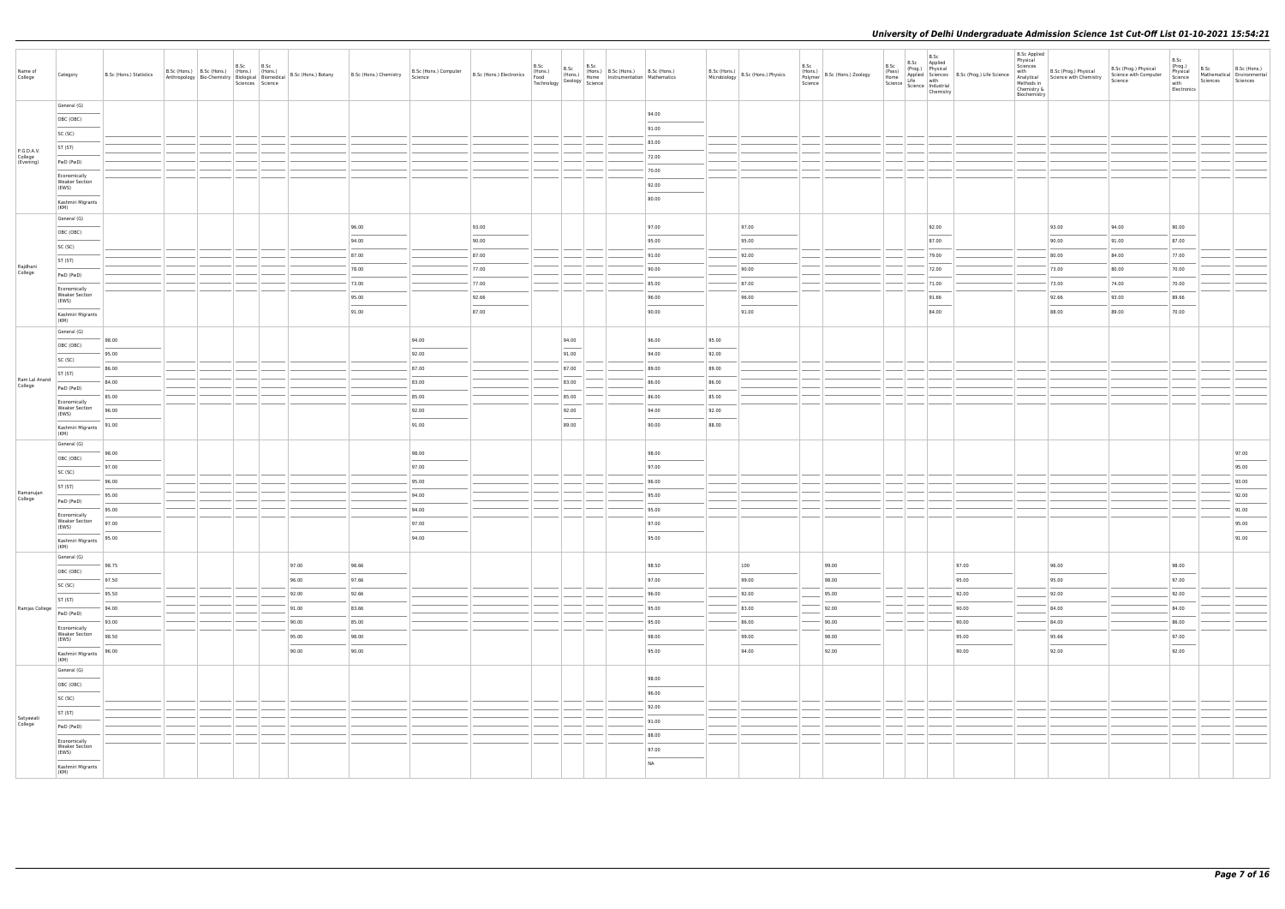| Name of<br>College                 | Category                                       | B.Sc (Hons.) Statistics           |  | B.Sc | B.Sc |       |       | B.Sc (Hons.) B.Sc (Hons.) B.Sc (Hons.) B.Sc (Hons.) B.Sc (Hons.) B.Sc (Hons.) B.Sc (Hons.) B.Sc (Hons.) B.Sc (Hons.) B.Sc (Hons.) B.Sc (Hons.) B.Sc (Hons.) B.Sc (Hons.) B.Sc (Hons.) B.Sc (Hons.) B.Sc (Hons.) B.Sc (Hons.) C |       | B.Sc  | B.Sc<br>(Hons.) B.Sc (Hons.) B.Sc (Hons.)<br>Home Instrumentation Mathematics |                                                                                                                                                                                                                                                                                                                                                                                                                                                                                     |       | B.Sc (Hons.)<br>Microbiology B.Sc (Hons.) Physics | B.Sc<br>Science | (Hons.)<br>Polymer B.Sc (Hons.) Zoology | B.Sc | B.Sc<br>B.Sc Applied<br>Chemistry | B.S.C. (Prog.) Physical<br>(Prog.) Physical<br>Applied Science<br>Science Industrial<br>Science Industrial<br>Science Industrial | B.Sc Applied<br>Physical<br>Sciences<br>with<br>Analytical<br>Methods in<br>Chemistry &<br>Biochemistry | B.Sc (Prog.) Physical<br>Science with Chemistry | B.Sc (Prog.) Physical<br>Science with Computer<br>Science | B.Sc<br>(Prog.)<br>Physical<br>Science<br>with<br>Electronics | Sciences | B.Sc Mathematical B.Sc (Hons.)<br>Sciences |
|------------------------------------|------------------------------------------------|-----------------------------------|--|------|------|-------|-------|--------------------------------------------------------------------------------------------------------------------------------------------------------------------------------------------------------------------------------|-------|-------|-------------------------------------------------------------------------------|-------------------------------------------------------------------------------------------------------------------------------------------------------------------------------------------------------------------------------------------------------------------------------------------------------------------------------------------------------------------------------------------------------------------------------------------------------------------------------------|-------|---------------------------------------------------|-----------------|-----------------------------------------|------|-----------------------------------|----------------------------------------------------------------------------------------------------------------------------------|---------------------------------------------------------------------------------------------------------|-------------------------------------------------|-----------------------------------------------------------|---------------------------------------------------------------|----------|--------------------------------------------|
|                                    | General (G)                                    |                                   |  |      |      |       |       |                                                                                                                                                                                                                                |       |       |                                                                               | 94.00                                                                                                                                                                                                                                                                                                                                                                                                                                                                               |       |                                                   |                 |                                         |      |                                   |                                                                                                                                  |                                                                                                         |                                                 |                                                           |                                                               |          |                                            |
|                                    | OBC (OBC)                                      |                                   |  |      |      |       |       |                                                                                                                                                                                                                                |       |       |                                                                               | 91.00                                                                                                                                                                                                                                                                                                                                                                                                                                                                               |       |                                                   |                 |                                         |      |                                   |                                                                                                                                  |                                                                                                         |                                                 |                                                           |                                                               |          |                                            |
|                                    | SC (SC)                                        |                                   |  |      |      |       |       |                                                                                                                                                                                                                                |       |       |                                                                               | 83.00                                                                                                                                                                                                                                                                                                                                                                                                                                                                               |       |                                                   |                 |                                         |      |                                   |                                                                                                                                  |                                                                                                         |                                                 |                                                           |                                                               |          |                                            |
| P.G.D.A.V.<br>College<br>(Evening) | ST (ST)                                        |                                   |  |      |      |       |       |                                                                                                                                                                                                                                |       |       |                                                                               | 72.00                                                                                                                                                                                                                                                                                                                                                                                                                                                                               |       |                                                   |                 |                                         |      |                                   |                                                                                                                                  |                                                                                                         |                                                 |                                                           |                                                               |          |                                            |
|                                    | PwD (PwD)                                      |                                   |  |      |      |       |       |                                                                                                                                                                                                                                |       |       |                                                                               | 70.00                                                                                                                                                                                                                                                                                                                                                                                                                                                                               |       |                                                   |                 |                                         |      |                                   |                                                                                                                                  |                                                                                                         |                                                 |                                                           |                                                               |          |                                            |
|                                    | Economically<br><b>Weaker Section</b><br>(EWS) |                                   |  |      |      |       |       |                                                                                                                                                                                                                                |       |       |                                                                               | 92.00                                                                                                                                                                                                                                                                                                                                                                                                                                                                               |       |                                                   |                 |                                         |      |                                   |                                                                                                                                  |                                                                                                         |                                                 |                                                           |                                                               |          |                                            |
|                                    | Kashmiri Migrants                              |                                   |  |      |      |       |       |                                                                                                                                                                                                                                |       |       |                                                                               | $\frac{1}{2} \left( \frac{1}{2} \right) \left( \frac{1}{2} \right) \left( \frac{1}{2} \right) \left( \frac{1}{2} \right) \left( \frac{1}{2} \right) \left( \frac{1}{2} \right) \left( \frac{1}{2} \right) \left( \frac{1}{2} \right) \left( \frac{1}{2} \right) \left( \frac{1}{2} \right) \left( \frac{1}{2} \right) \left( \frac{1}{2} \right) \left( \frac{1}{2} \right) \left( \frac{1}{2} \right) \left( \frac{1}{2} \right) \left( \frac{1}{2} \right) \left( \frac$<br>80.00 |       |                                                   |                 |                                         |      |                                   |                                                                                                                                  |                                                                                                         |                                                 |                                                           |                                                               |          |                                            |
|                                    | (KM)                                           |                                   |  |      |      |       |       |                                                                                                                                                                                                                                |       |       |                                                                               |                                                                                                                                                                                                                                                                                                                                                                                                                                                                                     |       |                                                   |                 |                                         |      |                                   |                                                                                                                                  |                                                                                                         |                                                 |                                                           |                                                               |          |                                            |
|                                    | General (G)<br>OBC (OBC)                       |                                   |  |      |      |       | 96.00 |                                                                                                                                                                                                                                | 93.00 |       |                                                                               | 97.00                                                                                                                                                                                                                                                                                                                                                                                                                                                                               |       | 97.00                                             |                 |                                         |      | 92.00                             |                                                                                                                                  |                                                                                                         | 93.00                                           | 94.00                                                     | 90.00                                                         |          |                                            |
|                                    | SC (SC)                                        |                                   |  |      |      |       | 94.00 |                                                                                                                                                                                                                                | 90.00 |       |                                                                               | 95.00                                                                                                                                                                                                                                                                                                                                                                                                                                                                               |       | 95.00                                             |                 |                                         |      | 87.00                             |                                                                                                                                  |                                                                                                         | 90.00                                           | 91.00                                                     | 87.00                                                         |          |                                            |
|                                    | ST (ST)                                        |                                   |  |      |      |       | 87.00 |                                                                                                                                                                                                                                | 87.00 |       |                                                                               | 91.00                                                                                                                                                                                                                                                                                                                                                                                                                                                                               |       | 92.00                                             |                 |                                         |      | 79.00                             |                                                                                                                                  |                                                                                                         | 80.00                                           | 84.00                                                     | 77.00                                                         |          |                                            |
| Rajdhani<br>College                | PwD (PwD)                                      |                                   |  |      |      |       | 78.00 |                                                                                                                                                                                                                                | 77.00 |       |                                                                               | 90.00                                                                                                                                                                                                                                                                                                                                                                                                                                                                               |       | 90.00                                             |                 |                                         |      | 72.00                             |                                                                                                                                  |                                                                                                         | 73.00                                           | 80.00                                                     | 70.00                                                         |          |                                            |
|                                    | Economically                                   |                                   |  |      |      |       | 73.00 |                                                                                                                                                                                                                                | 77.00 |       |                                                                               | 85.00                                                                                                                                                                                                                                                                                                                                                                                                                                                                               |       | 87.00                                             |                 |                                         |      | 71.00                             |                                                                                                                                  |                                                                                                         | 73.00                                           | 74.00                                                     | 70.00                                                         |          |                                            |
|                                    | <b>Weaker Section</b><br>(EWS)                 |                                   |  |      |      |       | 95.00 |                                                                                                                                                                                                                                | 92.66 |       |                                                                               | 96.00                                                                                                                                                                                                                                                                                                                                                                                                                                                                               |       | 96.00                                             |                 |                                         |      | 91.66                             |                                                                                                                                  |                                                                                                         | 92.66                                           | 93.00                                                     | 89.66                                                         |          |                                            |
|                                    | Kashmiri Migrants<br>(KM)                      |                                   |  |      |      |       | 91.00 |                                                                                                                                                                                                                                | 87.00 |       |                                                                               | 90.00                                                                                                                                                                                                                                                                                                                                                                                                                                                                               |       | 91.00                                             |                 |                                         |      | 84.00                             |                                                                                                                                  |                                                                                                         | 88.00                                           | 89.00                                                     | 70.00                                                         |          |                                            |
|                                    | General (G)                                    |                                   |  |      |      |       |       |                                                                                                                                                                                                                                |       |       |                                                                               |                                                                                                                                                                                                                                                                                                                                                                                                                                                                                     |       |                                                   |                 |                                         |      |                                   |                                                                                                                                  |                                                                                                         |                                                 |                                                           |                                                               |          |                                            |
|                                    | OBC (OBC)                                      | 98.00                             |  |      |      |       |       | 94.00                                                                                                                                                                                                                          |       | 94.00 |                                                                               | 96.00                                                                                                                                                                                                                                                                                                                                                                                                                                                                               | 95.00 |                                                   |                 |                                         |      |                                   |                                                                                                                                  |                                                                                                         |                                                 |                                                           |                                                               |          |                                            |
|                                    | SC (SC)                                        | 95.00                             |  |      |      |       |       | 92.00                                                                                                                                                                                                                          |       | 91.00 |                                                                               | 94.00                                                                                                                                                                                                                                                                                                                                                                                                                                                                               | 92.00 |                                                   |                 |                                         |      |                                   |                                                                                                                                  |                                                                                                         |                                                 |                                                           |                                                               |          |                                            |
|                                    | ST (ST)                                        | 86.00                             |  |      |      |       |       | 87.00                                                                                                                                                                                                                          |       | 87.00 |                                                                               | 89.00                                                                                                                                                                                                                                                                                                                                                                                                                                                                               | 89.00 |                                                   |                 |                                         |      |                                   |                                                                                                                                  |                                                                                                         |                                                 |                                                           |                                                               |          |                                            |
| Ram Lal Anand<br>College           | PwD (PwD)                                      | 84.00                             |  |      |      |       |       | 83.00                                                                                                                                                                                                                          |       | 83.00 |                                                                               | 86.00                                                                                                                                                                                                                                                                                                                                                                                                                                                                               | 86.00 |                                                   |                 |                                         |      |                                   |                                                                                                                                  |                                                                                                         |                                                 |                                                           |                                                               |          |                                            |
|                                    | Economically<br><b>Weaker Section</b>          | 85.00                             |  |      |      |       |       | 85.00                                                                                                                                                                                                                          |       | 85.00 |                                                                               | 86.00                                                                                                                                                                                                                                                                                                                                                                                                                                                                               | 85.00 |                                                   |                 |                                         |      |                                   |                                                                                                                                  |                                                                                                         |                                                 |                                                           |                                                               |          |                                            |
|                                    | (EWS)                                          | 96.00                             |  |      |      |       |       | 92.00                                                                                                                                                                                                                          |       | 92.00 |                                                                               | 94.00                                                                                                                                                                                                                                                                                                                                                                                                                                                                               | 92.00 |                                                   |                 |                                         |      |                                   |                                                                                                                                  |                                                                                                         |                                                 |                                                           |                                                               |          |                                            |
|                                    | Kashmiri Migrants<br>(KM)                      | 91.00                             |  |      |      |       |       | 91.00                                                                                                                                                                                                                          |       | 89.00 |                                                                               | 90.00                                                                                                                                                                                                                                                                                                                                                                                                                                                                               | 88.00 |                                                   |                 |                                         |      |                                   |                                                                                                                                  |                                                                                                         |                                                 |                                                           |                                                               |          |                                            |
|                                    | General (G)                                    | 98.00                             |  |      |      |       |       | 98.00                                                                                                                                                                                                                          |       |       |                                                                               | 98.00                                                                                                                                                                                                                                                                                                                                                                                                                                                                               |       |                                                   |                 |                                         |      |                                   |                                                                                                                                  |                                                                                                         |                                                 |                                                           |                                                               |          | 97.00                                      |
|                                    | OBC (OBC)                                      | 97.00                             |  |      |      |       |       | 97.00                                                                                                                                                                                                                          |       |       |                                                                               | 97.00                                                                                                                                                                                                                                                                                                                                                                                                                                                                               |       |                                                   |                 |                                         |      |                                   |                                                                                                                                  |                                                                                                         |                                                 |                                                           |                                                               |          | 95.00                                      |
|                                    | SC (SC)                                        | 96.00                             |  |      |      |       |       | 95.00                                                                                                                                                                                                                          |       |       |                                                                               | 96.00                                                                                                                                                                                                                                                                                                                                                                                                                                                                               |       |                                                   |                 |                                         |      |                                   |                                                                                                                                  |                                                                                                         |                                                 |                                                           |                                                               |          | 93.00                                      |
| Ramanujan                          | ST (ST)                                        | 95.00                             |  |      |      |       |       | 94.00                                                                                                                                                                                                                          |       |       |                                                                               | 95.00                                                                                                                                                                                                                                                                                                                                                                                                                                                                               |       |                                                   |                 |                                         |      |                                   |                                                                                                                                  |                                                                                                         |                                                 |                                                           |                                                               |          | 92.00                                      |
| College                            | PwD (PwD)                                      | 95.00                             |  |      |      |       |       | 94.00                                                                                                                                                                                                                          |       |       |                                                                               | 95.00                                                                                                                                                                                                                                                                                                                                                                                                                                                                               |       |                                                   |                 |                                         |      |                                   |                                                                                                                                  |                                                                                                         |                                                 |                                                           |                                                               |          | 91.00                                      |
|                                    | Economically<br><b>Weaker Section</b><br>(EWS) | 97.00                             |  |      |      |       |       | 97.00                                                                                                                                                                                                                          |       |       |                                                                               | 97.00                                                                                                                                                                                                                                                                                                                                                                                                                                                                               |       |                                                   |                 |                                         |      |                                   |                                                                                                                                  |                                                                                                         |                                                 |                                                           |                                                               |          | 95.00                                      |
|                                    | Kashmiri Migrants                              | 95.00                             |  |      |      |       |       | 94.00                                                                                                                                                                                                                          |       |       |                                                                               | 95.00                                                                                                                                                                                                                                                                                                                                                                                                                                                                               |       |                                                   |                 |                                         |      |                                   |                                                                                                                                  |                                                                                                         |                                                 |                                                           |                                                               |          | 91.00                                      |
|                                    | (KM)<br>General (G)                            |                                   |  |      |      |       |       |                                                                                                                                                                                                                                |       |       |                                                                               |                                                                                                                                                                                                                                                                                                                                                                                                                                                                                     |       |                                                   |                 |                                         |      |                                   |                                                                                                                                  |                                                                                                         |                                                 |                                                           |                                                               |          |                                            |
|                                    | OBC (OBC)                                      | 98.75                             |  |      |      | 97.00 | 98.66 |                                                                                                                                                                                                                                |       |       |                                                                               | 98.50                                                                                                                                                                                                                                                                                                                                                                                                                                                                               |       | 100                                               |                 | 99.00                                   |      |                                   | 97.00                                                                                                                            |                                                                                                         | 96.00                                           |                                                           | 98.00                                                         |          |                                            |
|                                    | SC (SC)                                        | 97.50<br>$\overline{\phantom{a}}$ |  |      |      | 96.00 | 97.66 |                                                                                                                                                                                                                                |       |       |                                                                               | 97.00                                                                                                                                                                                                                                                                                                                                                                                                                                                                               |       | 99.00                                             |                 | 98.00                                   |      |                                   | 95.00                                                                                                                            |                                                                                                         | 95.00                                           |                                                           | 97.00                                                         |          |                                            |
|                                    | ST (ST)                                        | 95.50                             |  |      |      | 92.00 | 92.66 |                                                                                                                                                                                                                                |       |       |                                                                               | 96.00                                                                                                                                                                                                                                                                                                                                                                                                                                                                               |       | 92.00                                             |                 | 95.00                                   |      |                                   | 92.00                                                                                                                            |                                                                                                         | 92.00                                           |                                                           | 92.00                                                         |          |                                            |
| Ramjas College                     | PwD (PwD)                                      | 94.00                             |  |      |      | 91.00 | 83.66 |                                                                                                                                                                                                                                |       |       |                                                                               | 95.00                                                                                                                                                                                                                                                                                                                                                                                                                                                                               |       | 83.00                                             |                 | 92.00                                   |      |                                   | 90.00                                                                                                                            |                                                                                                         | 84.00                                           |                                                           | 84.00                                                         |          |                                            |
|                                    | Economically                                   | 93.00                             |  |      |      | 90.00 | 85.00 |                                                                                                                                                                                                                                |       |       |                                                                               | 95.00                                                                                                                                                                                                                                                                                                                                                                                                                                                                               |       | 86.00                                             |                 | 90.00                                   |      |                                   | 90.00                                                                                                                            |                                                                                                         | 84.00                                           |                                                           | 86.00                                                         |          |                                            |
|                                    | Weaker Section<br>(EWS)                        | 98.50                             |  |      |      | 95.00 | 98.00 |                                                                                                                                                                                                                                |       |       |                                                                               | 98.00<br>$\frac{1}{2} \left( \frac{1}{2} \right) \left( \frac{1}{2} \right) \left( \frac{1}{2} \right) \left( \frac{1}{2} \right) \left( \frac{1}{2} \right) \left( \frac{1}{2} \right) \left( \frac{1}{2} \right) \left( \frac{1}{2} \right) \left( \frac{1}{2} \right) \left( \frac{1}{2} \right) \left( \frac{1}{2} \right) \left( \frac{1}{2} \right) \left( \frac{1}{2} \right) \left( \frac{1}{2} \right) \left( \frac{1}{2} \right) \left( \frac{1}{2} \right) \left( \frac$ |       | 99.00                                             |                 | 98.00                                   |      |                                   | 95.00                                                                                                                            |                                                                                                         | 95.66<br>$\sim$                                 |                                                           | 97.00<br>$\overline{\phantom{a}}$                             |          |                                            |
|                                    | Kashmiri Migrants<br>(KM)                      | 96.00                             |  |      |      | 90.00 | 90.00 |                                                                                                                                                                                                                                |       |       |                                                                               | 95.00                                                                                                                                                                                                                                                                                                                                                                                                                                                                               |       | 94.00                                             |                 | 92.00                                   |      |                                   | 90.00                                                                                                                            |                                                                                                         | 92.00                                           |                                                           | 92.00                                                         |          |                                            |
|                                    | General (G)                                    |                                   |  |      |      |       |       |                                                                                                                                                                                                                                |       |       |                                                                               |                                                                                                                                                                                                                                                                                                                                                                                                                                                                                     |       |                                                   |                 |                                         |      |                                   |                                                                                                                                  |                                                                                                         |                                                 |                                                           |                                                               |          |                                            |
|                                    | OBC (OBC)                                      |                                   |  |      |      |       |       |                                                                                                                                                                                                                                |       |       |                                                                               | 98.00                                                                                                                                                                                                                                                                                                                                                                                                                                                                               |       |                                                   |                 |                                         |      |                                   |                                                                                                                                  |                                                                                                         |                                                 |                                                           |                                                               |          |                                            |
|                                    | SC (SC)                                        |                                   |  |      |      |       |       |                                                                                                                                                                                                                                |       |       |                                                                               | 96.00                                                                                                                                                                                                                                                                                                                                                                                                                                                                               |       |                                                   |                 |                                         |      |                                   |                                                                                                                                  |                                                                                                         |                                                 |                                                           |                                                               |          |                                            |
| Satyawati                          | ST (ST)                                        |                                   |  |      |      |       |       |                                                                                                                                                                                                                                |       |       |                                                                               | 92.00                                                                                                                                                                                                                                                                                                                                                                                                                                                                               |       |                                                   |                 |                                         |      |                                   |                                                                                                                                  |                                                                                                         |                                                 |                                                           |                                                               |          |                                            |
| College                            | PwD (PwD)                                      |                                   |  |      |      |       |       |                                                                                                                                                                                                                                |       |       |                                                                               | 91.00                                                                                                                                                                                                                                                                                                                                                                                                                                                                               |       |                                                   |                 |                                         |      |                                   |                                                                                                                                  |                                                                                                         |                                                 |                                                           |                                                               |          |                                            |
|                                    | Economically<br><b>Weaker Section</b>          |                                   |  |      |      |       |       |                                                                                                                                                                                                                                |       |       |                                                                               | 88.00                                                                                                                                                                                                                                                                                                                                                                                                                                                                               |       |                                                   |                 |                                         |      |                                   |                                                                                                                                  |                                                                                                         |                                                 |                                                           |                                                               |          |                                            |
|                                    | (EWS)                                          |                                   |  |      |      |       |       |                                                                                                                                                                                                                                |       |       |                                                                               | 97.00<br><b>NA</b>                                                                                                                                                                                                                                                                                                                                                                                                                                                                  |       |                                                   |                 |                                         |      |                                   |                                                                                                                                  |                                                                                                         |                                                 |                                                           |                                                               |          |                                            |
|                                    | Kashmiri Migrants<br>(KM)                      |                                   |  |      |      |       |       |                                                                                                                                                                                                                                |       |       |                                                                               |                                                                                                                                                                                                                                                                                                                                                                                                                                                                                     |       |                                                   |                 |                                         |      |                                   |                                                                                                                                  |                                                                                                         |                                                 |                                                           |                                                               |          |                                            |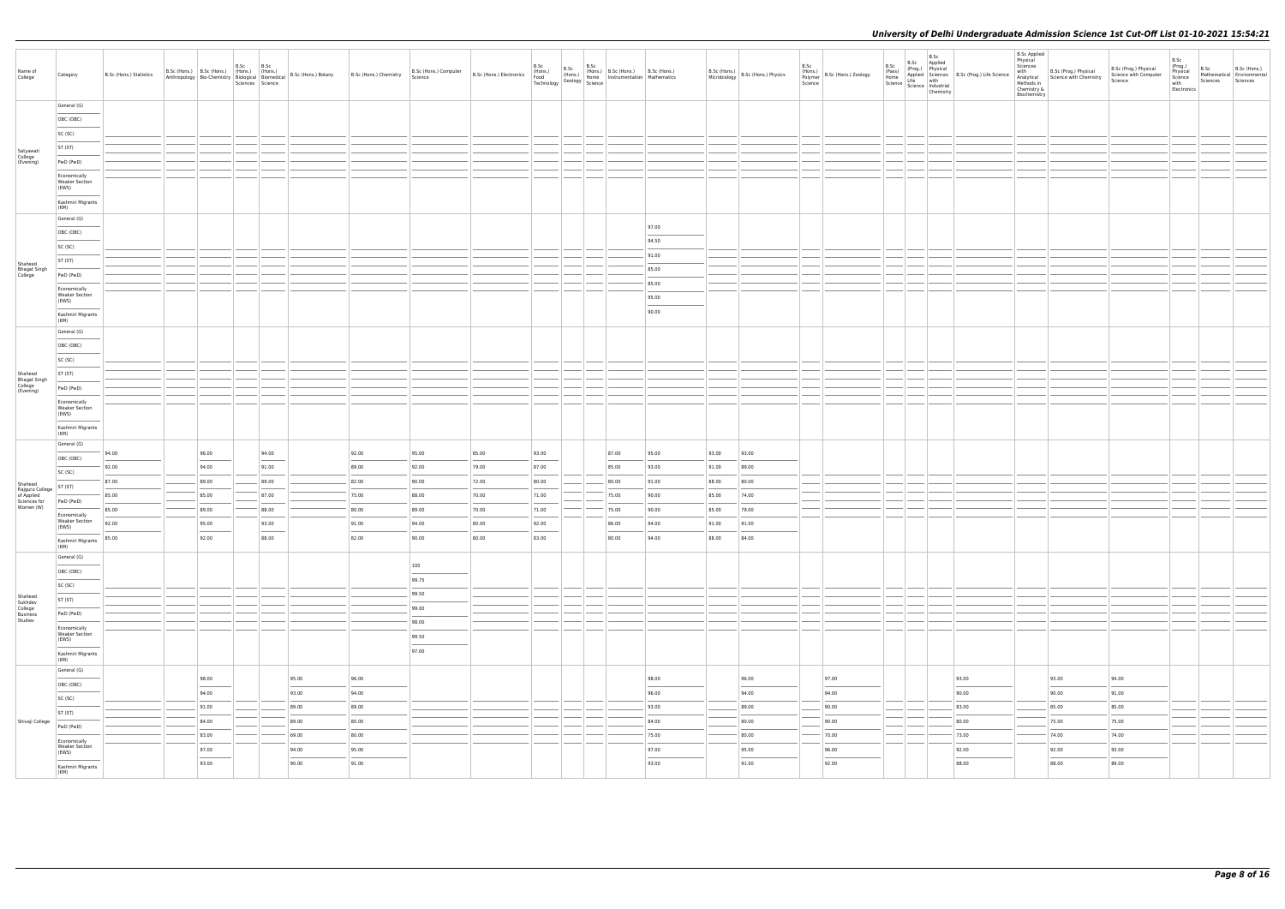| Name of<br>College                              | Category                                       | B.Sc (Hons.) Statistics |       | B.Sc<br>Sciences Science | B.Sc                                                                                                                                                                                                                                                                                                                                                                                                                                                                                |       |       | B.Sc (Hons.) B.Sc (Hons.) (Hons.) (Hons.) (Hons.) B.Sc (Hons.) B.Sc (Hons.) Chemistry B.Sc (Hons.) Computer B.Sc (Hons.) Electronics (Hons.) (Hons.) (Hons.) Electronics (Hons.) Chemistry Biological Biomedical B.Sc (Hons.) |       | B.Sc  | B.Sc | B.Sc<br>(Hons.) B.Sc (Hons.) (Hons.) B.Sc (Hons.) B.Sc (Hons.)<br>Food (Hons.) Home Instrumentation Mathematics<br>Technology Geology Science |                                                                                                                                                                                                                                                                                                                                                                                                                                                                                              |       | B.Sc (Hons.) B.Sc (Hons.) Physics | B.Sc<br>Science | (Hons.)<br>Polymer B.Sc (Hons.) Zoology | B.Sc | <b>a.</b> Sc B. Sc Applied<br>(Pass) Physical Sciences<br>Home Science Science Home Science Physical<br>Science Home Science Physical<br>Chemistry<br>Chemistry | <b>B.Sc Applied</b><br>Physical<br>Sciences<br>Methods in<br>Chemistry &<br>Biochemistry | with B.Sc (Prog.) Physical<br>Analytical Science with Chemistry | B.Sc (Prog.) Physical<br>Science with Computer<br>Science | B.Sc<br>(Prog.)<br>Physical<br>Science<br>with<br>Electronics | B.Sc<br>Mathematical Environmental<br>Sciences | B.Sc (Hons.)<br>Sciences |
|-------------------------------------------------|------------------------------------------------|-------------------------|-------|--------------------------|-------------------------------------------------------------------------------------------------------------------------------------------------------------------------------------------------------------------------------------------------------------------------------------------------------------------------------------------------------------------------------------------------------------------------------------------------------------------------------------|-------|-------|-------------------------------------------------------------------------------------------------------------------------------------------------------------------------------------------------------------------------------|-------|-------|------|-----------------------------------------------------------------------------------------------------------------------------------------------|----------------------------------------------------------------------------------------------------------------------------------------------------------------------------------------------------------------------------------------------------------------------------------------------------------------------------------------------------------------------------------------------------------------------------------------------------------------------------------------------|-------|-----------------------------------|-----------------|-----------------------------------------|------|-----------------------------------------------------------------------------------------------------------------------------------------------------------------|------------------------------------------------------------------------------------------|-----------------------------------------------------------------|-----------------------------------------------------------|---------------------------------------------------------------|------------------------------------------------|--------------------------|
|                                                 | General (G)                                    |                         |       |                          |                                                                                                                                                                                                                                                                                                                                                                                                                                                                                     |       |       |                                                                                                                                                                                                                               |       |       |      |                                                                                                                                               |                                                                                                                                                                                                                                                                                                                                                                                                                                                                                              |       |                                   |                 |                                         |      |                                                                                                                                                                 |                                                                                          |                                                                 |                                                           |                                                               |                                                |                          |
|                                                 | OBC (OBC)                                      |                         |       |                          |                                                                                                                                                                                                                                                                                                                                                                                                                                                                                     |       |       |                                                                                                                                                                                                                               |       |       |      |                                                                                                                                               |                                                                                                                                                                                                                                                                                                                                                                                                                                                                                              |       |                                   |                 |                                         |      |                                                                                                                                                                 |                                                                                          |                                                                 |                                                           |                                                               |                                                |                          |
|                                                 | SC (SC)                                        |                         |       |                          |                                                                                                                                                                                                                                                                                                                                                                                                                                                                                     |       |       |                                                                                                                                                                                                                               |       |       |      |                                                                                                                                               |                                                                                                                                                                                                                                                                                                                                                                                                                                                                                              |       |                                   |                 |                                         |      |                                                                                                                                                                 |                                                                                          |                                                                 |                                                           |                                                               |                                                |                          |
| Satyawati<br>College                            | ST (ST)                                        |                         |       |                          |                                                                                                                                                                                                                                                                                                                                                                                                                                                                                     |       |       |                                                                                                                                                                                                                               |       |       |      |                                                                                                                                               |                                                                                                                                                                                                                                                                                                                                                                                                                                                                                              |       |                                   |                 |                                         |      |                                                                                                                                                                 |                                                                                          |                                                                 |                                                           |                                                               |                                                |                          |
| (Evening)                                       | PwD (PwD)                                      |                         |       |                          |                                                                                                                                                                                                                                                                                                                                                                                                                                                                                     |       |       |                                                                                                                                                                                                                               |       |       |      |                                                                                                                                               |                                                                                                                                                                                                                                                                                                                                                                                                                                                                                              |       |                                   |                 |                                         |      |                                                                                                                                                                 |                                                                                          |                                                                 |                                                           |                                                               |                                                |                          |
|                                                 | Economically<br><b>Weaker Section</b><br>(EWS) |                         |       |                          |                                                                                                                                                                                                                                                                                                                                                                                                                                                                                     |       |       |                                                                                                                                                                                                                               |       |       |      |                                                                                                                                               |                                                                                                                                                                                                                                                                                                                                                                                                                                                                                              |       |                                   |                 |                                         |      |                                                                                                                                                                 |                                                                                          |                                                                 |                                                           |                                                               |                                                |                          |
|                                                 | Kashmiri Migrants<br>(KM)                      |                         |       |                          |                                                                                                                                                                                                                                                                                                                                                                                                                                                                                     |       |       |                                                                                                                                                                                                                               |       |       |      |                                                                                                                                               |                                                                                                                                                                                                                                                                                                                                                                                                                                                                                              |       |                                   |                 |                                         |      |                                                                                                                                                                 |                                                                                          |                                                                 |                                                           |                                                               |                                                |                          |
|                                                 | General (G)                                    |                         |       |                          |                                                                                                                                                                                                                                                                                                                                                                                                                                                                                     |       |       |                                                                                                                                                                                                                               |       |       |      |                                                                                                                                               |                                                                                                                                                                                                                                                                                                                                                                                                                                                                                              |       |                                   |                 |                                         |      |                                                                                                                                                                 |                                                                                          |                                                                 |                                                           |                                                               |                                                |                          |
|                                                 | OBC (OBC)                                      |                         |       |                          |                                                                                                                                                                                                                                                                                                                                                                                                                                                                                     |       |       |                                                                                                                                                                                                                               |       |       |      |                                                                                                                                               | 97.00                                                                                                                                                                                                                                                                                                                                                                                                                                                                                        |       |                                   |                 |                                         |      |                                                                                                                                                                 |                                                                                          |                                                                 |                                                           |                                                               |                                                |                          |
|                                                 | SC (SC)                                        |                         |       |                          |                                                                                                                                                                                                                                                                                                                                                                                                                                                                                     |       |       |                                                                                                                                                                                                                               |       |       |      |                                                                                                                                               | 94.50                                                                                                                                                                                                                                                                                                                                                                                                                                                                                        |       |                                   |                 |                                         |      |                                                                                                                                                                 |                                                                                          |                                                                 |                                                           |                                                               |                                                |                          |
| Shaheed                                         | ST (ST)                                        |                         |       |                          |                                                                                                                                                                                                                                                                                                                                                                                                                                                                                     |       |       |                                                                                                                                                                                                                               |       |       |      |                                                                                                                                               | 91.00                                                                                                                                                                                                                                                                                                                                                                                                                                                                                        |       |                                   |                 |                                         |      |                                                                                                                                                                 |                                                                                          |                                                                 |                                                           |                                                               |                                                |                          |
| Bhagat Singh<br>College                         | PwD (PwD)                                      |                         |       |                          |                                                                                                                                                                                                                                                                                                                                                                                                                                                                                     |       |       |                                                                                                                                                                                                                               |       |       |      |                                                                                                                                               | 85.00                                                                                                                                                                                                                                                                                                                                                                                                                                                                                        |       |                                   |                 |                                         |      |                                                                                                                                                                 |                                                                                          |                                                                 |                                                           |                                                               |                                                |                          |
|                                                 | Economically<br><b>Weaker Section</b>          |                         |       |                          |                                                                                                                                                                                                                                                                                                                                                                                                                                                                                     |       |       |                                                                                                                                                                                                                               |       |       |      |                                                                                                                                               | 85.00                                                                                                                                                                                                                                                                                                                                                                                                                                                                                        |       |                                   |                 |                                         |      |                                                                                                                                                                 |                                                                                          |                                                                 |                                                           |                                                               |                                                |                          |
|                                                 | (EWS)                                          |                         |       |                          |                                                                                                                                                                                                                                                                                                                                                                                                                                                                                     |       |       |                                                                                                                                                                                                                               |       |       |      |                                                                                                                                               | 95.00<br>$\frac{1}{2} \left( \frac{1}{2} \right) \left( \frac{1}{2} \right) \left( \frac{1}{2} \right) \left( \frac{1}{2} \right) \left( \frac{1}{2} \right) \left( \frac{1}{2} \right) \left( \frac{1}{2} \right) \left( \frac{1}{2} \right) \left( \frac{1}{2} \right) \left( \frac{1}{2} \right) \left( \frac{1}{2} \right) \left( \frac{1}{2} \right) \left( \frac{1}{2} \right) \left( \frac{1}{2} \right) \left( \frac{1}{2} \right) \left( \frac{1}{2} \right) \left( \frac$<br>90.00 |       |                                   |                 |                                         |      |                                                                                                                                                                 |                                                                                          |                                                                 |                                                           |                                                               |                                                |                          |
|                                                 | Kashmiri Migrants<br>(KM)                      |                         |       |                          |                                                                                                                                                                                                                                                                                                                                                                                                                                                                                     |       |       |                                                                                                                                                                                                                               |       |       |      |                                                                                                                                               |                                                                                                                                                                                                                                                                                                                                                                                                                                                                                              |       |                                   |                 |                                         |      |                                                                                                                                                                 |                                                                                          |                                                                 |                                                           |                                                               |                                                |                          |
|                                                 | General (G)                                    |                         |       |                          |                                                                                                                                                                                                                                                                                                                                                                                                                                                                                     |       |       |                                                                                                                                                                                                                               |       |       |      |                                                                                                                                               |                                                                                                                                                                                                                                                                                                                                                                                                                                                                                              |       |                                   |                 |                                         |      |                                                                                                                                                                 |                                                                                          |                                                                 |                                                           |                                                               |                                                |                          |
|                                                 | OBC (OBC)                                      |                         |       |                          |                                                                                                                                                                                                                                                                                                                                                                                                                                                                                     |       |       |                                                                                                                                                                                                                               |       |       |      |                                                                                                                                               |                                                                                                                                                                                                                                                                                                                                                                                                                                                                                              |       |                                   |                 |                                         |      |                                                                                                                                                                 |                                                                                          |                                                                 |                                                           |                                                               |                                                |                          |
|                                                 | SC (SC)                                        |                         |       |                          |                                                                                                                                                                                                                                                                                                                                                                                                                                                                                     |       |       |                                                                                                                                                                                                                               |       |       |      |                                                                                                                                               |                                                                                                                                                                                                                                                                                                                                                                                                                                                                                              |       |                                   |                 |                                         |      |                                                                                                                                                                 |                                                                                          |                                                                 |                                                           |                                                               |                                                |                          |
|                                                 | ST (ST)                                        |                         |       |                          |                                                                                                                                                                                                                                                                                                                                                                                                                                                                                     |       |       |                                                                                                                                                                                                                               |       |       |      |                                                                                                                                               |                                                                                                                                                                                                                                                                                                                                                                                                                                                                                              |       |                                   |                 |                                         |      |                                                                                                                                                                 |                                                                                          |                                                                 |                                                           |                                                               |                                                |                          |
| Shaheed<br>Bhagat Singh<br>College<br>(Evening) | PwD (PwD)                                      |                         |       |                          |                                                                                                                                                                                                                                                                                                                                                                                                                                                                                     |       |       |                                                                                                                                                                                                                               |       |       |      |                                                                                                                                               |                                                                                                                                                                                                                                                                                                                                                                                                                                                                                              |       |                                   |                 |                                         |      |                                                                                                                                                                 |                                                                                          |                                                                 |                                                           |                                                               |                                                |                          |
|                                                 | Economically<br><b>Weaker Section</b>          |                         |       |                          |                                                                                                                                                                                                                                                                                                                                                                                                                                                                                     |       |       |                                                                                                                                                                                                                               |       |       |      |                                                                                                                                               |                                                                                                                                                                                                                                                                                                                                                                                                                                                                                              |       |                                   |                 |                                         |      |                                                                                                                                                                 |                                                                                          |                                                                 |                                                           |                                                               |                                                |                          |
|                                                 | (EWS)<br>Kashmiri Migrants                     |                         |       |                          |                                                                                                                                                                                                                                                                                                                                                                                                                                                                                     |       |       |                                                                                                                                                                                                                               |       |       |      |                                                                                                                                               |                                                                                                                                                                                                                                                                                                                                                                                                                                                                                              |       |                                   |                 |                                         |      |                                                                                                                                                                 |                                                                                          |                                                                 |                                                           |                                                               |                                                |                          |
|                                                 | (KM)<br>General (G)                            |                         |       |                          |                                                                                                                                                                                                                                                                                                                                                                                                                                                                                     |       |       |                                                                                                                                                                                                                               |       |       |      |                                                                                                                                               |                                                                                                                                                                                                                                                                                                                                                                                                                                                                                              |       |                                   |                 |                                         |      |                                                                                                                                                                 |                                                                                          |                                                                 |                                                           |                                                               |                                                |                          |
|                                                 | OBC (OBC)                                      | 94.00                   | 96.00 |                          | 94.00<br>$\frac{1}{2} \left( \frac{1}{2} \right) \left( \frac{1}{2} \right) \left( \frac{1}{2} \right) \left( \frac{1}{2} \right) \left( \frac{1}{2} \right) \left( \frac{1}{2} \right) \left( \frac{1}{2} \right) \left( \frac{1}{2} \right) \left( \frac{1}{2} \right) \left( \frac{1}{2} \right) \left( \frac{1}{2} \right) \left( \frac{1}{2} \right) \left( \frac{1}{2} \right) \left( \frac{1}{2} \right) \left( \frac{1}{2} \right) \left( \frac{1}{2} \right) \left( \frac$ |       | 92.00 | 95.00                                                                                                                                                                                                                         | 85.00 | 93.00 |      | 87.00                                                                                                                                         | 95.00                                                                                                                                                                                                                                                                                                                                                                                                                                                                                        | 93.00 | 93.00                             |                 |                                         |      |                                                                                                                                                                 |                                                                                          |                                                                 |                                                           |                                                               |                                                |                          |
|                                                 | SC (SC)                                        | 92.00                   | 94.00 |                          | 91.00                                                                                                                                                                                                                                                                                                                                                                                                                                                                               |       | 89.00 | 92.00                                                                                                                                                                                                                         | 79.00 | 87.00 |      | 85.00                                                                                                                                         | 93.00                                                                                                                                                                                                                                                                                                                                                                                                                                                                                        | 91.00 | 89.00                             |                 |                                         |      |                                                                                                                                                                 |                                                                                          |                                                                 |                                                           |                                                               |                                                |                          |
| Shaheed                                         | ST (ST)                                        | 87.00                   | 89.00 |                          | 89.00                                                                                                                                                                                                                                                                                                                                                                                                                                                                               |       | 82.00 | 90.00                                                                                                                                                                                                                         | 72.00 | 80.00 |      | 80.00                                                                                                                                         | 91.00                                                                                                                                                                                                                                                                                                                                                                                                                                                                                        | 88.00 | 80.00                             |                 |                                         |      |                                                                                                                                                                 |                                                                                          |                                                                 |                                                           |                                                               |                                                |                          |
| Rajguru College<br>of Applied<br>Sciences for   | PwD (PwD)                                      | 85.00                   | 85.00 |                          | 87.00                                                                                                                                                                                                                                                                                                                                                                                                                                                                               |       | 75.00 | 88.00                                                                                                                                                                                                                         | 70.00 | 71.00 |      | 75.00                                                                                                                                         | 90.00                                                                                                                                                                                                                                                                                                                                                                                                                                                                                        | 85.00 | 74.00                             |                 |                                         |      |                                                                                                                                                                 |                                                                                          |                                                                 |                                                           |                                                               |                                                |                          |
| Women (W)                                       | Economically                                   | 85.00                   | 89.00 |                          | 88.00                                                                                                                                                                                                                                                                                                                                                                                                                                                                               |       | 80.00 | 89.00                                                                                                                                                                                                                         | 70.00 | 71.00 |      | 75.00                                                                                                                                         | 90.00                                                                                                                                                                                                                                                                                                                                                                                                                                                                                        | 85.00 | 79.00                             |                 |                                         |      |                                                                                                                                                                 |                                                                                          |                                                                 |                                                           |                                                               |                                                |                          |
|                                                 | <b>Weaker Section</b><br>(EWS)                 | 92.00                   | 95.00 |                          | 93.00                                                                                                                                                                                                                                                                                                                                                                                                                                                                               |       | 91.00 | 94.00                                                                                                                                                                                                                         | 80.00 | 92.00 |      | 86.00                                                                                                                                         | 94.00                                                                                                                                                                                                                                                                                                                                                                                                                                                                                        | 91.00 | 91.00                             |                 |                                         |      |                                                                                                                                                                 |                                                                                          |                                                                 |                                                           |                                                               |                                                |                          |
|                                                 | Kashmiri Migrants<br>(KM)                      | 85.00                   | 92.00 |                          | 88.00                                                                                                                                                                                                                                                                                                                                                                                                                                                                               |       | 82.00 | 90.00                                                                                                                                                                                                                         | 80.00 | 83.00 |      | 80.00                                                                                                                                         | 94.00                                                                                                                                                                                                                                                                                                                                                                                                                                                                                        | 88.00 | 84.00                             |                 |                                         |      |                                                                                                                                                                 |                                                                                          |                                                                 |                                                           |                                                               |                                                |                          |
|                                                 | General (G)                                    |                         |       |                          |                                                                                                                                                                                                                                                                                                                                                                                                                                                                                     |       |       | 100                                                                                                                                                                                                                           |       |       |      |                                                                                                                                               |                                                                                                                                                                                                                                                                                                                                                                                                                                                                                              |       |                                   |                 |                                         |      |                                                                                                                                                                 |                                                                                          |                                                                 |                                                           |                                                               |                                                |                          |
|                                                 | OBC (OBC)                                      |                         |       |                          |                                                                                                                                                                                                                                                                                                                                                                                                                                                                                     |       |       | 99.75                                                                                                                                                                                                                         |       |       |      |                                                                                                                                               |                                                                                                                                                                                                                                                                                                                                                                                                                                                                                              |       |                                   |                 |                                         |      |                                                                                                                                                                 |                                                                                          |                                                                 |                                                           |                                                               |                                                |                          |
|                                                 | SC (SC)                                        |                         |       |                          |                                                                                                                                                                                                                                                                                                                                                                                                                                                                                     |       |       | 99.50                                                                                                                                                                                                                         |       |       |      |                                                                                                                                               |                                                                                                                                                                                                                                                                                                                                                                                                                                                                                              |       |                                   |                 |                                         |      |                                                                                                                                                                 |                                                                                          |                                                                 |                                                           |                                                               |                                                |                          |
| Shaheed<br>Sukhdev<br>College<br>Business       | ST (ST)                                        |                         |       |                          |                                                                                                                                                                                                                                                                                                                                                                                                                                                                                     |       |       | 99.00                                                                                                                                                                                                                         |       |       |      |                                                                                                                                               |                                                                                                                                                                                                                                                                                                                                                                                                                                                                                              |       |                                   |                 |                                         |      |                                                                                                                                                                 |                                                                                          |                                                                 |                                                           |                                                               |                                                |                          |
| Studies                                         | PwD (PwD)                                      |                         |       |                          |                                                                                                                                                                                                                                                                                                                                                                                                                                                                                     |       |       | 98.00                                                                                                                                                                                                                         |       |       |      |                                                                                                                                               |                                                                                                                                                                                                                                                                                                                                                                                                                                                                                              |       |                                   |                 |                                         |      |                                                                                                                                                                 |                                                                                          |                                                                 |                                                           |                                                               |                                                |                          |
|                                                 | Economically<br><b>Weaker Section</b>          |                         |       |                          |                                                                                                                                                                                                                                                                                                                                                                                                                                                                                     |       |       | 99.50                                                                                                                                                                                                                         |       |       |      |                                                                                                                                               |                                                                                                                                                                                                                                                                                                                                                                                                                                                                                              |       |                                   |                 |                                         |      |                                                                                                                                                                 |                                                                                          |                                                                 |                                                           |                                                               |                                                |                          |
|                                                 | (EWS)<br>Kashmiri Migrants<br>(KM)             |                         |       |                          |                                                                                                                                                                                                                                                                                                                                                                                                                                                                                     |       |       | 97.00                                                                                                                                                                                                                         |       |       |      |                                                                                                                                               |                                                                                                                                                                                                                                                                                                                                                                                                                                                                                              |       |                                   |                 |                                         |      |                                                                                                                                                                 |                                                                                          |                                                                 |                                                           |                                                               |                                                |                          |
|                                                 | General (G)                                    |                         |       |                          |                                                                                                                                                                                                                                                                                                                                                                                                                                                                                     |       |       |                                                                                                                                                                                                                               |       |       |      |                                                                                                                                               |                                                                                                                                                                                                                                                                                                                                                                                                                                                                                              |       |                                   |                 |                                         |      |                                                                                                                                                                 |                                                                                          |                                                                 |                                                           |                                                               |                                                |                          |
|                                                 | OBC (OBC)                                      |                         | 98.00 |                          |                                                                                                                                                                                                                                                                                                                                                                                                                                                                                     | 95.00 | 96.00 |                                                                                                                                                                                                                               |       |       |      |                                                                                                                                               | 98.00                                                                                                                                                                                                                                                                                                                                                                                                                                                                                        |       | 96.00                             |                 | 97.00                                   |      | 93.00                                                                                                                                                           |                                                                                          | 93.00                                                           | 94.00                                                     |                                                               |                                                |                          |
|                                                 | SC (SC)                                        |                         | 94.00 |                          |                                                                                                                                                                                                                                                                                                                                                                                                                                                                                     | 93.00 | 94.00 |                                                                                                                                                                                                                               |       |       |      |                                                                                                                                               | 96.00                                                                                                                                                                                                                                                                                                                                                                                                                                                                                        |       | 94.00                             |                 | 94.00                                   |      | 90.00                                                                                                                                                           |                                                                                          | 90.00                                                           | 91.00                                                     |                                                               |                                                |                          |
|                                                 | ST (ST)                                        |                         | 91.00 |                          |                                                                                                                                                                                                                                                                                                                                                                                                                                                                                     | 89.00 | 89.00 |                                                                                                                                                                                                                               |       |       |      |                                                                                                                                               | 93.00                                                                                                                                                                                                                                                                                                                                                                                                                                                                                        |       | 89.00                             |                 | 90.00                                   |      | 83.00                                                                                                                                                           |                                                                                          | 85.00                                                           | 85.00                                                     |                                                               |                                                |                          |
| Shivaji College                                 | PwD (PwD)                                      |                         | 84.00 |                          |                                                                                                                                                                                                                                                                                                                                                                                                                                                                                     | 89.00 | 80.00 |                                                                                                                                                                                                                               |       |       |      |                                                                                                                                               | 84.00                                                                                                                                                                                                                                                                                                                                                                                                                                                                                        |       | 80.00                             |                 | 90.00                                   |      | 80.00                                                                                                                                                           |                                                                                          | 75.00                                                           | 75.00                                                     |                                                               |                                                |                          |
|                                                 | Economically                                   |                         | 83.00 |                          |                                                                                                                                                                                                                                                                                                                                                                                                                                                                                     | 69.00 | 80.00 |                                                                                                                                                                                                                               |       |       |      |                                                                                                                                               | 75.00                                                                                                                                                                                                                                                                                                                                                                                                                                                                                        |       | 80.00                             |                 | 70.00                                   |      | 73.00                                                                                                                                                           |                                                                                          | 74.00                                                           | 74.00                                                     |                                                               |                                                |                          |
|                                                 | Weaker Section<br>(EWS)                        |                         | 97.00 |                          |                                                                                                                                                                                                                                                                                                                                                                                                                                                                                     | 94.00 | 95.00 |                                                                                                                                                                                                                               |       |       |      |                                                                                                                                               | 97.00<br>$\overline{\phantom{a}}$                                                                                                                                                                                                                                                                                                                                                                                                                                                            |       | 95.00                             |                 | 96.00                                   |      | 92.00                                                                                                                                                           |                                                                                          | 92.00<br>$\sim$                                                 | 93.00                                                     |                                                               |                                                |                          |
|                                                 | Kashmiri Migrants<br>(KM)                      |                         | 93.00 |                          |                                                                                                                                                                                                                                                                                                                                                                                                                                                                                     | 90.00 | 91.00 |                                                                                                                                                                                                                               |       |       |      |                                                                                                                                               | 93.00                                                                                                                                                                                                                                                                                                                                                                                                                                                                                        |       | 91.00                             |                 | 92.00                                   |      | 88.00                                                                                                                                                           |                                                                                          | 88.00                                                           | 89.00                                                     |                                                               |                                                |                          |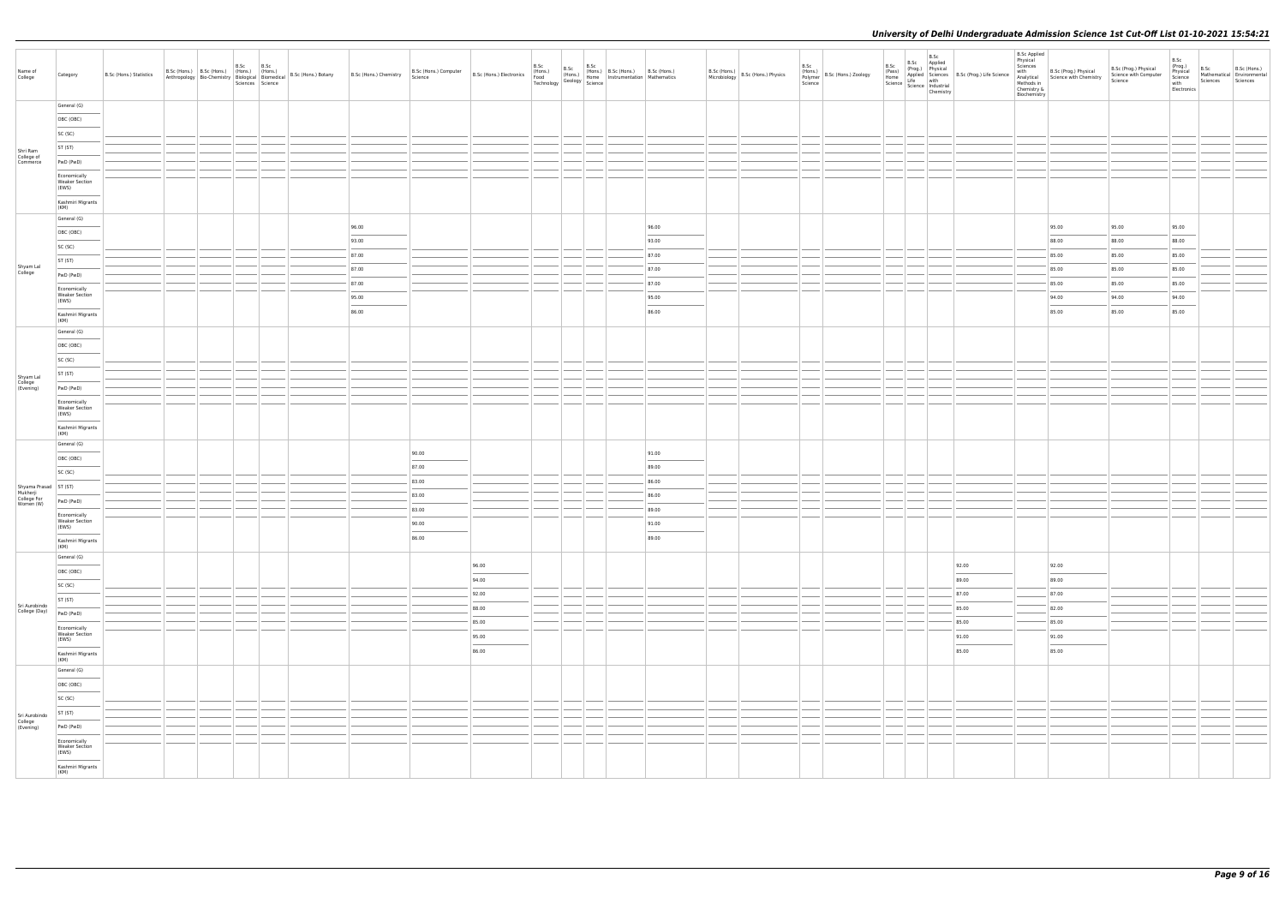| Name of<br>College                 | Category                                       | B.Sc (Hons.) Statistics |  | B.Sc<br>Sciences Science | B.Sc | B.Sc (Hons.) B.Sc (Hons.) (Hons.) (Hons.) B.Sc (Hons.) Botany B.Sc (Hons.) Chemistry Anthropology Bio-Chemistry Biological Biomedical B.Sc (Hons.) Botany | B.Sc (Hons.) Computer<br>Science | B.Sc (Hons.) B.Sc B.Sc (Hons.) B.Sc (Hons.) B.Sc (Hons.) B.Sc (Hons.) B.Sc (Hons.) B.Sc (Hons.) Food (Hons.) B.Sc (Hons.) B.Sc (Hons.) B.Sc (Hons.) Food Section Mathematics Technology Geology Science | B.Sc | B.Sc |                | B.Sc (Hons.) B.Sc (Hons.) Physics | B.Sc<br>Science | (Hons.)<br>Polymer B.Sc (Hons.) Zoology | B.Sc<br>(Pass)<br>Home<br>Science   Science   Industrial | B.Sc<br>Chemistry |       | <b>B.Sc Applied</b><br>Physical<br>Sciences<br>Chemistry &<br>Biochemistry | e<br>Manalytical<br>Manalytical<br>Methods in<br>Chomict<br>Chomic Chomic Chomics | B.Sc (Prog.) Physical<br>Science with Computer<br>Science | B.Sc<br>(Prog.)<br>Physical<br>Science<br>with<br>Electronics | B.Sc Mathematical B.Sc (Hons.)<br>Sciences Sciences |  |
|------------------------------------|------------------------------------------------|-------------------------|--|--------------------------|------|-----------------------------------------------------------------------------------------------------------------------------------------------------------|----------------------------------|---------------------------------------------------------------------------------------------------------------------------------------------------------------------------------------------------------|------|------|----------------|-----------------------------------|-----------------|-----------------------------------------|----------------------------------------------------------|-------------------|-------|----------------------------------------------------------------------------|-----------------------------------------------------------------------------------|-----------------------------------------------------------|---------------------------------------------------------------|-----------------------------------------------------|--|
|                                    | General (G)                                    |                         |  |                          |      |                                                                                                                                                           |                                  |                                                                                                                                                                                                         |      |      |                |                                   |                 |                                         |                                                          |                   |       |                                                                            |                                                                                   |                                                           |                                                               |                                                     |  |
|                                    | OBC (OBC)                                      |                         |  |                          |      |                                                                                                                                                           |                                  |                                                                                                                                                                                                         |      |      |                |                                   |                 |                                         |                                                          |                   |       |                                                                            |                                                                                   |                                                           |                                                               |                                                     |  |
|                                    | SC (SC)                                        |                         |  |                          |      |                                                                                                                                                           |                                  |                                                                                                                                                                                                         |      |      |                |                                   |                 |                                         |                                                          |                   |       |                                                                            |                                                                                   |                                                           |                                                               |                                                     |  |
| Shri Ram<br>College of<br>Commerce | ST (ST)                                        |                         |  |                          |      |                                                                                                                                                           |                                  |                                                                                                                                                                                                         |      |      |                |                                   |                 |                                         |                                                          |                   |       |                                                                            |                                                                                   |                                                           |                                                               |                                                     |  |
|                                    | PwD (PwD)                                      |                         |  |                          |      |                                                                                                                                                           |                                  |                                                                                                                                                                                                         |      |      |                |                                   |                 |                                         |                                                          |                   |       |                                                                            |                                                                                   |                                                           |                                                               |                                                     |  |
|                                    | Economically<br><b>Weaker Section</b><br>(EWS) |                         |  |                          |      |                                                                                                                                                           |                                  |                                                                                                                                                                                                         |      |      |                |                                   |                 |                                         |                                                          |                   |       |                                                                            |                                                                                   |                                                           |                                                               |                                                     |  |
|                                    | Kashmiri Migrants<br>(KM)                      |                         |  |                          |      |                                                                                                                                                           |                                  |                                                                                                                                                                                                         |      |      |                |                                   |                 |                                         |                                                          |                   |       |                                                                            |                                                                                   |                                                           |                                                               |                                                     |  |
|                                    | General (G)                                    |                         |  |                          |      |                                                                                                                                                           |                                  |                                                                                                                                                                                                         |      |      |                |                                   |                 |                                         |                                                          |                   |       |                                                                            |                                                                                   | 95.00                                                     |                                                               |                                                     |  |
|                                    | OBC (OBC)                                      |                         |  |                          |      | 96.00                                                                                                                                                     |                                  |                                                                                                                                                                                                         |      |      | 96.00          |                                   |                 |                                         |                                                          |                   |       |                                                                            | 95.00                                                                             |                                                           | 95.00                                                         |                                                     |  |
|                                    | SC (SC)                                        |                         |  |                          |      | 93.00                                                                                                                                                     |                                  |                                                                                                                                                                                                         |      |      | 93.00          |                                   |                 |                                         |                                                          |                   |       |                                                                            | 88.00                                                                             | 88.00                                                     | 88.00                                                         |                                                     |  |
|                                    | ST (ST)                                        |                         |  |                          |      | 87.00                                                                                                                                                     |                                  |                                                                                                                                                                                                         |      |      | 87.00          |                                   |                 |                                         |                                                          |                   |       |                                                                            | 85.00                                                                             | 85.00                                                     | 85.00                                                         |                                                     |  |
| Shyam Lal<br>College               | PwD (PwD)                                      |                         |  |                          |      | 87.00                                                                                                                                                     |                                  |                                                                                                                                                                                                         |      |      | 87.00          |                                   |                 |                                         |                                                          |                   |       |                                                                            | 85.00                                                                             | 85.00                                                     | 85.00                                                         |                                                     |  |
|                                    | Economically<br><b>Weaker Section</b>          |                         |  |                          |      | 87.00<br>95.00                                                                                                                                            |                                  |                                                                                                                                                                                                         |      |      | 87.00<br>95.00 |                                   |                 |                                         |                                                          |                   |       |                                                                            | 85.00<br>94.00                                                                    | 85.00<br>94.00                                            | 85.00<br>94.00                                                |                                                     |  |
|                                    | (EWS)<br>Kashmiri Migrants                     |                         |  |                          |      | 86.00                                                                                                                                                     |                                  |                                                                                                                                                                                                         |      |      | 86.00          |                                   |                 |                                         |                                                          |                   |       |                                                                            | 85.00                                                                             | 85.00                                                     | 85.00                                                         |                                                     |  |
|                                    | (KM)<br>General (G)                            |                         |  |                          |      |                                                                                                                                                           |                                  |                                                                                                                                                                                                         |      |      |                |                                   |                 |                                         |                                                          |                   |       |                                                                            |                                                                                   |                                                           |                                                               |                                                     |  |
|                                    | OBC (OBC)                                      |                         |  |                          |      |                                                                                                                                                           |                                  |                                                                                                                                                                                                         |      |      |                |                                   |                 |                                         |                                                          |                   |       |                                                                            |                                                                                   |                                                           |                                                               |                                                     |  |
|                                    | SC (SC)                                        |                         |  |                          |      |                                                                                                                                                           |                                  |                                                                                                                                                                                                         |      |      |                |                                   |                 |                                         |                                                          |                   |       |                                                                            |                                                                                   |                                                           |                                                               |                                                     |  |
| Shyam Lal<br>College<br>(Evening)  | ST (ST)                                        |                         |  |                          |      |                                                                                                                                                           |                                  |                                                                                                                                                                                                         |      |      |                |                                   |                 |                                         |                                                          |                   |       |                                                                            |                                                                                   |                                                           |                                                               |                                                     |  |
|                                    | PwD (PwD)                                      |                         |  |                          |      |                                                                                                                                                           |                                  |                                                                                                                                                                                                         |      |      |                |                                   |                 |                                         |                                                          |                   |       |                                                                            |                                                                                   |                                                           |                                                               |                                                     |  |
|                                    | Economically<br><b>Weaker Section</b><br>(EWS) |                         |  |                          |      |                                                                                                                                                           |                                  |                                                                                                                                                                                                         |      |      |                |                                   |                 |                                         |                                                          |                   |       |                                                                            |                                                                                   |                                                           |                                                               |                                                     |  |
|                                    | Kashmiri Migrants<br>(KM)                      |                         |  |                          |      |                                                                                                                                                           |                                  |                                                                                                                                                                                                         |      |      |                |                                   |                 |                                         |                                                          |                   |       |                                                                            |                                                                                   |                                                           |                                                               |                                                     |  |
|                                    | General (G)                                    |                         |  |                          |      |                                                                                                                                                           |                                  |                                                                                                                                                                                                         |      |      |                |                                   |                 |                                         |                                                          |                   |       |                                                                            |                                                                                   |                                                           |                                                               |                                                     |  |
|                                    | OBC (OBC)                                      |                         |  |                          |      |                                                                                                                                                           | 90.00                            |                                                                                                                                                                                                         |      |      | 91.00          |                                   |                 |                                         |                                                          |                   |       |                                                                            |                                                                                   |                                                           |                                                               |                                                     |  |
|                                    | SC (SC)                                        |                         |  |                          |      |                                                                                                                                                           | 87.00                            |                                                                                                                                                                                                         |      |      | 89.00          |                                   |                 |                                         |                                                          |                   |       |                                                                            |                                                                                   |                                                           |                                                               |                                                     |  |
| Shyama Prasad ST (ST)<br>Mukherji  |                                                |                         |  |                          |      |                                                                                                                                                           | 83.00                            |                                                                                                                                                                                                         |      |      | 86.00<br>86.00 |                                   |                 |                                         |                                                          |                   |       |                                                                            |                                                                                   |                                                           |                                                               |                                                     |  |
| College For<br>Women (W)           | PwD (PwD)                                      |                         |  |                          |      |                                                                                                                                                           | 83.00                            |                                                                                                                                                                                                         |      |      |                |                                   |                 |                                         |                                                          |                   |       |                                                                            |                                                                                   |                                                           |                                                               |                                                     |  |
|                                    | Economically<br><b>Weaker Section</b>          |                         |  |                          |      |                                                                                                                                                           | 83.00                            |                                                                                                                                                                                                         |      |      | 89.00          |                                   |                 |                                         |                                                          |                   |       |                                                                            |                                                                                   |                                                           |                                                               |                                                     |  |
|                                    | (EWS)<br>Kashmiri Migrants                     |                         |  |                          |      |                                                                                                                                                           | 90.00<br>86.00                   |                                                                                                                                                                                                         |      |      | 91.00<br>89.00 |                                   |                 |                                         |                                                          |                   |       |                                                                            |                                                                                   |                                                           |                                                               |                                                     |  |
|                                    | (KM)<br>General (G)                            |                         |  |                          |      |                                                                                                                                                           |                                  |                                                                                                                                                                                                         |      |      |                |                                   |                 |                                         |                                                          |                   |       |                                                                            |                                                                                   |                                                           |                                                               |                                                     |  |
|                                    | OBC (OBC)                                      |                         |  |                          |      |                                                                                                                                                           |                                  | 96.00                                                                                                                                                                                                   |      |      |                |                                   |                 |                                         |                                                          |                   | 92.00 |                                                                            | 92.00                                                                             |                                                           |                                                               |                                                     |  |
|                                    | SC (SC)                                        |                         |  |                          |      |                                                                                                                                                           |                                  | 94.00                                                                                                                                                                                                   |      |      |                |                                   |                 |                                         |                                                          |                   | 89.00 |                                                                            | 89.00                                                                             |                                                           |                                                               |                                                     |  |
|                                    | ST (ST)                                        |                         |  |                          |      |                                                                                                                                                           |                                  | 92.00                                                                                                                                                                                                   |      |      |                |                                   |                 |                                         |                                                          |                   | 87.00 |                                                                            | 87.00                                                                             |                                                           |                                                               |                                                     |  |
| Sri Aurobindo<br>College (Day)     | PwD (PwD)                                      |                         |  |                          |      |                                                                                                                                                           |                                  | 88.00                                                                                                                                                                                                   |      |      |                |                                   |                 |                                         |                                                          |                   | 85.00 |                                                                            | 82.00                                                                             |                                                           |                                                               |                                                     |  |
|                                    | Economically                                   |                         |  |                          |      |                                                                                                                                                           |                                  | 85.00                                                                                                                                                                                                   |      |      |                |                                   |                 |                                         |                                                          |                   | 85.00 |                                                                            | 85.00                                                                             |                                                           |                                                               |                                                     |  |
|                                    | <b>Weaker Section</b><br>(EWS)                 |                         |  |                          |      |                                                                                                                                                           |                                  | 95.00                                                                                                                                                                                                   |      |      |                |                                   |                 |                                         |                                                          |                   | 91.00 |                                                                            | 91.00<br>$\sim$                                                                   |                                                           |                                                               |                                                     |  |
|                                    | Kashmiri Migrants                              |                         |  |                          |      |                                                                                                                                                           |                                  | 86.00                                                                                                                                                                                                   |      |      |                |                                   |                 |                                         |                                                          |                   | 85.00 |                                                                            | 85.00                                                                             |                                                           |                                                               |                                                     |  |
|                                    | (KM)<br>General (G)                            |                         |  |                          |      |                                                                                                                                                           |                                  |                                                                                                                                                                                                         |      |      |                |                                   |                 |                                         |                                                          |                   |       |                                                                            |                                                                                   |                                                           |                                                               |                                                     |  |
|                                    | OBC (OBC)                                      |                         |  |                          |      |                                                                                                                                                           |                                  |                                                                                                                                                                                                         |      |      |                |                                   |                 |                                         |                                                          |                   |       |                                                                            |                                                                                   |                                                           |                                                               |                                                     |  |
|                                    | SC (SC)                                        |                         |  |                          |      |                                                                                                                                                           |                                  |                                                                                                                                                                                                         |      |      |                |                                   |                 |                                         |                                                          |                   |       |                                                                            |                                                                                   |                                                           |                                                               |                                                     |  |
| Sri Aurobindo                      | ST (ST)                                        |                         |  |                          |      |                                                                                                                                                           |                                  |                                                                                                                                                                                                         |      |      |                |                                   |                 |                                         |                                                          |                   |       |                                                                            |                                                                                   |                                                           |                                                               |                                                     |  |
| College<br>(Evening)               | PwD (PwD)                                      |                         |  |                          |      |                                                                                                                                                           |                                  |                                                                                                                                                                                                         |      |      |                |                                   |                 |                                         |                                                          |                   |       |                                                                            |                                                                                   |                                                           |                                                               |                                                     |  |
|                                    | Economically<br><b>Weaker Section</b><br>(EWS) |                         |  |                          |      |                                                                                                                                                           |                                  |                                                                                                                                                                                                         |      |      |                |                                   |                 |                                         |                                                          |                   |       |                                                                            |                                                                                   |                                                           |                                                               |                                                     |  |
|                                    | Kashmiri Migrants<br>(KM)                      |                         |  |                          |      |                                                                                                                                                           |                                  |                                                                                                                                                                                                         |      |      |                |                                   |                 |                                         |                                                          |                   |       |                                                                            |                                                                                   |                                                           |                                                               |                                                     |  |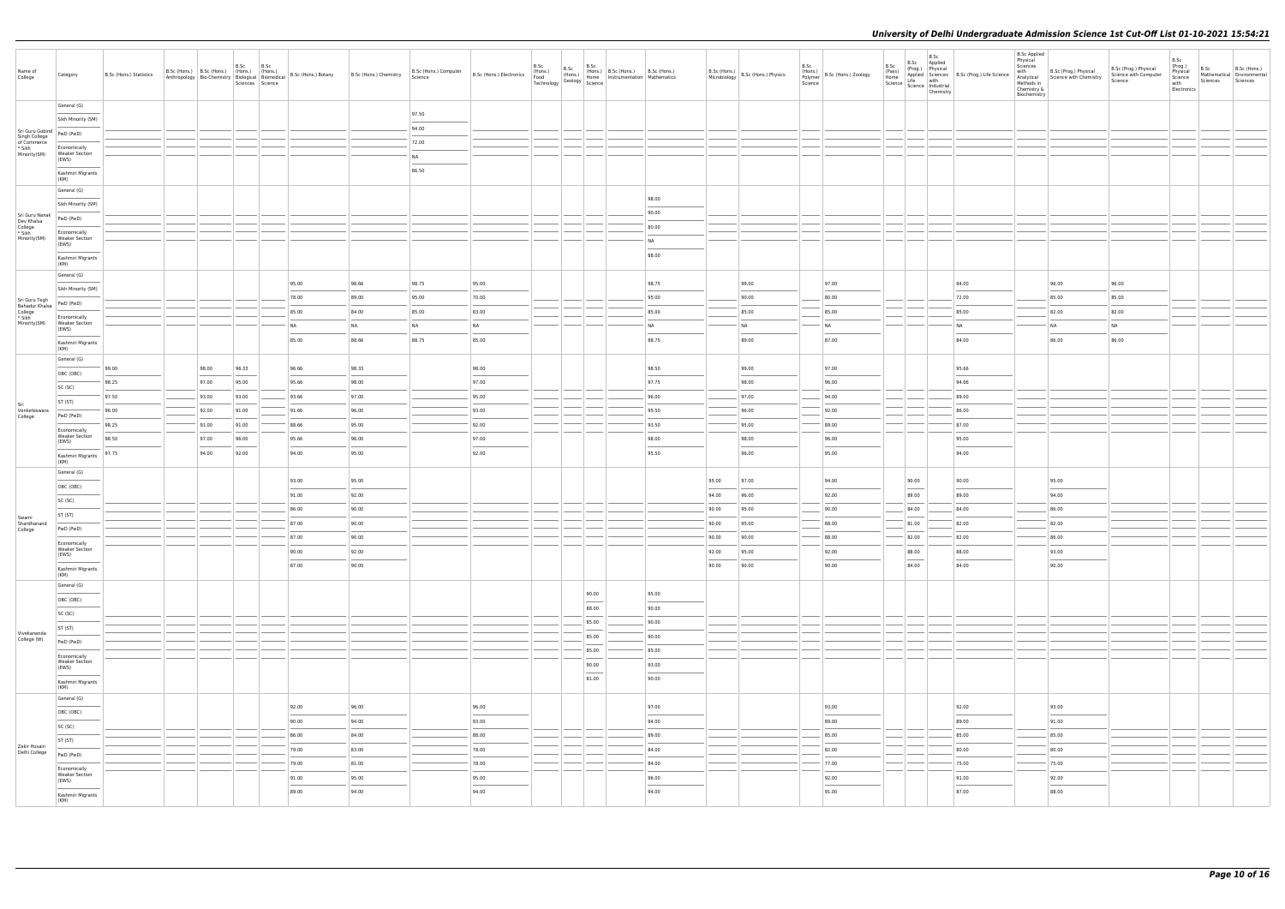| General (G)<br>97.50<br>Sikh Minority (SM)<br>94.00<br>Sri Guru Gobind<br>Singh College<br>PwD (PwD)<br>72.00<br>of Commerce<br>* Sikh<br>Economically<br>Minority(SM)<br><b>Weaker Section</b><br><b>NA</b><br>(EWS)<br>86.50<br>Kashmiri Migrants<br>(KM)<br>General (G)<br>98.00<br>Sikh Minority (SM)<br>90.00<br>Sri Guru Nanak<br>PwD (PwD)<br>Dev Khalsa<br>College<br>* Sikh<br>80.00<br>Economically<br>Minority(SM)<br><b>Weaker Section</b><br>NA<br>(EWS)<br>88.00<br>Kashmiri Migrants<br>(KM)<br>General (G)<br>98.75<br>99.00<br>96.00<br>95.00<br>98.66<br>95.00<br>98.75<br>97.00<br>94.00<br>96.00<br>Sikh Minority (SM)<br>78.00<br>70.00<br>90.00<br>85.00<br>89.00<br>95.00<br>95.00<br>80.00<br>72.00<br>85.00<br>Sri Guru Tegh<br>Bahadur Khalsa<br>College<br>* Sikh<br>Minority(SM)<br>PwD (PwD)<br>84.00<br>85.00<br>83.00<br>85.00<br>85.00<br>85.00<br>82.00<br>82.00<br>85.00<br>85.00<br>Economically<br><b>Weaker Section</b><br><b>NA</b><br><b>NA</b><br><b>NA</b><br><b>NA</b><br><b>NA</b><br><b>NA</b><br>NA<br>NA<br>NA<br>----<br>NA<br>(EWS)<br>88.75<br>86.00<br>86.00<br>85.00<br>88.66<br>85.00<br>88.75<br>89.00<br>87.00<br>84.00<br>Kashmiri Migrants<br>(KM)<br>General (G)<br>98.33<br>98.00<br>96.33<br>96.66<br>98.00<br>98.50<br>99.00<br>97.00<br>95.66<br>99.00<br>OBC (OBC)<br>98.25<br>97.00<br>95.00<br>95.66<br>98.00<br>97.00<br>97.75<br>98.00<br>96.00<br>94.66<br>SC (SC)<br>97.00<br>95.00<br>97.50<br>93.00<br>93.00<br>93.66<br>96.00<br>97.00<br>94.00<br>89.00<br>ST (ST)<br>Sri<br>Venketeswara<br>College<br>96.00<br>93.00<br>92.00<br>95.50<br>96.00<br>92.00<br>86.00<br>96.00<br>91.00<br>91.66<br>PwD (PwD)<br>98.25<br>88.66<br>92.00<br>93.50<br>95.00<br>89.00<br>87.00<br>91.00<br>91.00<br>95.00<br>Economically<br><b>Weaker Section</b><br>98.50<br>97.00<br>96.00<br>95.66<br>98.00<br>97.00<br>98.00<br>98.00<br>96.00<br>95.00<br>(EWS)<br>92.00<br>97.75<br>94.00<br>92.00<br>94.00<br>95.00<br>95.50<br>96.00<br>95.00<br>94.00<br>Kashmiri Migrants<br>(KM)<br>General (G)<br>93.00<br>95.00<br>95.00<br>97.00<br>94.00<br>90.00<br>90.00<br>95.00<br>OBC (OBC)<br>91.00<br>92.00<br>92.00<br>94.00<br>94.00<br>96.00<br>89.00<br>89.00<br>SC (SC)<br>86.00<br>90.00<br>95.00<br>90.00<br>84.00<br>84.00<br>86.00<br>90.00<br>ST (ST)<br>Swami<br>Shardhanand<br>87.00<br>90.00<br>88.00<br>81.00<br>82.00<br>82.00<br>90.00<br>95.00<br>PwD (PwD)<br>College<br>87.00<br>90.00<br>90.00<br>90.00<br>88.00<br>82.00<br>82.00<br>86.00<br>Economically<br><b>Weaker Section</b><br>90.00<br>92.00<br>92.00<br>88.00<br>93.00<br>92.00<br>95.00<br>88.00<br>(EWS)<br>87.00<br>90.00<br>90.00<br>90.00<br>90.00<br>84.00<br>84.00<br>90.00<br>Kashmiri Migrants<br>(KM)<br>General (G)<br>90.00<br>95.00<br>OBC (OBC)<br>88.00<br>90.00<br>SC (SC)<br>85.00<br>90.00<br>ST (ST)<br>Vivekananda<br>85.00<br>90.00<br>College (W)<br>PwD (PwD)<br>85.00<br>85.00<br>Economically<br><b>Weaker Section</b><br>93.00<br>90.00<br>(EWS)<br>$\frac{1}{2} \left( \frac{1}{2} \right) \left( \frac{1}{2} \right) \left( \frac{1}{2} \right) \left( \frac{1}{2} \right) \left( \frac{1}{2} \right) \left( \frac{1}{2} \right) \left( \frac{1}{2} \right) \left( \frac{1}{2} \right) \left( \frac{1}{2} \right) \left( \frac{1}{2} \right) \left( \frac{1}{2} \right) \left( \frac{1}{2} \right) \left( \frac{1}{2} \right) \left( \frac{1}{2} \right) \left( \frac{1}{2} \right) \left( \frac{1}{2} \right) \left( \frac$<br>81.00<br>90.00<br>Kashmiri Migrants<br>(KM)<br>General (G)<br>93.00<br>92.00<br>96.00<br>96.00<br>97.00<br>93.00<br>92.00<br>OBC (OBC)<br>90.00<br>94.00<br>93.00<br>94.00<br>89.00<br>89.00<br>91.00<br>SC (SC)<br>86.00<br>84.00<br>88.00<br>89.00<br>85.00<br>85.00<br>85.00<br>ST (ST)<br>Zakir Husain<br>79.00<br>83.00<br>78.00<br>84.00<br>82.00<br>80.00<br>80.00<br>Delhi College<br>PwD (PwD)<br>79.00<br>81.00<br>78.00<br>84.00<br>77.00<br>75.00<br>75.00<br>Economically<br><b>Weaker Section</b><br>91.00<br>95.00<br>95.00<br>96.00<br>92.00<br>91.00<br>92.00<br>(EWS)<br>89.00<br>94.00<br>94.00<br>94.00<br>91.00<br>87.00<br>88.00<br>Kashmiri Migrants | Name of<br>College | Category | B.Sc (Hons.) Statistics | B.Sc (Hons.) B.Sc (Hons.) (Hons.) (Hons.)<br>Anthropology Bio-Chemistry Biological Biomedical | B.Sc | B.Sc<br>Sciences Science | B.Sc (Hons.) Botany B.Sc (Hons.) Chemistry B.Sc (Hons.) | B.Sc (Hons.) Computer B.Sc (Hons.) Electronics (Hons.) B.Sc (Hons.) (Hons.) (Hons.) (Hons.) (Hons.) (Hons.) Home 1<br>Science Hong B.Sc (Hons.) Electronics Food Technology Geology Science |  | B.Sc (Hons.) B.Sc (Hons.) B.Sc (Hons.)<br>(Hons.) Home Instrumentation Mathematics |  | B.Sc (Hons.) B.Sc (Hons.) Physics | B.Sc<br>(Hons.)<br>Polymer B.Sc (Hons.) Zoology<br>Science | B.Sc<br>(Pass)<br>Home | B.Sc<br>$\left  \frac{\text{Since}}{\text{Science}} \right  \frac{\text{Line}}{\text{Science}}$<br>Chemistry | B.Sc Applied<br>(Prog.) Physical<br>Applied Sciences B.Sc (Prog.) Life Science<br>Life with | B.Sc Applied<br>Physical<br>Sciences<br>with<br>Chemistry &<br>Biochemistry | B.Sc (Prog.) Physical<br>Analytical Science with Chemistry<br>Methods in | B.Sc (Prog.) Physical<br>Science with Computer<br>Science | B.Sc<br>(Prog.)<br>Physical<br>Science<br>with<br>Electronics | B.Sc<br>Sciences | B.Sc (Hons.)<br>Mathematical Environmental<br>Sciences |
|-----------------------------------------------------------------------------------------------------------------------------------------------------------------------------------------------------------------------------------------------------------------------------------------------------------------------------------------------------------------------------------------------------------------------------------------------------------------------------------------------------------------------------------------------------------------------------------------------------------------------------------------------------------------------------------------------------------------------------------------------------------------------------------------------------------------------------------------------------------------------------------------------------------------------------------------------------------------------------------------------------------------------------------------------------------------------------------------------------------------------------------------------------------------------------------------------------------------------------------------------------------------------------------------------------------------------------------------------------------------------------------------------------------------------------------------------------------------------------------------------------------------------------------------------------------------------------------------------------------------------------------------------------------------------------------------------------------------------------------------------------------------------------------------------------------------------------------------------------------------------------------------------------------------------------------------------------------------------------------------------------------------------------------------------------------------------------------------------------------------------------------------------------------------------------------------------------------------------------------------------------------------------------------------------------------------------------------------------------------------------------------------------------------------------------------------------------------------------------------------------------------------------------------------------------------------------------------------------------------------------------------------------------------------------------------------------------------------------------------------------------------------------------------------------------------------------------------------------------------------------------------------------------------------------------------------------------------------------------------------------------------------------------------------------------------------------------------------------------------------------------------------------------------------------------------------------------------------------------------------------------------------------------------------------------------------------------------------------------------------------------------------------------------------------------------------------------------------------------------------------------------------------------------------------------------------------------------------------------------------------------------------------------------------------------------------------------------------------------------------------------------------------------------------------------------------------------------------------------------------------------------------------------------------------------------------------------------------------------------------------------------------------------------------------------------------------------------------------------------------------------------------------------------------------------------|--------------------|----------|-------------------------|-----------------------------------------------------------------------------------------------|------|--------------------------|---------------------------------------------------------|---------------------------------------------------------------------------------------------------------------------------------------------------------------------------------------------|--|------------------------------------------------------------------------------------|--|-----------------------------------|------------------------------------------------------------|------------------------|--------------------------------------------------------------------------------------------------------------|---------------------------------------------------------------------------------------------|-----------------------------------------------------------------------------|--------------------------------------------------------------------------|-----------------------------------------------------------|---------------------------------------------------------------|------------------|--------------------------------------------------------|
|                                                                                                                                                                                                                                                                                                                                                                                                                                                                                                                                                                                                                                                                                                                                                                                                                                                                                                                                                                                                                                                                                                                                                                                                                                                                                                                                                                                                                                                                                                                                                                                                                                                                                                                                                                                                                                                                                                                                                                                                                                                                                                                                                                                                                                                                                                                                                                                                                                                                                                                                                                                                                                                                                                                                                                                                                                                                                                                                                                                                                                                                                                                                                                                                                                                                                                                                                                                                                                                                                                                                                                                                                                                                                                                                                                                                                                                                                                                                                                                                                                                                                                                                                                                   |                    |          |                         |                                                                                               |      |                          |                                                         |                                                                                                                                                                                             |  |                                                                                    |  |                                   |                                                            |                        |                                                                                                              |                                                                                             |                                                                             |                                                                          |                                                           |                                                               |                  |                                                        |
|                                                                                                                                                                                                                                                                                                                                                                                                                                                                                                                                                                                                                                                                                                                                                                                                                                                                                                                                                                                                                                                                                                                                                                                                                                                                                                                                                                                                                                                                                                                                                                                                                                                                                                                                                                                                                                                                                                                                                                                                                                                                                                                                                                                                                                                                                                                                                                                                                                                                                                                                                                                                                                                                                                                                                                                                                                                                                                                                                                                                                                                                                                                                                                                                                                                                                                                                                                                                                                                                                                                                                                                                                                                                                                                                                                                                                                                                                                                                                                                                                                                                                                                                                                                   |                    |          |                         |                                                                                               |      |                          |                                                         |                                                                                                                                                                                             |  |                                                                                    |  |                                   |                                                            |                        |                                                                                                              |                                                                                             |                                                                             |                                                                          |                                                           |                                                               |                  |                                                        |
|                                                                                                                                                                                                                                                                                                                                                                                                                                                                                                                                                                                                                                                                                                                                                                                                                                                                                                                                                                                                                                                                                                                                                                                                                                                                                                                                                                                                                                                                                                                                                                                                                                                                                                                                                                                                                                                                                                                                                                                                                                                                                                                                                                                                                                                                                                                                                                                                                                                                                                                                                                                                                                                                                                                                                                                                                                                                                                                                                                                                                                                                                                                                                                                                                                                                                                                                                                                                                                                                                                                                                                                                                                                                                                                                                                                                                                                                                                                                                                                                                                                                                                                                                                                   |                    |          |                         |                                                                                               |      |                          |                                                         |                                                                                                                                                                                             |  |                                                                                    |  |                                   |                                                            |                        |                                                                                                              |                                                                                             |                                                                             |                                                                          |                                                           |                                                               |                  |                                                        |
|                                                                                                                                                                                                                                                                                                                                                                                                                                                                                                                                                                                                                                                                                                                                                                                                                                                                                                                                                                                                                                                                                                                                                                                                                                                                                                                                                                                                                                                                                                                                                                                                                                                                                                                                                                                                                                                                                                                                                                                                                                                                                                                                                                                                                                                                                                                                                                                                                                                                                                                                                                                                                                                                                                                                                                                                                                                                                                                                                                                                                                                                                                                                                                                                                                                                                                                                                                                                                                                                                                                                                                                                                                                                                                                                                                                                                                                                                                                                                                                                                                                                                                                                                                                   |                    |          |                         |                                                                                               |      |                          |                                                         |                                                                                                                                                                                             |  |                                                                                    |  |                                   |                                                            |                        |                                                                                                              |                                                                                             |                                                                             |                                                                          |                                                           |                                                               |                  |                                                        |
|                                                                                                                                                                                                                                                                                                                                                                                                                                                                                                                                                                                                                                                                                                                                                                                                                                                                                                                                                                                                                                                                                                                                                                                                                                                                                                                                                                                                                                                                                                                                                                                                                                                                                                                                                                                                                                                                                                                                                                                                                                                                                                                                                                                                                                                                                                                                                                                                                                                                                                                                                                                                                                                                                                                                                                                                                                                                                                                                                                                                                                                                                                                                                                                                                                                                                                                                                                                                                                                                                                                                                                                                                                                                                                                                                                                                                                                                                                                                                                                                                                                                                                                                                                                   |                    |          |                         |                                                                                               |      |                          |                                                         |                                                                                                                                                                                             |  |                                                                                    |  |                                   |                                                            |                        |                                                                                                              |                                                                                             |                                                                             |                                                                          |                                                           |                                                               |                  |                                                        |
|                                                                                                                                                                                                                                                                                                                                                                                                                                                                                                                                                                                                                                                                                                                                                                                                                                                                                                                                                                                                                                                                                                                                                                                                                                                                                                                                                                                                                                                                                                                                                                                                                                                                                                                                                                                                                                                                                                                                                                                                                                                                                                                                                                                                                                                                                                                                                                                                                                                                                                                                                                                                                                                                                                                                                                                                                                                                                                                                                                                                                                                                                                                                                                                                                                                                                                                                                                                                                                                                                                                                                                                                                                                                                                                                                                                                                                                                                                                                                                                                                                                                                                                                                                                   |                    |          |                         |                                                                                               |      |                          |                                                         |                                                                                                                                                                                             |  |                                                                                    |  |                                   |                                                            |                        |                                                                                                              |                                                                                             |                                                                             |                                                                          |                                                           |                                                               |                  |                                                        |
|                                                                                                                                                                                                                                                                                                                                                                                                                                                                                                                                                                                                                                                                                                                                                                                                                                                                                                                                                                                                                                                                                                                                                                                                                                                                                                                                                                                                                                                                                                                                                                                                                                                                                                                                                                                                                                                                                                                                                                                                                                                                                                                                                                                                                                                                                                                                                                                                                                                                                                                                                                                                                                                                                                                                                                                                                                                                                                                                                                                                                                                                                                                                                                                                                                                                                                                                                                                                                                                                                                                                                                                                                                                                                                                                                                                                                                                                                                                                                                                                                                                                                                                                                                                   |                    |          |                         |                                                                                               |      |                          |                                                         |                                                                                                                                                                                             |  |                                                                                    |  |                                   |                                                            |                        |                                                                                                              |                                                                                             |                                                                             |                                                                          |                                                           |                                                               |                  |                                                        |
|                                                                                                                                                                                                                                                                                                                                                                                                                                                                                                                                                                                                                                                                                                                                                                                                                                                                                                                                                                                                                                                                                                                                                                                                                                                                                                                                                                                                                                                                                                                                                                                                                                                                                                                                                                                                                                                                                                                                                                                                                                                                                                                                                                                                                                                                                                                                                                                                                                                                                                                                                                                                                                                                                                                                                                                                                                                                                                                                                                                                                                                                                                                                                                                                                                                                                                                                                                                                                                                                                                                                                                                                                                                                                                                                                                                                                                                                                                                                                                                                                                                                                                                                                                                   |                    |          |                         |                                                                                               |      |                          |                                                         |                                                                                                                                                                                             |  |                                                                                    |  |                                   |                                                            |                        |                                                                                                              |                                                                                             |                                                                             |                                                                          |                                                           |                                                               |                  |                                                        |
|                                                                                                                                                                                                                                                                                                                                                                                                                                                                                                                                                                                                                                                                                                                                                                                                                                                                                                                                                                                                                                                                                                                                                                                                                                                                                                                                                                                                                                                                                                                                                                                                                                                                                                                                                                                                                                                                                                                                                                                                                                                                                                                                                                                                                                                                                                                                                                                                                                                                                                                                                                                                                                                                                                                                                                                                                                                                                                                                                                                                                                                                                                                                                                                                                                                                                                                                                                                                                                                                                                                                                                                                                                                                                                                                                                                                                                                                                                                                                                                                                                                                                                                                                                                   |                    |          |                         |                                                                                               |      |                          |                                                         |                                                                                                                                                                                             |  |                                                                                    |  |                                   |                                                            |                        |                                                                                                              |                                                                                             |                                                                             |                                                                          |                                                           |                                                               |                  |                                                        |
|                                                                                                                                                                                                                                                                                                                                                                                                                                                                                                                                                                                                                                                                                                                                                                                                                                                                                                                                                                                                                                                                                                                                                                                                                                                                                                                                                                                                                                                                                                                                                                                                                                                                                                                                                                                                                                                                                                                                                                                                                                                                                                                                                                                                                                                                                                                                                                                                                                                                                                                                                                                                                                                                                                                                                                                                                                                                                                                                                                                                                                                                                                                                                                                                                                                                                                                                                                                                                                                                                                                                                                                                                                                                                                                                                                                                                                                                                                                                                                                                                                                                                                                                                                                   |                    |          |                         |                                                                                               |      |                          |                                                         |                                                                                                                                                                                             |  |                                                                                    |  |                                   |                                                            |                        |                                                                                                              |                                                                                             |                                                                             |                                                                          |                                                           |                                                               |                  |                                                        |
|                                                                                                                                                                                                                                                                                                                                                                                                                                                                                                                                                                                                                                                                                                                                                                                                                                                                                                                                                                                                                                                                                                                                                                                                                                                                                                                                                                                                                                                                                                                                                                                                                                                                                                                                                                                                                                                                                                                                                                                                                                                                                                                                                                                                                                                                                                                                                                                                                                                                                                                                                                                                                                                                                                                                                                                                                                                                                                                                                                                                                                                                                                                                                                                                                                                                                                                                                                                                                                                                                                                                                                                                                                                                                                                                                                                                                                                                                                                                                                                                                                                                                                                                                                                   |                    |          |                         |                                                                                               |      |                          |                                                         |                                                                                                                                                                                             |  |                                                                                    |  |                                   |                                                            |                        |                                                                                                              |                                                                                             |                                                                             |                                                                          |                                                           |                                                               |                  |                                                        |
|                                                                                                                                                                                                                                                                                                                                                                                                                                                                                                                                                                                                                                                                                                                                                                                                                                                                                                                                                                                                                                                                                                                                                                                                                                                                                                                                                                                                                                                                                                                                                                                                                                                                                                                                                                                                                                                                                                                                                                                                                                                                                                                                                                                                                                                                                                                                                                                                                                                                                                                                                                                                                                                                                                                                                                                                                                                                                                                                                                                                                                                                                                                                                                                                                                                                                                                                                                                                                                                                                                                                                                                                                                                                                                                                                                                                                                                                                                                                                                                                                                                                                                                                                                                   |                    |          |                         |                                                                                               |      |                          |                                                         |                                                                                                                                                                                             |  |                                                                                    |  |                                   |                                                            |                        |                                                                                                              |                                                                                             |                                                                             |                                                                          |                                                           |                                                               |                  |                                                        |
|                                                                                                                                                                                                                                                                                                                                                                                                                                                                                                                                                                                                                                                                                                                                                                                                                                                                                                                                                                                                                                                                                                                                                                                                                                                                                                                                                                                                                                                                                                                                                                                                                                                                                                                                                                                                                                                                                                                                                                                                                                                                                                                                                                                                                                                                                                                                                                                                                                                                                                                                                                                                                                                                                                                                                                                                                                                                                                                                                                                                                                                                                                                                                                                                                                                                                                                                                                                                                                                                                                                                                                                                                                                                                                                                                                                                                                                                                                                                                                                                                                                                                                                                                                                   |                    |          |                         |                                                                                               |      |                          |                                                         |                                                                                                                                                                                             |  |                                                                                    |  |                                   |                                                            |                        |                                                                                                              |                                                                                             |                                                                             |                                                                          |                                                           |                                                               |                  |                                                        |
|                                                                                                                                                                                                                                                                                                                                                                                                                                                                                                                                                                                                                                                                                                                                                                                                                                                                                                                                                                                                                                                                                                                                                                                                                                                                                                                                                                                                                                                                                                                                                                                                                                                                                                                                                                                                                                                                                                                                                                                                                                                                                                                                                                                                                                                                                                                                                                                                                                                                                                                                                                                                                                                                                                                                                                                                                                                                                                                                                                                                                                                                                                                                                                                                                                                                                                                                                                                                                                                                                                                                                                                                                                                                                                                                                                                                                                                                                                                                                                                                                                                                                                                                                                                   |                    |          |                         |                                                                                               |      |                          |                                                         |                                                                                                                                                                                             |  |                                                                                    |  |                                   |                                                            |                        |                                                                                                              |                                                                                             |                                                                             |                                                                          |                                                           |                                                               |                  |                                                        |
|                                                                                                                                                                                                                                                                                                                                                                                                                                                                                                                                                                                                                                                                                                                                                                                                                                                                                                                                                                                                                                                                                                                                                                                                                                                                                                                                                                                                                                                                                                                                                                                                                                                                                                                                                                                                                                                                                                                                                                                                                                                                                                                                                                                                                                                                                                                                                                                                                                                                                                                                                                                                                                                                                                                                                                                                                                                                                                                                                                                                                                                                                                                                                                                                                                                                                                                                                                                                                                                                                                                                                                                                                                                                                                                                                                                                                                                                                                                                                                                                                                                                                                                                                                                   |                    |          |                         |                                                                                               |      |                          |                                                         |                                                                                                                                                                                             |  |                                                                                    |  |                                   |                                                            |                        |                                                                                                              |                                                                                             |                                                                             |                                                                          |                                                           |                                                               |                  |                                                        |
|                                                                                                                                                                                                                                                                                                                                                                                                                                                                                                                                                                                                                                                                                                                                                                                                                                                                                                                                                                                                                                                                                                                                                                                                                                                                                                                                                                                                                                                                                                                                                                                                                                                                                                                                                                                                                                                                                                                                                                                                                                                                                                                                                                                                                                                                                                                                                                                                                                                                                                                                                                                                                                                                                                                                                                                                                                                                                                                                                                                                                                                                                                                                                                                                                                                                                                                                                                                                                                                                                                                                                                                                                                                                                                                                                                                                                                                                                                                                                                                                                                                                                                                                                                                   |                    |          |                         |                                                                                               |      |                          |                                                         |                                                                                                                                                                                             |  |                                                                                    |  |                                   |                                                            |                        |                                                                                                              |                                                                                             |                                                                             |                                                                          |                                                           |                                                               |                  |                                                        |
|                                                                                                                                                                                                                                                                                                                                                                                                                                                                                                                                                                                                                                                                                                                                                                                                                                                                                                                                                                                                                                                                                                                                                                                                                                                                                                                                                                                                                                                                                                                                                                                                                                                                                                                                                                                                                                                                                                                                                                                                                                                                                                                                                                                                                                                                                                                                                                                                                                                                                                                                                                                                                                                                                                                                                                                                                                                                                                                                                                                                                                                                                                                                                                                                                                                                                                                                                                                                                                                                                                                                                                                                                                                                                                                                                                                                                                                                                                                                                                                                                                                                                                                                                                                   |                    |          |                         |                                                                                               |      |                          |                                                         |                                                                                                                                                                                             |  |                                                                                    |  |                                   |                                                            |                        |                                                                                                              |                                                                                             |                                                                             |                                                                          |                                                           |                                                               |                  |                                                        |
|                                                                                                                                                                                                                                                                                                                                                                                                                                                                                                                                                                                                                                                                                                                                                                                                                                                                                                                                                                                                                                                                                                                                                                                                                                                                                                                                                                                                                                                                                                                                                                                                                                                                                                                                                                                                                                                                                                                                                                                                                                                                                                                                                                                                                                                                                                                                                                                                                                                                                                                                                                                                                                                                                                                                                                                                                                                                                                                                                                                                                                                                                                                                                                                                                                                                                                                                                                                                                                                                                                                                                                                                                                                                                                                                                                                                                                                                                                                                                                                                                                                                                                                                                                                   |                    |          |                         |                                                                                               |      |                          |                                                         |                                                                                                                                                                                             |  |                                                                                    |  |                                   |                                                            |                        |                                                                                                              |                                                                                             |                                                                             |                                                                          |                                                           |                                                               |                  |                                                        |
|                                                                                                                                                                                                                                                                                                                                                                                                                                                                                                                                                                                                                                                                                                                                                                                                                                                                                                                                                                                                                                                                                                                                                                                                                                                                                                                                                                                                                                                                                                                                                                                                                                                                                                                                                                                                                                                                                                                                                                                                                                                                                                                                                                                                                                                                                                                                                                                                                                                                                                                                                                                                                                                                                                                                                                                                                                                                                                                                                                                                                                                                                                                                                                                                                                                                                                                                                                                                                                                                                                                                                                                                                                                                                                                                                                                                                                                                                                                                                                                                                                                                                                                                                                                   |                    |          |                         |                                                                                               |      |                          |                                                         |                                                                                                                                                                                             |  |                                                                                    |  |                                   |                                                            |                        |                                                                                                              |                                                                                             |                                                                             |                                                                          |                                                           |                                                               |                  |                                                        |
|                                                                                                                                                                                                                                                                                                                                                                                                                                                                                                                                                                                                                                                                                                                                                                                                                                                                                                                                                                                                                                                                                                                                                                                                                                                                                                                                                                                                                                                                                                                                                                                                                                                                                                                                                                                                                                                                                                                                                                                                                                                                                                                                                                                                                                                                                                                                                                                                                                                                                                                                                                                                                                                                                                                                                                                                                                                                                                                                                                                                                                                                                                                                                                                                                                                                                                                                                                                                                                                                                                                                                                                                                                                                                                                                                                                                                                                                                                                                                                                                                                                                                                                                                                                   |                    |          |                         |                                                                                               |      |                          |                                                         |                                                                                                                                                                                             |  |                                                                                    |  |                                   |                                                            |                        |                                                                                                              |                                                                                             |                                                                             |                                                                          |                                                           |                                                               |                  |                                                        |
|                                                                                                                                                                                                                                                                                                                                                                                                                                                                                                                                                                                                                                                                                                                                                                                                                                                                                                                                                                                                                                                                                                                                                                                                                                                                                                                                                                                                                                                                                                                                                                                                                                                                                                                                                                                                                                                                                                                                                                                                                                                                                                                                                                                                                                                                                                                                                                                                                                                                                                                                                                                                                                                                                                                                                                                                                                                                                                                                                                                                                                                                                                                                                                                                                                                                                                                                                                                                                                                                                                                                                                                                                                                                                                                                                                                                                                                                                                                                                                                                                                                                                                                                                                                   |                    |          |                         |                                                                                               |      |                          |                                                         |                                                                                                                                                                                             |  |                                                                                    |  |                                   |                                                            |                        |                                                                                                              |                                                                                             |                                                                             |                                                                          |                                                           |                                                               |                  |                                                        |
|                                                                                                                                                                                                                                                                                                                                                                                                                                                                                                                                                                                                                                                                                                                                                                                                                                                                                                                                                                                                                                                                                                                                                                                                                                                                                                                                                                                                                                                                                                                                                                                                                                                                                                                                                                                                                                                                                                                                                                                                                                                                                                                                                                                                                                                                                                                                                                                                                                                                                                                                                                                                                                                                                                                                                                                                                                                                                                                                                                                                                                                                                                                                                                                                                                                                                                                                                                                                                                                                                                                                                                                                                                                                                                                                                                                                                                                                                                                                                                                                                                                                                                                                                                                   |                    |          |                         |                                                                                               |      |                          |                                                         |                                                                                                                                                                                             |  |                                                                                    |  |                                   |                                                            |                        |                                                                                                              |                                                                                             |                                                                             |                                                                          |                                                           |                                                               |                  |                                                        |
|                                                                                                                                                                                                                                                                                                                                                                                                                                                                                                                                                                                                                                                                                                                                                                                                                                                                                                                                                                                                                                                                                                                                                                                                                                                                                                                                                                                                                                                                                                                                                                                                                                                                                                                                                                                                                                                                                                                                                                                                                                                                                                                                                                                                                                                                                                                                                                                                                                                                                                                                                                                                                                                                                                                                                                                                                                                                                                                                                                                                                                                                                                                                                                                                                                                                                                                                                                                                                                                                                                                                                                                                                                                                                                                                                                                                                                                                                                                                                                                                                                                                                                                                                                                   |                    |          |                         |                                                                                               |      |                          |                                                         |                                                                                                                                                                                             |  |                                                                                    |  |                                   |                                                            |                        |                                                                                                              |                                                                                             |                                                                             |                                                                          |                                                           |                                                               |                  |                                                        |
|                                                                                                                                                                                                                                                                                                                                                                                                                                                                                                                                                                                                                                                                                                                                                                                                                                                                                                                                                                                                                                                                                                                                                                                                                                                                                                                                                                                                                                                                                                                                                                                                                                                                                                                                                                                                                                                                                                                                                                                                                                                                                                                                                                                                                                                                                                                                                                                                                                                                                                                                                                                                                                                                                                                                                                                                                                                                                                                                                                                                                                                                                                                                                                                                                                                                                                                                                                                                                                                                                                                                                                                                                                                                                                                                                                                                                                                                                                                                                                                                                                                                                                                                                                                   |                    |          |                         |                                                                                               |      |                          |                                                         |                                                                                                                                                                                             |  |                                                                                    |  |                                   |                                                            |                        |                                                                                                              |                                                                                             |                                                                             |                                                                          |                                                           |                                                               |                  |                                                        |
|                                                                                                                                                                                                                                                                                                                                                                                                                                                                                                                                                                                                                                                                                                                                                                                                                                                                                                                                                                                                                                                                                                                                                                                                                                                                                                                                                                                                                                                                                                                                                                                                                                                                                                                                                                                                                                                                                                                                                                                                                                                                                                                                                                                                                                                                                                                                                                                                                                                                                                                                                                                                                                                                                                                                                                                                                                                                                                                                                                                                                                                                                                                                                                                                                                                                                                                                                                                                                                                                                                                                                                                                                                                                                                                                                                                                                                                                                                                                                                                                                                                                                                                                                                                   |                    |          |                         |                                                                                               |      |                          |                                                         |                                                                                                                                                                                             |  |                                                                                    |  |                                   |                                                            |                        |                                                                                                              |                                                                                             |                                                                             |                                                                          |                                                           |                                                               |                  |                                                        |
|                                                                                                                                                                                                                                                                                                                                                                                                                                                                                                                                                                                                                                                                                                                                                                                                                                                                                                                                                                                                                                                                                                                                                                                                                                                                                                                                                                                                                                                                                                                                                                                                                                                                                                                                                                                                                                                                                                                                                                                                                                                                                                                                                                                                                                                                                                                                                                                                                                                                                                                                                                                                                                                                                                                                                                                                                                                                                                                                                                                                                                                                                                                                                                                                                                                                                                                                                                                                                                                                                                                                                                                                                                                                                                                                                                                                                                                                                                                                                                                                                                                                                                                                                                                   |                    |          |                         |                                                                                               |      |                          |                                                         |                                                                                                                                                                                             |  |                                                                                    |  |                                   |                                                            |                        |                                                                                                              |                                                                                             |                                                                             |                                                                          |                                                           |                                                               |                  |                                                        |
|                                                                                                                                                                                                                                                                                                                                                                                                                                                                                                                                                                                                                                                                                                                                                                                                                                                                                                                                                                                                                                                                                                                                                                                                                                                                                                                                                                                                                                                                                                                                                                                                                                                                                                                                                                                                                                                                                                                                                                                                                                                                                                                                                                                                                                                                                                                                                                                                                                                                                                                                                                                                                                                                                                                                                                                                                                                                                                                                                                                                                                                                                                                                                                                                                                                                                                                                                                                                                                                                                                                                                                                                                                                                                                                                                                                                                                                                                                                                                                                                                                                                                                                                                                                   |                    |          |                         |                                                                                               |      |                          |                                                         |                                                                                                                                                                                             |  |                                                                                    |  |                                   |                                                            |                        |                                                                                                              |                                                                                             |                                                                             |                                                                          |                                                           |                                                               |                  |                                                        |
|                                                                                                                                                                                                                                                                                                                                                                                                                                                                                                                                                                                                                                                                                                                                                                                                                                                                                                                                                                                                                                                                                                                                                                                                                                                                                                                                                                                                                                                                                                                                                                                                                                                                                                                                                                                                                                                                                                                                                                                                                                                                                                                                                                                                                                                                                                                                                                                                                                                                                                                                                                                                                                                                                                                                                                                                                                                                                                                                                                                                                                                                                                                                                                                                                                                                                                                                                                                                                                                                                                                                                                                                                                                                                                                                                                                                                                                                                                                                                                                                                                                                                                                                                                                   |                    |          |                         |                                                                                               |      |                          |                                                         |                                                                                                                                                                                             |  |                                                                                    |  |                                   |                                                            |                        |                                                                                                              |                                                                                             |                                                                             |                                                                          |                                                           |                                                               |                  |                                                        |
|                                                                                                                                                                                                                                                                                                                                                                                                                                                                                                                                                                                                                                                                                                                                                                                                                                                                                                                                                                                                                                                                                                                                                                                                                                                                                                                                                                                                                                                                                                                                                                                                                                                                                                                                                                                                                                                                                                                                                                                                                                                                                                                                                                                                                                                                                                                                                                                                                                                                                                                                                                                                                                                                                                                                                                                                                                                                                                                                                                                                                                                                                                                                                                                                                                                                                                                                                                                                                                                                                                                                                                                                                                                                                                                                                                                                                                                                                                                                                                                                                                                                                                                                                                                   |                    |          |                         |                                                                                               |      |                          |                                                         |                                                                                                                                                                                             |  |                                                                                    |  |                                   |                                                            |                        |                                                                                                              |                                                                                             |                                                                             |                                                                          |                                                           |                                                               |                  |                                                        |
|                                                                                                                                                                                                                                                                                                                                                                                                                                                                                                                                                                                                                                                                                                                                                                                                                                                                                                                                                                                                                                                                                                                                                                                                                                                                                                                                                                                                                                                                                                                                                                                                                                                                                                                                                                                                                                                                                                                                                                                                                                                                                                                                                                                                                                                                                                                                                                                                                                                                                                                                                                                                                                                                                                                                                                                                                                                                                                                                                                                                                                                                                                                                                                                                                                                                                                                                                                                                                                                                                                                                                                                                                                                                                                                                                                                                                                                                                                                                                                                                                                                                                                                                                                                   |                    |          |                         |                                                                                               |      |                          |                                                         |                                                                                                                                                                                             |  |                                                                                    |  |                                   |                                                            |                        |                                                                                                              |                                                                                             |                                                                             |                                                                          |                                                           |                                                               |                  |                                                        |
|                                                                                                                                                                                                                                                                                                                                                                                                                                                                                                                                                                                                                                                                                                                                                                                                                                                                                                                                                                                                                                                                                                                                                                                                                                                                                                                                                                                                                                                                                                                                                                                                                                                                                                                                                                                                                                                                                                                                                                                                                                                                                                                                                                                                                                                                                                                                                                                                                                                                                                                                                                                                                                                                                                                                                                                                                                                                                                                                                                                                                                                                                                                                                                                                                                                                                                                                                                                                                                                                                                                                                                                                                                                                                                                                                                                                                                                                                                                                                                                                                                                                                                                                                                                   |                    |          |                         |                                                                                               |      |                          |                                                         |                                                                                                                                                                                             |  |                                                                                    |  |                                   |                                                            |                        |                                                                                                              |                                                                                             |                                                                             |                                                                          |                                                           |                                                               |                  |                                                        |
|                                                                                                                                                                                                                                                                                                                                                                                                                                                                                                                                                                                                                                                                                                                                                                                                                                                                                                                                                                                                                                                                                                                                                                                                                                                                                                                                                                                                                                                                                                                                                                                                                                                                                                                                                                                                                                                                                                                                                                                                                                                                                                                                                                                                                                                                                                                                                                                                                                                                                                                                                                                                                                                                                                                                                                                                                                                                                                                                                                                                                                                                                                                                                                                                                                                                                                                                                                                                                                                                                                                                                                                                                                                                                                                                                                                                                                                                                                                                                                                                                                                                                                                                                                                   |                    |          |                         |                                                                                               |      |                          |                                                         |                                                                                                                                                                                             |  |                                                                                    |  |                                   |                                                            |                        |                                                                                                              |                                                                                             |                                                                             |                                                                          |                                                           |                                                               |                  |                                                        |
|                                                                                                                                                                                                                                                                                                                                                                                                                                                                                                                                                                                                                                                                                                                                                                                                                                                                                                                                                                                                                                                                                                                                                                                                                                                                                                                                                                                                                                                                                                                                                                                                                                                                                                                                                                                                                                                                                                                                                                                                                                                                                                                                                                                                                                                                                                                                                                                                                                                                                                                                                                                                                                                                                                                                                                                                                                                                                                                                                                                                                                                                                                                                                                                                                                                                                                                                                                                                                                                                                                                                                                                                                                                                                                                                                                                                                                                                                                                                                                                                                                                                                                                                                                                   |                    |          |                         |                                                                                               |      |                          |                                                         |                                                                                                                                                                                             |  |                                                                                    |  |                                   |                                                            |                        |                                                                                                              |                                                                                             |                                                                             |                                                                          |                                                           |                                                               |                  |                                                        |
|                                                                                                                                                                                                                                                                                                                                                                                                                                                                                                                                                                                                                                                                                                                                                                                                                                                                                                                                                                                                                                                                                                                                                                                                                                                                                                                                                                                                                                                                                                                                                                                                                                                                                                                                                                                                                                                                                                                                                                                                                                                                                                                                                                                                                                                                                                                                                                                                                                                                                                                                                                                                                                                                                                                                                                                                                                                                                                                                                                                                                                                                                                                                                                                                                                                                                                                                                                                                                                                                                                                                                                                                                                                                                                                                                                                                                                                                                                                                                                                                                                                                                                                                                                                   |                    |          |                         |                                                                                               |      |                          |                                                         |                                                                                                                                                                                             |  |                                                                                    |  |                                   |                                                            |                        |                                                                                                              |                                                                                             |                                                                             |                                                                          |                                                           |                                                               |                  |                                                        |
|                                                                                                                                                                                                                                                                                                                                                                                                                                                                                                                                                                                                                                                                                                                                                                                                                                                                                                                                                                                                                                                                                                                                                                                                                                                                                                                                                                                                                                                                                                                                                                                                                                                                                                                                                                                                                                                                                                                                                                                                                                                                                                                                                                                                                                                                                                                                                                                                                                                                                                                                                                                                                                                                                                                                                                                                                                                                                                                                                                                                                                                                                                                                                                                                                                                                                                                                                                                                                                                                                                                                                                                                                                                                                                                                                                                                                                                                                                                                                                                                                                                                                                                                                                                   |                    |          |                         |                                                                                               |      |                          |                                                         |                                                                                                                                                                                             |  |                                                                                    |  |                                   |                                                            |                        |                                                                                                              |                                                                                             |                                                                             |                                                                          |                                                           |                                                               |                  |                                                        |
|                                                                                                                                                                                                                                                                                                                                                                                                                                                                                                                                                                                                                                                                                                                                                                                                                                                                                                                                                                                                                                                                                                                                                                                                                                                                                                                                                                                                                                                                                                                                                                                                                                                                                                                                                                                                                                                                                                                                                                                                                                                                                                                                                                                                                                                                                                                                                                                                                                                                                                                                                                                                                                                                                                                                                                                                                                                                                                                                                                                                                                                                                                                                                                                                                                                                                                                                                                                                                                                                                                                                                                                                                                                                                                                                                                                                                                                                                                                                                                                                                                                                                                                                                                                   |                    |          |                         |                                                                                               |      |                          |                                                         |                                                                                                                                                                                             |  |                                                                                    |  |                                   |                                                            |                        |                                                                                                              |                                                                                             |                                                                             |                                                                          |                                                           |                                                               |                  |                                                        |
|                                                                                                                                                                                                                                                                                                                                                                                                                                                                                                                                                                                                                                                                                                                                                                                                                                                                                                                                                                                                                                                                                                                                                                                                                                                                                                                                                                                                                                                                                                                                                                                                                                                                                                                                                                                                                                                                                                                                                                                                                                                                                                                                                                                                                                                                                                                                                                                                                                                                                                                                                                                                                                                                                                                                                                                                                                                                                                                                                                                                                                                                                                                                                                                                                                                                                                                                                                                                                                                                                                                                                                                                                                                                                                                                                                                                                                                                                                                                                                                                                                                                                                                                                                                   |                    |          |                         |                                                                                               |      |                          |                                                         |                                                                                                                                                                                             |  |                                                                                    |  |                                   |                                                            |                        |                                                                                                              |                                                                                             |                                                                             |                                                                          |                                                           |                                                               |                  |                                                        |
|                                                                                                                                                                                                                                                                                                                                                                                                                                                                                                                                                                                                                                                                                                                                                                                                                                                                                                                                                                                                                                                                                                                                                                                                                                                                                                                                                                                                                                                                                                                                                                                                                                                                                                                                                                                                                                                                                                                                                                                                                                                                                                                                                                                                                                                                                                                                                                                                                                                                                                                                                                                                                                                                                                                                                                                                                                                                                                                                                                                                                                                                                                                                                                                                                                                                                                                                                                                                                                                                                                                                                                                                                                                                                                                                                                                                                                                                                                                                                                                                                                                                                                                                                                                   |                    |          |                         |                                                                                               |      |                          |                                                         |                                                                                                                                                                                             |  |                                                                                    |  |                                   |                                                            |                        |                                                                                                              |                                                                                             |                                                                             |                                                                          |                                                           |                                                               |                  |                                                        |
|                                                                                                                                                                                                                                                                                                                                                                                                                                                                                                                                                                                                                                                                                                                                                                                                                                                                                                                                                                                                                                                                                                                                                                                                                                                                                                                                                                                                                                                                                                                                                                                                                                                                                                                                                                                                                                                                                                                                                                                                                                                                                                                                                                                                                                                                                                                                                                                                                                                                                                                                                                                                                                                                                                                                                                                                                                                                                                                                                                                                                                                                                                                                                                                                                                                                                                                                                                                                                                                                                                                                                                                                                                                                                                                                                                                                                                                                                                                                                                                                                                                                                                                                                                                   |                    |          |                         |                                                                                               |      |                          |                                                         |                                                                                                                                                                                             |  |                                                                                    |  |                                   |                                                            |                        |                                                                                                              |                                                                                             |                                                                             |                                                                          |                                                           |                                                               |                  |                                                        |
|                                                                                                                                                                                                                                                                                                                                                                                                                                                                                                                                                                                                                                                                                                                                                                                                                                                                                                                                                                                                                                                                                                                                                                                                                                                                                                                                                                                                                                                                                                                                                                                                                                                                                                                                                                                                                                                                                                                                                                                                                                                                                                                                                                                                                                                                                                                                                                                                                                                                                                                                                                                                                                                                                                                                                                                                                                                                                                                                                                                                                                                                                                                                                                                                                                                                                                                                                                                                                                                                                                                                                                                                                                                                                                                                                                                                                                                                                                                                                                                                                                                                                                                                                                                   |                    |          |                         |                                                                                               |      |                          |                                                         |                                                                                                                                                                                             |  |                                                                                    |  |                                   |                                                            |                        |                                                                                                              |                                                                                             |                                                                             |                                                                          |                                                           |                                                               |                  |                                                        |
|                                                                                                                                                                                                                                                                                                                                                                                                                                                                                                                                                                                                                                                                                                                                                                                                                                                                                                                                                                                                                                                                                                                                                                                                                                                                                                                                                                                                                                                                                                                                                                                                                                                                                                                                                                                                                                                                                                                                                                                                                                                                                                                                                                                                                                                                                                                                                                                                                                                                                                                                                                                                                                                                                                                                                                                                                                                                                                                                                                                                                                                                                                                                                                                                                                                                                                                                                                                                                                                                                                                                                                                                                                                                                                                                                                                                                                                                                                                                                                                                                                                                                                                                                                                   |                    |          |                         |                                                                                               |      |                          |                                                         |                                                                                                                                                                                             |  |                                                                                    |  |                                   |                                                            |                        |                                                                                                              |                                                                                             |                                                                             |                                                                          |                                                           |                                                               |                  |                                                        |
|                                                                                                                                                                                                                                                                                                                                                                                                                                                                                                                                                                                                                                                                                                                                                                                                                                                                                                                                                                                                                                                                                                                                                                                                                                                                                                                                                                                                                                                                                                                                                                                                                                                                                                                                                                                                                                                                                                                                                                                                                                                                                                                                                                                                                                                                                                                                                                                                                                                                                                                                                                                                                                                                                                                                                                                                                                                                                                                                                                                                                                                                                                                                                                                                                                                                                                                                                                                                                                                                                                                                                                                                                                                                                                                                                                                                                                                                                                                                                                                                                                                                                                                                                                                   |                    |          |                         |                                                                                               |      |                          |                                                         |                                                                                                                                                                                             |  |                                                                                    |  |                                   |                                                            |                        |                                                                                                              |                                                                                             |                                                                             |                                                                          |                                                           |                                                               |                  |                                                        |
|                                                                                                                                                                                                                                                                                                                                                                                                                                                                                                                                                                                                                                                                                                                                                                                                                                                                                                                                                                                                                                                                                                                                                                                                                                                                                                                                                                                                                                                                                                                                                                                                                                                                                                                                                                                                                                                                                                                                                                                                                                                                                                                                                                                                                                                                                                                                                                                                                                                                                                                                                                                                                                                                                                                                                                                                                                                                                                                                                                                                                                                                                                                                                                                                                                                                                                                                                                                                                                                                                                                                                                                                                                                                                                                                                                                                                                                                                                                                                                                                                                                                                                                                                                                   |                    |          |                         |                                                                                               |      |                          |                                                         |                                                                                                                                                                                             |  |                                                                                    |  |                                   |                                                            |                        |                                                                                                              |                                                                                             |                                                                             |                                                                          |                                                           |                                                               |                  |                                                        |
|                                                                                                                                                                                                                                                                                                                                                                                                                                                                                                                                                                                                                                                                                                                                                                                                                                                                                                                                                                                                                                                                                                                                                                                                                                                                                                                                                                                                                                                                                                                                                                                                                                                                                                                                                                                                                                                                                                                                                                                                                                                                                                                                                                                                                                                                                                                                                                                                                                                                                                                                                                                                                                                                                                                                                                                                                                                                                                                                                                                                                                                                                                                                                                                                                                                                                                                                                                                                                                                                                                                                                                                                                                                                                                                                                                                                                                                                                                                                                                                                                                                                                                                                                                                   |                    |          |                         |                                                                                               |      |                          |                                                         |                                                                                                                                                                                             |  |                                                                                    |  |                                   |                                                            |                        |                                                                                                              |                                                                                             |                                                                             |                                                                          |                                                           |                                                               |                  |                                                        |
|                                                                                                                                                                                                                                                                                                                                                                                                                                                                                                                                                                                                                                                                                                                                                                                                                                                                                                                                                                                                                                                                                                                                                                                                                                                                                                                                                                                                                                                                                                                                                                                                                                                                                                                                                                                                                                                                                                                                                                                                                                                                                                                                                                                                                                                                                                                                                                                                                                                                                                                                                                                                                                                                                                                                                                                                                                                                                                                                                                                                                                                                                                                                                                                                                                                                                                                                                                                                                                                                                                                                                                                                                                                                                                                                                                                                                                                                                                                                                                                                                                                                                                                                                                                   |                    |          |                         |                                                                                               |      |                          |                                                         |                                                                                                                                                                                             |  |                                                                                    |  |                                   |                                                            |                        |                                                                                                              |                                                                                             |                                                                             |                                                                          |                                                           |                                                               |                  |                                                        |
|                                                                                                                                                                                                                                                                                                                                                                                                                                                                                                                                                                                                                                                                                                                                                                                                                                                                                                                                                                                                                                                                                                                                                                                                                                                                                                                                                                                                                                                                                                                                                                                                                                                                                                                                                                                                                                                                                                                                                                                                                                                                                                                                                                                                                                                                                                                                                                                                                                                                                                                                                                                                                                                                                                                                                                                                                                                                                                                                                                                                                                                                                                                                                                                                                                                                                                                                                                                                                                                                                                                                                                                                                                                                                                                                                                                                                                                                                                                                                                                                                                                                                                                                                                                   |                    |          |                         |                                                                                               |      |                          |                                                         |                                                                                                                                                                                             |  |                                                                                    |  |                                   |                                                            |                        |                                                                                                              |                                                                                             |                                                                             |                                                                          |                                                           |                                                               |                  |                                                        |
|                                                                                                                                                                                                                                                                                                                                                                                                                                                                                                                                                                                                                                                                                                                                                                                                                                                                                                                                                                                                                                                                                                                                                                                                                                                                                                                                                                                                                                                                                                                                                                                                                                                                                                                                                                                                                                                                                                                                                                                                                                                                                                                                                                                                                                                                                                                                                                                                                                                                                                                                                                                                                                                                                                                                                                                                                                                                                                                                                                                                                                                                                                                                                                                                                                                                                                                                                                                                                                                                                                                                                                                                                                                                                                                                                                                                                                                                                                                                                                                                                                                                                                                                                                                   |                    |          |                         |                                                                                               |      |                          |                                                         |                                                                                                                                                                                             |  |                                                                                    |  |                                   |                                                            |                        |                                                                                                              |                                                                                             |                                                                             |                                                                          |                                                           |                                                               |                  |                                                        |
|                                                                                                                                                                                                                                                                                                                                                                                                                                                                                                                                                                                                                                                                                                                                                                                                                                                                                                                                                                                                                                                                                                                                                                                                                                                                                                                                                                                                                                                                                                                                                                                                                                                                                                                                                                                                                                                                                                                                                                                                                                                                                                                                                                                                                                                                                                                                                                                                                                                                                                                                                                                                                                                                                                                                                                                                                                                                                                                                                                                                                                                                                                                                                                                                                                                                                                                                                                                                                                                                                                                                                                                                                                                                                                                                                                                                                                                                                                                                                                                                                                                                                                                                                                                   |                    |          |                         |                                                                                               |      |                          |                                                         |                                                                                                                                                                                             |  |                                                                                    |  |                                   |                                                            |                        |                                                                                                              |                                                                                             |                                                                             |                                                                          |                                                           |                                                               |                  |                                                        |
|                                                                                                                                                                                                                                                                                                                                                                                                                                                                                                                                                                                                                                                                                                                                                                                                                                                                                                                                                                                                                                                                                                                                                                                                                                                                                                                                                                                                                                                                                                                                                                                                                                                                                                                                                                                                                                                                                                                                                                                                                                                                                                                                                                                                                                                                                                                                                                                                                                                                                                                                                                                                                                                                                                                                                                                                                                                                                                                                                                                                                                                                                                                                                                                                                                                                                                                                                                                                                                                                                                                                                                                                                                                                                                                                                                                                                                                                                                                                                                                                                                                                                                                                                                                   |                    | (KM)     |                         |                                                                                               |      |                          |                                                         |                                                                                                                                                                                             |  |                                                                                    |  |                                   |                                                            |                        |                                                                                                              |                                                                                             |                                                                             |                                                                          |                                                           |                                                               |                  |                                                        |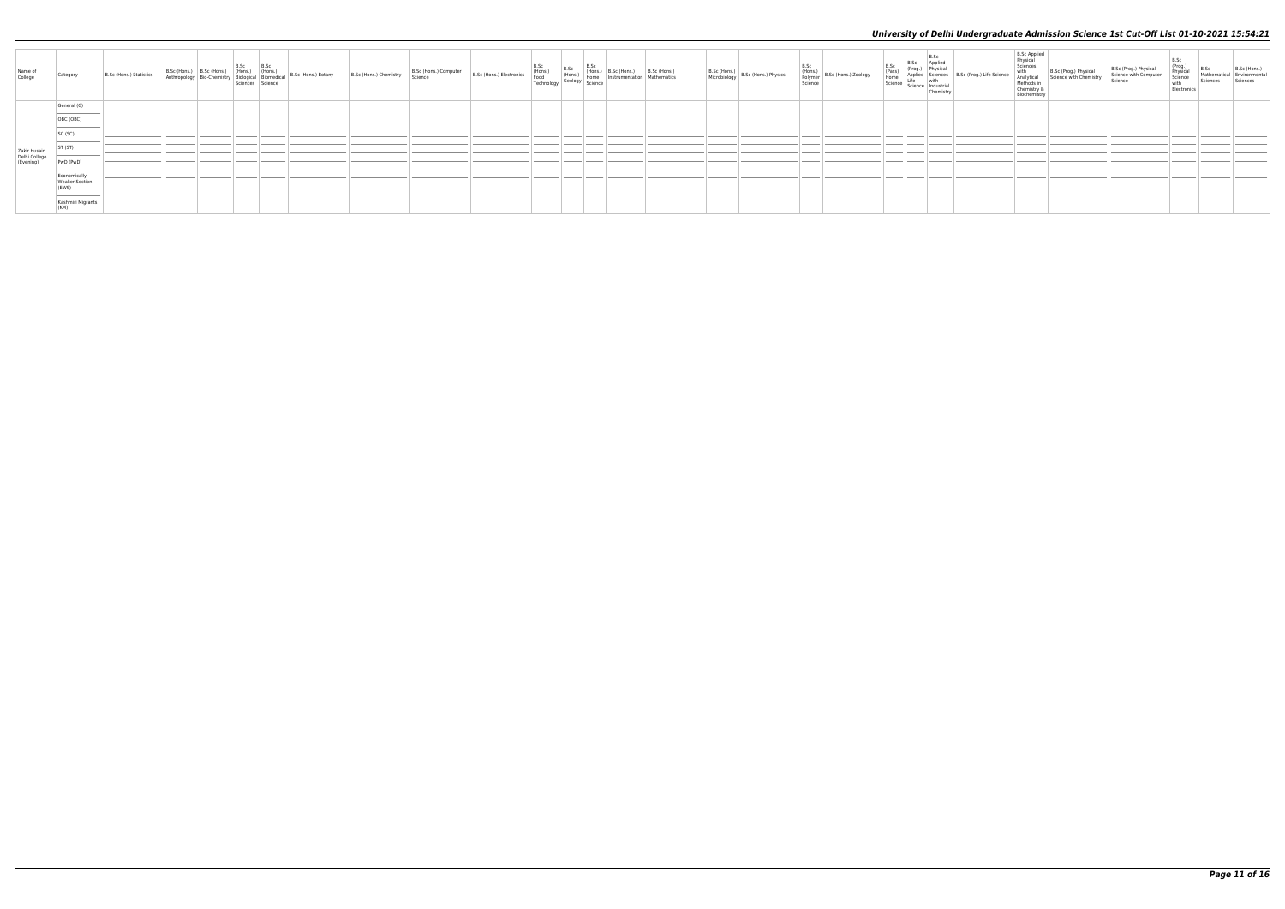| Name of<br>College                         | Category                                                                  | B.Sc (Hons.) Statistics |  | B.Sc (Hons.) B.Sc (Hons.) B.Sc (B.Sc (Hons.) (Hons.) B.Sc (Hons.) (Hons.) Bio-Chemistry Biological Biomedical Science | B.Sc (Hons.) Botany | B.Sc (Hons.) Chemistry | B.Sc (Hons.) Computer   B.Sc (Hons.) Electronics | B.Sc<br>(Hons.)<br>Food<br>Technology | B.Sc Hons.)<br>(Hons.) (Hons.)<br>Geology Home<br>Science | ) B.Sc (Hons.)<br>Instrumentation | B.Sc (Hons.)<br>Mathematics | B.Sc (Hons.)<br>Microbiology B.Sc (Hons.) Physics | B.Sc<br>(Hons.)<br>Polymer B.Sc (Hons.) Zoology<br>Science | B.Sc<br>(Pass)<br>Home<br>Science | B.Sc<br>B.Sc Applied<br>(Prog.) Physical<br>Applied Sciences<br>Life with<br>Science Industrial<br>Chemistry | B.Sc (Prog.) Life Science | <b>B.Sc Applied</b><br>Physical<br>Sciences<br>with<br>Analytical<br>Methods i<br>Chemistry<br>Biochemist | Science with Chemistry | Science | (Prog.)<br>Physical<br>Science<br>with<br>Electronic | B.Sc<br>Mathematio<br>Sciences | B.Sc (Hons.<br>Environmenta |
|--------------------------------------------|---------------------------------------------------------------------------|-------------------------|--|-----------------------------------------------------------------------------------------------------------------------|---------------------|------------------------|--------------------------------------------------|---------------------------------------|-----------------------------------------------------------|-----------------------------------|-----------------------------|---------------------------------------------------|------------------------------------------------------------|-----------------------------------|--------------------------------------------------------------------------------------------------------------|---------------------------|-----------------------------------------------------------------------------------------------------------|------------------------|---------|------------------------------------------------------|--------------------------------|-----------------------------|
|                                            | General (G)<br>the control of the control of the control of               |                         |  |                                                                                                                       |                     |                        |                                                  |                                       |                                                           |                                   |                             |                                                   |                                                            |                                   |                                                                                                              |                           |                                                                                                           |                        |         |                                                      |                                |                             |
|                                            | OBC (OBC)                                                                 |                         |  |                                                                                                                       |                     |                        |                                                  |                                       |                                                           |                                   |                             |                                                   |                                                            |                                   |                                                                                                              |                           |                                                                                                           |                        |         |                                                      |                                |                             |
|                                            | SC (SC)                                                                   |                         |  |                                                                                                                       |                     |                        |                                                  |                                       |                                                           |                                   |                             |                                                   |                                                            |                                   |                                                                                                              |                           |                                                                                                           |                        |         |                                                      |                                |                             |
|                                            | ST <sub>(ST)</sub>                                                        |                         |  |                                                                                                                       |                     |                        |                                                  |                                       |                                                           |                                   |                             |                                                   |                                                            |                                   |                                                                                                              |                           |                                                                                                           |                        |         |                                                      |                                |                             |
| Zakir Husain<br>Delhi College<br>(Evening) | PwD (PwD)                                                                 |                         |  |                                                                                                                       |                     |                        |                                                  |                                       |                                                           |                                   |                             |                                                   |                                                            |                                   |                                                                                                              |                           |                                                                                                           |                        |         |                                                      |                                |                             |
|                                            | Economically<br>Weaker Section<br>(EWS)                                   |                         |  |                                                                                                                       |                     |                        |                                                  |                                       |                                                           |                                   |                             |                                                   |                                                            |                                   |                                                                                                              |                           |                                                                                                           |                        |         |                                                      |                                |                             |
|                                            | the control of the control of the control of<br>Kashmiri Migrants<br>(KM) |                         |  |                                                                                                                       |                     |                        |                                                  |                                       |                                                           |                                   |                             |                                                   |                                                            |                                   |                                                                                                              |                           |                                                                                                           |                        |         |                                                      |                                |                             |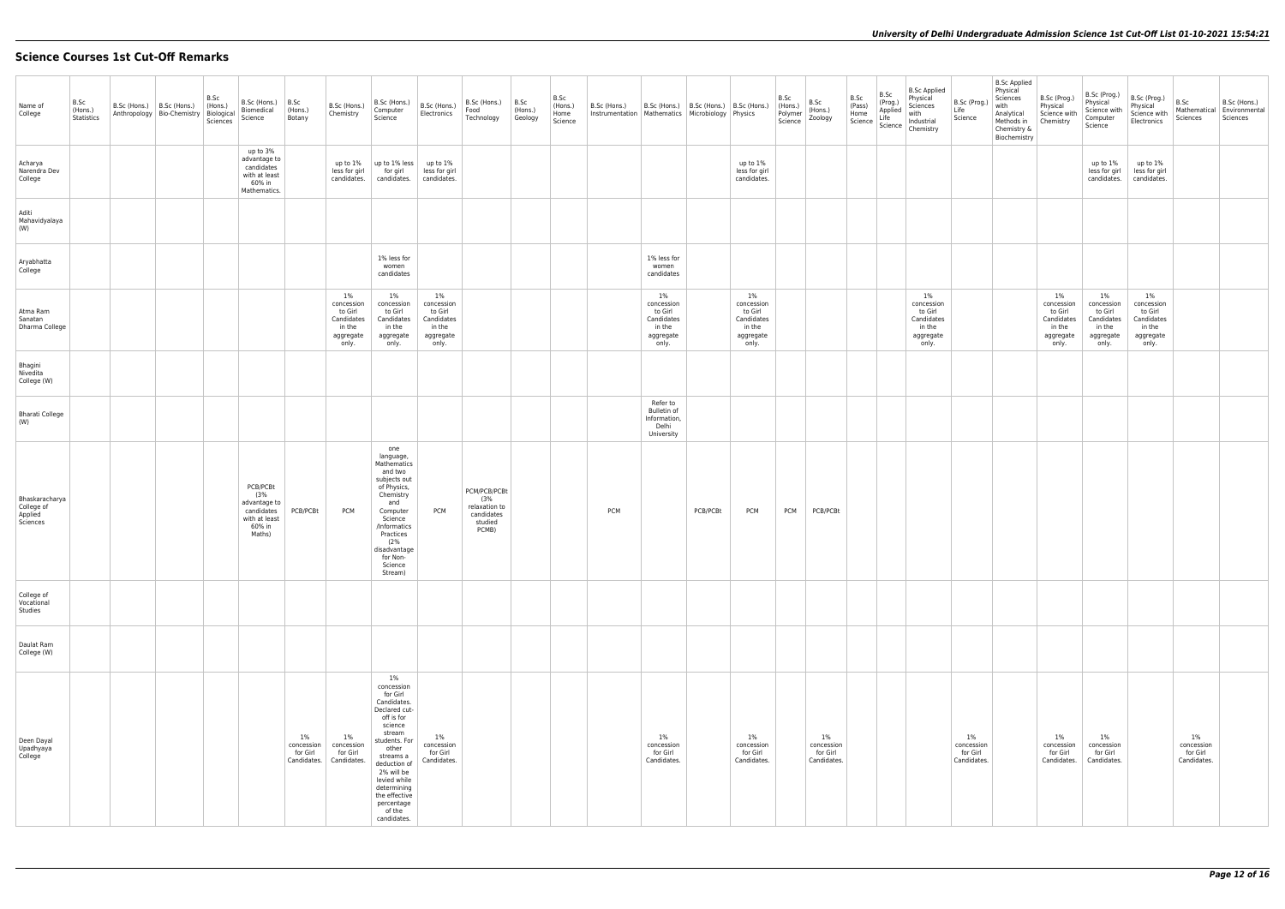# **Science Courses 1st Cut-Off Remarks**

| Name of<br>College                                  | B.Sc<br>(Hons.)<br>Statistics | $B.Sc$ (Hons.) $ B.Sc$ (Hons.)<br>Anthropology   Bio-Chemistry   Biological | B.Sc<br>(Hons.)<br>Sciences | B.Sc (Hons.)<br>Biomedical<br>Science                                              | B.Sc<br>(Hons.)<br>Botany                      | B.Sc (Hons.)<br>Chemistry                                                    | B.Sc (Hons.)<br>Computer<br>Science                                                                                                                                                                                                                            | B.Sc (Hons.)<br>Electronics                                               | B.Sc (Hons.)<br>Food<br>Technology                                     | B.Sc<br>(Hons.)<br>Geology | B.Sc<br>(Hons.)<br>Home<br>Science | B.Sc (Hons.)<br>Instrumentation   Mathematics   Microbiology   Physics | B.Sc (Hons.)   B.Sc (Hons.)   B.Sc (Hons.)                                   |          |                                                                           | B.Sc<br>(Hons.)<br>Polymer<br>Science | B.Sc<br>(Hons.)<br>Zoology                     | B.Sc<br>(Pass) | B.Sc<br>(Prog.)<br>Applied<br>Life<br>Home<br>Science   Life<br>Science   Industrial<br>Chemistry | <b>B.Sc Applied</b><br>Physical<br>Sciences                               | B.Sc (Prog.<br>Life<br>Science                 | <b>B.Sc Applied</b><br>Physical<br>Sciences<br>with<br>Analytical<br>Methods in<br>Chemistry &<br>Biochemistry | B.Sc (Prog.)<br>Physical<br>Science with<br>Chemistry                        | B.Sc (Prog.)<br>Physical<br>Science with<br>Computer<br>Science              | B.Sc (Prog.)<br>Physical<br>Science with<br>Electronics                      | B.Sc<br>Mathematical<br>Sciences               | B.Sc (Hons.)<br>Environmental<br>Sciences |
|-----------------------------------------------------|-------------------------------|-----------------------------------------------------------------------------|-----------------------------|------------------------------------------------------------------------------------|------------------------------------------------|------------------------------------------------------------------------------|----------------------------------------------------------------------------------------------------------------------------------------------------------------------------------------------------------------------------------------------------------------|---------------------------------------------------------------------------|------------------------------------------------------------------------|----------------------------|------------------------------------|------------------------------------------------------------------------|------------------------------------------------------------------------------|----------|---------------------------------------------------------------------------|---------------------------------------|------------------------------------------------|----------------|---------------------------------------------------------------------------------------------------|---------------------------------------------------------------------------|------------------------------------------------|----------------------------------------------------------------------------------------------------------------|------------------------------------------------------------------------------|------------------------------------------------------------------------------|------------------------------------------------------------------------------|------------------------------------------------|-------------------------------------------|
| Acharya<br>Narendra Dev<br>College                  |                               |                                                                             |                             | up to 3%<br>advantage to<br>candidates<br>with at least<br>60% in<br>Mathematics.  |                                                | up to 1%<br>less for girl<br>candidates.                                     | up to 1% less<br>for girl<br>candidates.                                                                                                                                                                                                                       | up to 1%<br>less for girl<br>candidates.                                  |                                                                        |                            |                                    |                                                                        |                                                                              |          | up to 1%<br>less for girl<br>candidates.                                  |                                       |                                                |                |                                                                                                   |                                                                           |                                                |                                                                                                                |                                                                              | up to 1%<br>less for girl<br>candidates.                                     | up to 1%<br>less for girl<br>candidates.                                     |                                                |                                           |
| Aditi<br>Mahavidyalaya<br>(W)                       |                               |                                                                             |                             |                                                                                    |                                                |                                                                              |                                                                                                                                                                                                                                                                |                                                                           |                                                                        |                            |                                    |                                                                        |                                                                              |          |                                                                           |                                       |                                                |                |                                                                                                   |                                                                           |                                                |                                                                                                                |                                                                              |                                                                              |                                                                              |                                                |                                           |
| Aryabhatta<br>College                               |                               |                                                                             |                             |                                                                                    |                                                |                                                                              | 1% less for<br>women<br>candidates                                                                                                                                                                                                                             |                                                                           |                                                                        |                            |                                    |                                                                        | 1% less for<br>women<br>candidates                                           |          |                                                                           |                                       |                                                |                |                                                                                                   |                                                                           |                                                |                                                                                                                |                                                                              |                                                                              |                                                                              |                                                |                                           |
| Atma Ram<br>Sanatan<br>Dharma College               |                               |                                                                             |                             |                                                                                    |                                                | $1\%$<br>concession<br>to Girl<br>Candidates<br>in the<br>aggregate<br>only. | 1%<br>concession<br>to Girl<br>Candidates<br>in the<br>aggregate<br>only.                                                                                                                                                                                      | 1%<br>concession<br>to Girl<br>Candidates<br>in the<br>aggregate<br>only. |                                                                        |                            |                                    |                                                                        | $1\%$<br>concession<br>to Girl<br>Candidates<br>in the<br>aggregate<br>only. |          | 1%<br>concession<br>to Girl<br>Candidates<br>in the<br>aggregate<br>only. |                                       |                                                |                |                                                                                                   | 1%<br>concession<br>to Girl<br>Candidates<br>in the<br>aggregate<br>only. |                                                |                                                                                                                | $1\%$<br>concession<br>to Girl<br>Candidates<br>in the<br>aggregate<br>only. | $1\%$<br>concession<br>to Girl<br>Candidates<br>in the<br>aggregate<br>only. | $1\%$<br>concession<br>to Girl<br>Candidates<br>in the<br>aggregate<br>only. |                                                |                                           |
| Bhagini<br>Nivedita<br>College (W)                  |                               |                                                                             |                             |                                                                                    |                                                |                                                                              |                                                                                                                                                                                                                                                                |                                                                           |                                                                        |                            |                                    |                                                                        |                                                                              |          |                                                                           |                                       |                                                |                |                                                                                                   |                                                                           |                                                |                                                                                                                |                                                                              |                                                                              |                                                                              |                                                |                                           |
| <b>Bharati College</b><br>(W)                       |                               |                                                                             |                             |                                                                                    |                                                |                                                                              |                                                                                                                                                                                                                                                                |                                                                           |                                                                        |                            |                                    |                                                                        | Refer to<br>Bulletin of<br>Information,<br>Delhi<br>University               |          |                                                                           |                                       |                                                |                |                                                                                                   |                                                                           |                                                |                                                                                                                |                                                                              |                                                                              |                                                                              |                                                |                                           |
| Bhaskaracharya<br>College of<br>Applied<br>Sciences |                               |                                                                             |                             | PCB/PCBt<br>(3%<br>advantage to<br>candidates<br>with at least<br>60% in<br>Maths) | PCB/PCBt                                       | <b>PCM</b>                                                                   | one<br>language,<br>Mathematics<br>and two<br>subjects out<br>of Physics,<br>Chemistry<br>and<br>Computer<br>Science<br>/Informatics<br>Practices<br>(2%<br>disadvantage<br>for Non-<br>Science<br>Stream)                                                     | <b>PCM</b>                                                                | PCM/PCB/PCBt<br>(3%<br>relaxation to<br>candidates<br>studied<br>PCMB) |                            |                                    | PCM                                                                    |                                                                              | PCB/PCBt | <b>PCM</b>                                                                | <b>PCM</b>                            | PCB/PCBt                                       |                |                                                                                                   |                                                                           |                                                |                                                                                                                |                                                                              |                                                                              |                                                                              |                                                |                                           |
| College of<br>Vocational<br>Studies                 |                               |                                                                             |                             |                                                                                    |                                                |                                                                              |                                                                                                                                                                                                                                                                |                                                                           |                                                                        |                            |                                    |                                                                        |                                                                              |          |                                                                           |                                       |                                                |                |                                                                                                   |                                                                           |                                                |                                                                                                                |                                                                              |                                                                              |                                                                              |                                                |                                           |
| Daulat Ram<br>College (W)                           |                               |                                                                             |                             |                                                                                    |                                                |                                                                              |                                                                                                                                                                                                                                                                |                                                                           |                                                                        |                            |                                    |                                                                        |                                                                              |          |                                                                           |                                       |                                                |                |                                                                                                   |                                                                           |                                                |                                                                                                                |                                                                              |                                                                              |                                                                              |                                                |                                           |
| Deen Dayal<br>Upadhyaya<br>College                  |                               |                                                                             |                             |                                                                                    | $1\%$<br>concession<br>for Girl<br>Candidates. | 1%<br>concession<br>for Girl<br>Candidates.                                  | $1\%$<br>concession<br>for Girl<br>Candidates.<br>Declared cut-<br>off is for<br>science<br>stream<br>students. For<br>other<br>streams a<br>deduction of<br>2% will be<br>levied while<br>determining<br>the effective<br>percentage<br>of the<br>candidates. | $1\%$<br>concession<br>for Girl<br>Candidates.                            |                                                                        |                            |                                    |                                                                        | 1%<br>concession<br>for Girl<br>Candidates.                                  |          | 1%<br>concession<br>for Girl<br>Candidates.                               |                                       | $1\%$<br>concession<br>for Girl<br>Candidates. |                |                                                                                                   |                                                                           | $1\%$<br>concession<br>for Girl<br>Candidates. |                                                                                                                | $1\%$<br>concession<br>for Girl<br>Candidates.                               | 1%<br>concession<br>for Girl<br>Candidates.                                  |                                                                              | $1\%$<br>concession<br>for Girl<br>Candidates. |                                           |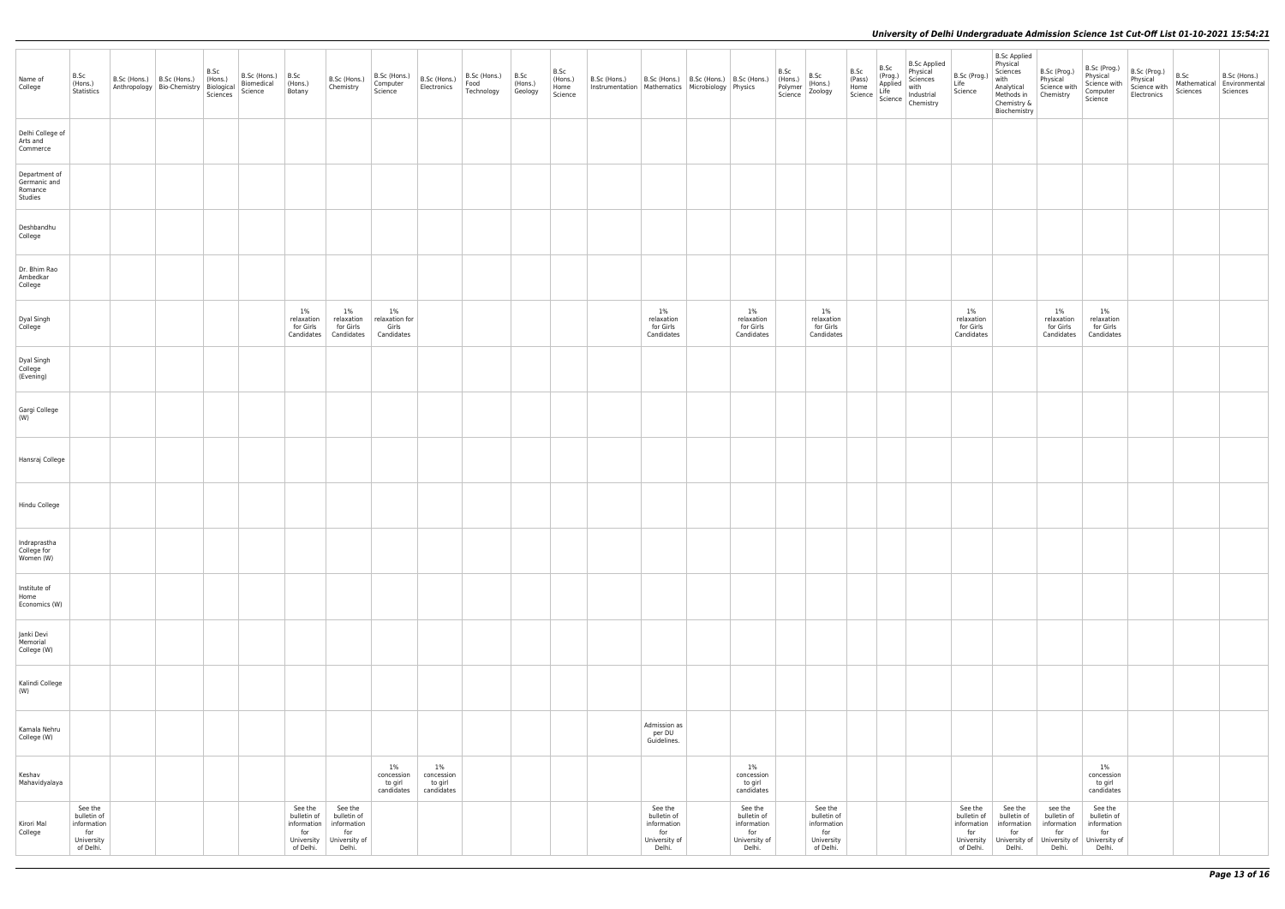| Name of<br>College                                  | B.Sc<br>(Hons.)<br>Statistics                                           | B.Sc (Hons.)   B.Sc (Hons.) | Anthropology Bio-Chemistry Biological<br>Sciences | B.Sc<br>(Hons.) | B.Sc (Hons.)<br>Biomedical<br>Science | B.Sc<br>(Hons.)<br>Botany                                               | B.Sc (Hons.)<br>Chemistry                                               | B.Sc (Hons.)<br>Computer<br>Science            | B.Sc (Hons.)<br>Electronics                  | B.Sc (Hons.)<br>Food<br>Technology | B.Sc<br>(Hons.)<br>Geology | B.Sc<br>(Hons.)<br>Home<br>Science | B.Sc (Hons.)<br>Instrumentation Mathematics Microbiology Physics | B.Sc (Hons.)   B.Sc (Hons.)   B.Sc (Hons.)                              |                                                                         | B.Sc<br>(Hons.)<br>Polymer<br>Science | B.Sc<br>(Hons.)<br>Zoology                                              | B.Sc<br>(Pass)<br>Home<br>Science | B.Sc<br>(Prog.)<br>Applied<br>Life<br>Science | <b>B.Sc Applied</b><br>Physical<br>Sciences<br>with<br>Industrial<br>Chemistry | B.Sc (P<br>Life<br>Science                            |
|-----------------------------------------------------|-------------------------------------------------------------------------|-----------------------------|---------------------------------------------------|-----------------|---------------------------------------|-------------------------------------------------------------------------|-------------------------------------------------------------------------|------------------------------------------------|----------------------------------------------|------------------------------------|----------------------------|------------------------------------|------------------------------------------------------------------|-------------------------------------------------------------------------|-------------------------------------------------------------------------|---------------------------------------|-------------------------------------------------------------------------|-----------------------------------|-----------------------------------------------|--------------------------------------------------------------------------------|-------------------------------------------------------|
| Delhi College of<br>Arts and<br>Commerce            |                                                                         |                             |                                                   |                 |                                       |                                                                         |                                                                         |                                                |                                              |                                    |                            |                                    |                                                                  |                                                                         |                                                                         |                                       |                                                                         |                                   |                                               |                                                                                |                                                       |
| Department of<br>Germanic and<br>Romance<br>Studies |                                                                         |                             |                                                   |                 |                                       |                                                                         |                                                                         |                                                |                                              |                                    |                            |                                    |                                                                  |                                                                         |                                                                         |                                       |                                                                         |                                   |                                               |                                                                                |                                                       |
| Deshbandhu<br>College                               |                                                                         |                             |                                                   |                 |                                       |                                                                         |                                                                         |                                                |                                              |                                    |                            |                                    |                                                                  |                                                                         |                                                                         |                                       |                                                                         |                                   |                                               |                                                                                |                                                       |
| Dr. Bhim Rao<br>Ambedkar<br>College                 |                                                                         |                             |                                                   |                 |                                       |                                                                         |                                                                         |                                                |                                              |                                    |                            |                                    |                                                                  |                                                                         |                                                                         |                                       |                                                                         |                                   |                                               |                                                                                |                                                       |
| Dyal Singh<br>College                               |                                                                         |                             |                                                   |                 |                                       | 1%<br>relaxation<br>for Girls<br>Candidates                             | $1\%$<br>relaxation<br>for Girls<br>Candidates                          | $1\%$<br>relaxation for<br>Girls<br>Candidates |                                              |                                    |                            |                                    |                                                                  | $1\%$<br>relaxation<br>for Girls<br>Candidates                          | $1\%$<br>relaxation<br>for Girls<br>Candidates                          |                                       | $1\%$<br>relaxation<br>for Girls<br>Candidates                          |                                   |                                               |                                                                                | 1%<br>relaxa<br>for Gi<br>Candid                      |
| Dyal Singh<br>College<br>(Evening)                  |                                                                         |                             |                                                   |                 |                                       |                                                                         |                                                                         |                                                |                                              |                                    |                            |                                    |                                                                  |                                                                         |                                                                         |                                       |                                                                         |                                   |                                               |                                                                                |                                                       |
| Gargi College<br>(W)                                |                                                                         |                             |                                                   |                 |                                       |                                                                         |                                                                         |                                                |                                              |                                    |                            |                                    |                                                                  |                                                                         |                                                                         |                                       |                                                                         |                                   |                                               |                                                                                |                                                       |
| Hansraj College                                     |                                                                         |                             |                                                   |                 |                                       |                                                                         |                                                                         |                                                |                                              |                                    |                            |                                    |                                                                  |                                                                         |                                                                         |                                       |                                                                         |                                   |                                               |                                                                                |                                                       |
| Hindu College                                       |                                                                         |                             |                                                   |                 |                                       |                                                                         |                                                                         |                                                |                                              |                                    |                            |                                    |                                                                  |                                                                         |                                                                         |                                       |                                                                         |                                   |                                               |                                                                                |                                                       |
| Indraprastha<br>College for<br>Women (W)            |                                                                         |                             |                                                   |                 |                                       |                                                                         |                                                                         |                                                |                                              |                                    |                            |                                    |                                                                  |                                                                         |                                                                         |                                       |                                                                         |                                   |                                               |                                                                                |                                                       |
| Institute of<br>Home<br>Economics (W)               |                                                                         |                             |                                                   |                 |                                       |                                                                         |                                                                         |                                                |                                              |                                    |                            |                                    |                                                                  |                                                                         |                                                                         |                                       |                                                                         |                                   |                                               |                                                                                |                                                       |
| Janki Devi<br>Memorial<br>College (W)               |                                                                         |                             |                                                   |                 |                                       |                                                                         |                                                                         |                                                |                                              |                                    |                            |                                    |                                                                  |                                                                         |                                                                         |                                       |                                                                         |                                   |                                               |                                                                                |                                                       |
| Kalindi College<br>(W)                              |                                                                         |                             |                                                   |                 |                                       |                                                                         |                                                                         |                                                |                                              |                                    |                            |                                    |                                                                  |                                                                         |                                                                         |                                       |                                                                         |                                   |                                               |                                                                                |                                                       |
| Kamala Nehru<br>College (W)                         |                                                                         |                             |                                                   |                 |                                       |                                                                         |                                                                         |                                                |                                              |                                    |                            |                                    |                                                                  | Admission as<br>per DU<br>Guidelines.                                   |                                                                         |                                       |                                                                         |                                   |                                               |                                                                                |                                                       |
| Keshav<br>Mahavidyalaya                             |                                                                         |                             |                                                   |                 |                                       |                                                                         |                                                                         | 1%<br>concession<br>to girl<br>candidates      | $1\%$<br>concession<br>to girl<br>candidates |                                    |                            |                                    |                                                                  |                                                                         | 1%<br>concession<br>to girl<br>candidates                               |                                       |                                                                         |                                   |                                               |                                                                                |                                                       |
| Kirori Mal<br>College                               | See the<br>bulletin of<br>information<br>for<br>University<br>of Delhi. |                             |                                                   |                 |                                       | See the<br>bulletin of<br>information<br>for<br>University<br>of Delhi. | See the<br>bulletin of<br>information<br>for<br>University of<br>Delhi. |                                                |                                              |                                    |                            |                                    |                                                                  | See the<br>bulletin of<br>information<br>for<br>University of<br>Delhi. | See the<br>bulletin of<br>information<br>for<br>University of<br>Delhi. |                                       | See the<br>bulletin of<br>information<br>for<br>University<br>of Delhi. |                                   |                                               |                                                                                | See t<br>bulleti<br>informa<br>for<br>Univer<br>of De |

| B.Sc (Prog.)<br>Life<br>Science                                         | Physical<br>Sciences<br>with<br>Analytical<br>Methods in<br>Chemistry &<br>Biochemistry | B.Sc (Prog.)<br>Physical<br>Science with<br>Chemistry                   | B.Sc (Prog.)<br>Physical<br>Science with<br>Computer<br>Science         | B.Sc (Prog.)<br>Physical<br>Science with<br>Electronics | B.Sc<br>Mathematical<br>Sciences | B.Sc (Hons.)<br>Environmental<br>Sciences |
|-------------------------------------------------------------------------|-----------------------------------------------------------------------------------------|-------------------------------------------------------------------------|-------------------------------------------------------------------------|---------------------------------------------------------|----------------------------------|-------------------------------------------|
|                                                                         |                                                                                         |                                                                         |                                                                         |                                                         |                                  |                                           |
|                                                                         |                                                                                         |                                                                         |                                                                         |                                                         |                                  |                                           |
|                                                                         |                                                                                         |                                                                         |                                                                         |                                                         |                                  |                                           |
|                                                                         |                                                                                         |                                                                         |                                                                         |                                                         |                                  |                                           |
| 1%<br>relaxation<br>for Girls<br>Candidates                             |                                                                                         | 1%<br>relaxation<br>for Girls<br>Candidates                             | 1%<br>relaxation<br>for Girls<br>Candidates                             |                                                         |                                  |                                           |
|                                                                         |                                                                                         |                                                                         |                                                                         |                                                         |                                  |                                           |
|                                                                         |                                                                                         |                                                                         |                                                                         |                                                         |                                  |                                           |
|                                                                         |                                                                                         |                                                                         |                                                                         |                                                         |                                  |                                           |
|                                                                         |                                                                                         |                                                                         |                                                                         |                                                         |                                  |                                           |
|                                                                         |                                                                                         |                                                                         |                                                                         |                                                         |                                  |                                           |
|                                                                         |                                                                                         |                                                                         |                                                                         |                                                         |                                  |                                           |
|                                                                         |                                                                                         |                                                                         |                                                                         |                                                         |                                  |                                           |
|                                                                         |                                                                                         |                                                                         |                                                                         |                                                         |                                  |                                           |
|                                                                         |                                                                                         |                                                                         |                                                                         |                                                         |                                  |                                           |
|                                                                         |                                                                                         |                                                                         | 1%<br>concession<br>to girl<br>candidates                               |                                                         |                                  |                                           |
| See the<br>bulletin of<br>information<br>for<br>University<br>of Delhi. | See the<br>bulletin of<br>information<br>for<br>University of<br>Delhi.                 | see the<br>bulletin of<br>information<br>for<br>University of<br>Delhi. | See the<br>bulletin of<br>information<br>for<br>University of<br>Delhi. |                                                         |                                  |                                           |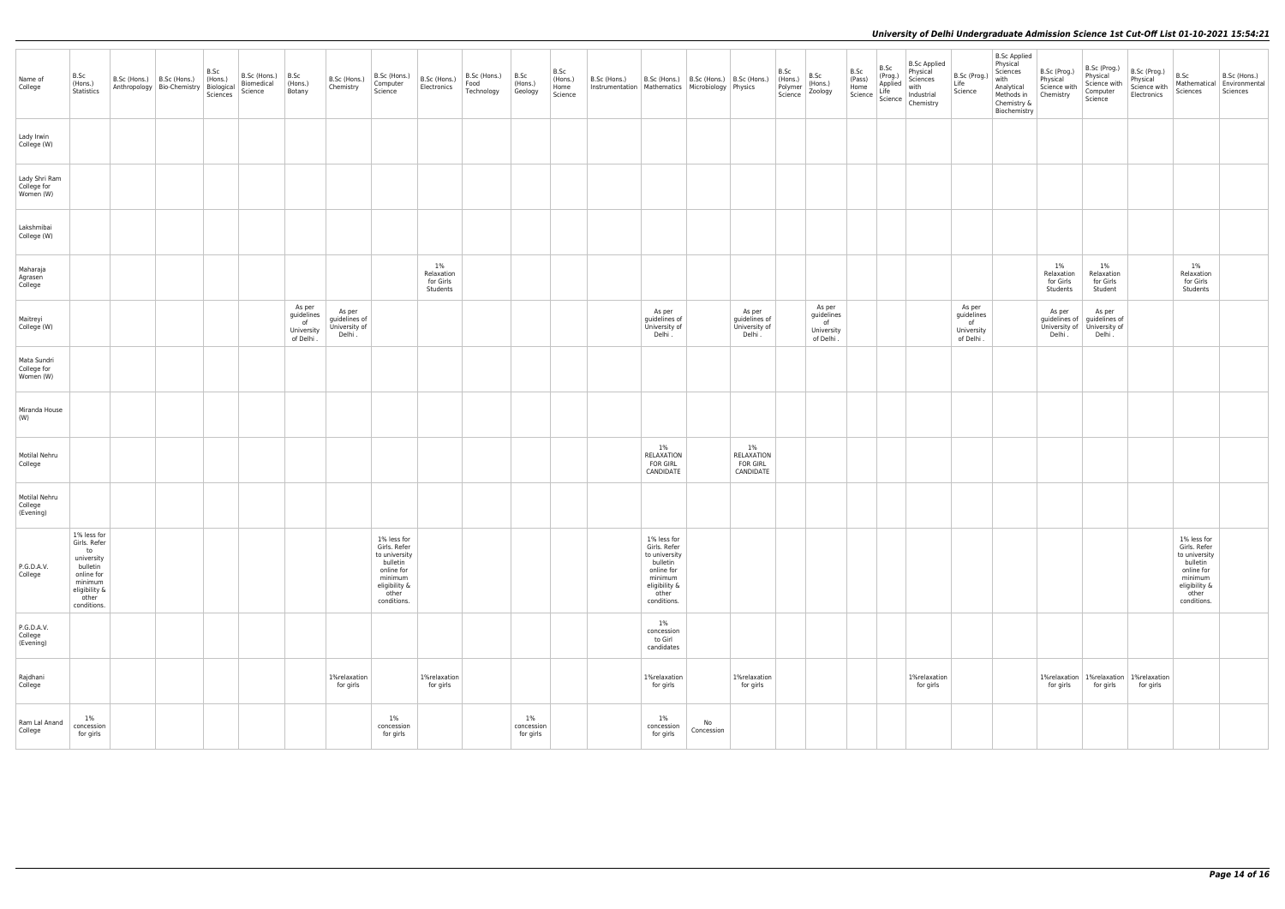| Name of<br>College                                             | B.Sc<br>(Hons.)<br>Statistics                                                                                                 | $B.Sc$ (Hons.) $ B.Sc$ (Hons.)<br>Anthropology   Bio-Chemistry   Biological | B.Sc<br>$ $ (Hons.)<br>Sciences | B.Sc (Hons.)<br>Biomedical<br>Science | B.Sc<br>(Hons.)<br>Botany                            | B.Sc (Hons.)<br>Chemistry                          | B.Sc (Hons.)<br>Computer<br>Science                                                                                        | B.Sc (Hons.)<br>Electronics               | B.Sc (Hons.)<br>Food<br>Technology | B.Sc<br>(Hons.)<br>Geology    | B.Sc<br>(Hons.)<br>Home<br>Science | B.Sc (Hons.)<br>Instrumentation   Mathematics   Microbiology   Physics |                                                                                                                            | B.Sc (Hons.)   B.Sc (Hons.)   B.Sc (Hons.) |                                                     | B.Sc<br>(Hons.)<br>Polymer<br>Science | B.Sc<br>(Hons.)<br>Zoology                            | B.Sc<br>(Pass)<br>$\begin{array}{ c c }\n\hline\n\text{Home} \\ \text{Science}\n\end{array}$ | B.Sc<br>(Prog.)<br>Applied<br>Life<br>Science | <b>B.Sc Applied</b><br>Physical<br>Sciences<br>with<br>Industrial<br>Chemistry | B.Sc (Prog.)<br>Life<br>Science                       | <b>B.Sc Applied</b><br>Physical<br>Sciences<br>with<br>Analytical<br>Methods in<br>Chemistry &<br>Biochemistry | B.Sc (Prog.)<br>Physical<br>Science with<br>Chemistry | B.Sc (Prog.)<br>Physical<br>Science with<br>Computer<br>Science | B.Sc (Prog.)<br>Physical<br>Science with<br>Electronics | B.Sc<br>Mathematical<br>Sciences                                                                                           | B.Sc (Hons.)<br>Environmental<br>Sciences |
|----------------------------------------------------------------|-------------------------------------------------------------------------------------------------------------------------------|-----------------------------------------------------------------------------|---------------------------------|---------------------------------------|------------------------------------------------------|----------------------------------------------------|----------------------------------------------------------------------------------------------------------------------------|-------------------------------------------|------------------------------------|-------------------------------|------------------------------------|------------------------------------------------------------------------|----------------------------------------------------------------------------------------------------------------------------|--------------------------------------------|-----------------------------------------------------|---------------------------------------|-------------------------------------------------------|----------------------------------------------------------------------------------------------|-----------------------------------------------|--------------------------------------------------------------------------------|-------------------------------------------------------|----------------------------------------------------------------------------------------------------------------|-------------------------------------------------------|-----------------------------------------------------------------|---------------------------------------------------------|----------------------------------------------------------------------------------------------------------------------------|-------------------------------------------|
| Lady Irwin<br>College (W)                                      |                                                                                                                               |                                                                             |                                 |                                       |                                                      |                                                    |                                                                                                                            |                                           |                                    |                               |                                    |                                                                        |                                                                                                                            |                                            |                                                     |                                       |                                                       |                                                                                              |                                               |                                                                                |                                                       |                                                                                                                |                                                       |                                                                 |                                                         |                                                                                                                            |                                           |
| Lady Shri Ram<br>College for<br>Women (W)                      |                                                                                                                               |                                                                             |                                 |                                       |                                                      |                                                    |                                                                                                                            |                                           |                                    |                               |                                    |                                                                        |                                                                                                                            |                                            |                                                     |                                       |                                                       |                                                                                              |                                               |                                                                                |                                                       |                                                                                                                |                                                       |                                                                 |                                                         |                                                                                                                            |                                           |
| Lakshmibai<br>College (W)                                      |                                                                                                                               |                                                                             |                                 |                                       |                                                      |                                                    |                                                                                                                            |                                           |                                    |                               |                                    |                                                                        |                                                                                                                            |                                            |                                                     |                                       |                                                       |                                                                                              |                                               |                                                                                |                                                       |                                                                                                                |                                                       |                                                                 |                                                         |                                                                                                                            |                                           |
| Maharaja<br>Agrasen<br>College                                 |                                                                                                                               |                                                                             |                                 |                                       |                                                      |                                                    |                                                                                                                            | 1%<br>Relaxation<br>for Girls<br>Students |                                    |                               |                                    |                                                                        |                                                                                                                            |                                            |                                                     |                                       |                                                       |                                                                                              |                                               |                                                                                |                                                       |                                                                                                                | $1\%$<br>Relaxation<br>for Girls<br>Students          | 1%<br>Relaxation<br>for Girls<br>Student                        |                                                         | $1\%$<br>Relaxation<br>for Girls<br>Students                                                                               |                                           |
| Maitreyi<br>College (W)                                        |                                                                                                                               |                                                                             |                                 |                                       | As per<br>guidelines<br>of<br>University<br>of Delhi | As per<br>guidelines of<br>University of<br>Delhi. |                                                                                                                            |                                           |                                    |                               |                                    |                                                                        | As per<br>guidelines of<br>University of<br>Delhi.                                                                         |                                            | As per<br>guidelines of<br>University of<br>Delhi . |                                       | As per<br>guidelines<br>of<br>University<br>of Delhi. |                                                                                              |                                               |                                                                                | As per<br>guidelines<br>of<br>University<br>of Delhi. |                                                                                                                | As per<br>guidelines of<br>University of<br>Delhi.    | As per<br>guidelines of<br>University of<br>Delhi .             |                                                         |                                                                                                                            |                                           |
| Mata Sundri<br>College for<br>Women (W)                        |                                                                                                                               |                                                                             |                                 |                                       |                                                      |                                                    |                                                                                                                            |                                           |                                    |                               |                                    |                                                                        |                                                                                                                            |                                            |                                                     |                                       |                                                       |                                                                                              |                                               |                                                                                |                                                       |                                                                                                                |                                                       |                                                                 |                                                         |                                                                                                                            |                                           |
| Miranda House<br>(W)                                           |                                                                                                                               |                                                                             |                                 |                                       |                                                      |                                                    |                                                                                                                            |                                           |                                    |                               |                                    |                                                                        |                                                                                                                            |                                            |                                                     |                                       |                                                       |                                                                                              |                                               |                                                                                |                                                       |                                                                                                                |                                                       |                                                                 |                                                         |                                                                                                                            |                                           |
| Motilal Nehru<br>College                                       |                                                                                                                               |                                                                             |                                 |                                       |                                                      |                                                    |                                                                                                                            |                                           |                                    |                               |                                    |                                                                        | $1\%$<br>RELAXATION<br><b>FOR GIRL</b><br>CANDIDATE                                                                        |                                            | $1\%$<br>RELAXATION<br><b>FOR GIRL</b><br>CANDIDATE |                                       |                                                       |                                                                                              |                                               |                                                                                |                                                       |                                                                                                                |                                                       |                                                                 |                                                         |                                                                                                                            |                                           |
| Motilal Nehru<br>$\overline{\phantom{a}}$ College<br>(Evening) |                                                                                                                               |                                                                             |                                 |                                       |                                                      |                                                    |                                                                                                                            |                                           |                                    |                               |                                    |                                                                        |                                                                                                                            |                                            |                                                     |                                       |                                                       |                                                                                              |                                               |                                                                                |                                                       |                                                                                                                |                                                       |                                                                 |                                                         |                                                                                                                            |                                           |
| P.G.D.A.V.<br>College                                          | 1% less for<br>Girls. Refer<br>to<br>university<br>bulletin<br>online for<br>minimum<br>eligibility &<br>other<br>conditions. |                                                                             |                                 |                                       |                                                      |                                                    | 1% less for<br>Girls. Refer<br>to university<br>bulletin<br>online for<br>minimum<br>eligibility &<br>other<br>conditions. |                                           |                                    |                               |                                    |                                                                        | 1% less for<br>Girls. Refer<br>to university<br>bulletin<br>online for<br>minimum<br>eligibility &<br>other<br>conditions. |                                            |                                                     |                                       |                                                       |                                                                                              |                                               |                                                                                |                                                       |                                                                                                                |                                                       |                                                                 |                                                         | 1% less for<br>Girls. Refer<br>to university<br>bulletin<br>online for<br>minimum<br>eligibility &<br>other<br>conditions. |                                           |
| P.G.D.A.V.<br>College<br>(Evening)                             |                                                                                                                               |                                                                             |                                 |                                       |                                                      |                                                    |                                                                                                                            |                                           |                                    |                               |                                    |                                                                        | $1\%$<br>concession<br>to Girl<br>candidates                                                                               |                                            |                                                     |                                       |                                                       |                                                                                              |                                               |                                                                                |                                                       |                                                                                                                |                                                       |                                                                 |                                                         |                                                                                                                            |                                           |
| Rajdhani<br>College                                            |                                                                                                                               |                                                                             |                                 |                                       |                                                      | 1%relaxation<br>for girls                          |                                                                                                                            | 1%relaxation<br>for girls                 |                                    |                               |                                    |                                                                        | 1%relaxation<br>for girls                                                                                                  |                                            | 1%relaxation<br>for girls                           |                                       |                                                       |                                                                                              |                                               | 1%relaxation<br>for girls                                                      |                                                       |                                                                                                                | 1%relaxation<br>for girls                             | for girls                                                       | 1%relaxation   1%relaxation<br>for girls                |                                                                                                                            |                                           |
| Ram Lal Anand<br>College                                       | $1\%$<br>concession<br>for girls                                                                                              |                                                                             |                                 |                                       |                                                      |                                                    | 1%<br>concession<br>for girls                                                                                              |                                           |                                    | 1%<br>concession<br>for girls |                                    |                                                                        | 1%<br>concession<br>for girls                                                                                              | No<br>Concession                           |                                                     |                                       |                                                       |                                                                                              |                                               |                                                                                |                                                       |                                                                                                                |                                                       |                                                                 |                                                         |                                                                                                                            |                                           |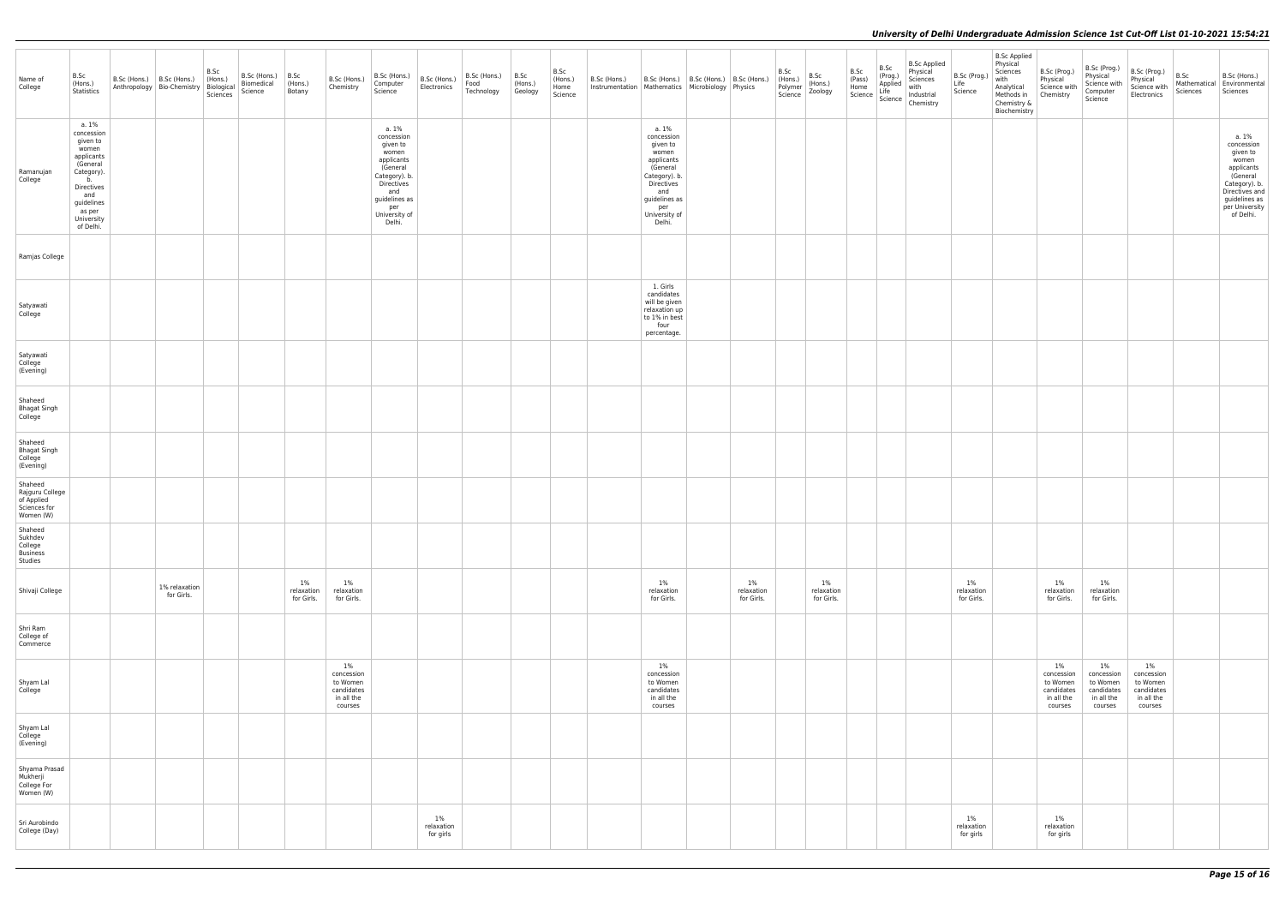| Name of<br>College                                                    | B.Sc<br>(Hons.)<br>Statistics                                                                                                                                  | $\vert$ B.Sc (Hons.) $\vert$ B.Sc (Hons.)<br>Anthropology Bio-Chemistry Biological<br>Sciences | B.Sc<br>$ $ (Hons.) | B.Sc (Hons.) $\begin{array}{ c c } \hline \text{B.Sc} \\ \hline \text{Biomedical} \\ \hline \end{array}$ (Hons.)<br>Science | Botany                         | B.Sc (Hons.)<br>Chemistry                                              | B.Sc (Hons.)<br>Computer<br>Science                                                                                                                         | B.Sc (Hons.)<br>Electronics      | B.Sc (Hons.)<br>Food<br>Technology | B.Sc<br>(Hons.)<br>Geology | B.Sc<br>$ $ (Hons.)<br>Home<br>Science | B.Sc (Hons.)<br>Instrumentation   Mathematics   Microbiology   Physics | B.Sc (Hons.)   B.Sc (Hons.)   B.Sc (Hons.)                                                                                                                  |                                | B.Sc<br>(Hons.)<br>Polymer<br>Science | B.Sc<br>B.Sc<br>(Pass)<br>(Hons.)<br>Zoology | B.Sc<br>(Prog.) | <b>B.Sc Applied</b><br>Physical<br>Sciences<br>(Pass)<br>Home<br>Science Life<br>Science Industrial<br>Science Industrial<br>Chemistry | B.Sc (Prog.)<br>Life<br>Science   | <b>B.Sc Applied</b><br>Physical<br>Sciences<br>with<br>Analytical<br>Methods in Chemistry<br>Chemistry &<br>Biochemistry | B.Sc (Prog.)<br>Physical<br>Science with                               | B.Sc (Prog.)<br>Physical<br>Science with<br>Computer<br>Science        | B.Sc (Prog.)<br>Physical<br>Science with<br>Electronics                | B.Sc<br>Sciences | B.Sc (Hons.)<br>Mathematical Environmental<br>Sciences                                                                                                |
|-----------------------------------------------------------------------|----------------------------------------------------------------------------------------------------------------------------------------------------------------|------------------------------------------------------------------------------------------------|---------------------|-----------------------------------------------------------------------------------------------------------------------------|--------------------------------|------------------------------------------------------------------------|-------------------------------------------------------------------------------------------------------------------------------------------------------------|----------------------------------|------------------------------------|----------------------------|----------------------------------------|------------------------------------------------------------------------|-------------------------------------------------------------------------------------------------------------------------------------------------------------|--------------------------------|---------------------------------------|----------------------------------------------|-----------------|----------------------------------------------------------------------------------------------------------------------------------------|-----------------------------------|--------------------------------------------------------------------------------------------------------------------------|------------------------------------------------------------------------|------------------------------------------------------------------------|------------------------------------------------------------------------|------------------|-------------------------------------------------------------------------------------------------------------------------------------------------------|
| Ramanujan<br>College                                                  | a. 1%<br>concession<br>given to<br>women<br>applicants<br>(General<br>Category).<br>b.<br>Directives<br>and<br>guidelines<br>as per<br>University<br>of Delhi. |                                                                                                |                     |                                                                                                                             |                                |                                                                        | a. 1%<br>concession<br>given to<br>women<br>applicants<br>(General<br>Category). b.<br>Directives<br>and<br>guidelines as<br>per<br>University of<br>Delhi. |                                  |                                    |                            |                                        |                                                                        | a. 1%<br>concession<br>given to<br>women<br>applicants<br>(General<br>Category). b.<br>Directives<br>and<br>guidelines as<br>per<br>University of<br>Delhi. |                                |                                       |                                              |                 |                                                                                                                                        |                                   |                                                                                                                          |                                                                        |                                                                        |                                                                        |                  | a. 1%<br>concession<br>given to<br>women<br>applicants<br>(General<br>Category). b.<br>Directives and<br>guidelines as<br>per University<br>of Delhi. |
| Ramjas College                                                        |                                                                                                                                                                |                                                                                                |                     |                                                                                                                             |                                |                                                                        |                                                                                                                                                             |                                  |                                    |                            |                                        |                                                                        |                                                                                                                                                             |                                |                                       |                                              |                 |                                                                                                                                        |                                   |                                                                                                                          |                                                                        |                                                                        |                                                                        |                  |                                                                                                                                                       |
| Satyawati<br>College                                                  |                                                                                                                                                                |                                                                                                |                     |                                                                                                                             |                                |                                                                        |                                                                                                                                                             |                                  |                                    |                            |                                        |                                                                        | 1. Girls<br>candidates<br>will be given<br>relaxation up<br>to 1% in best<br>four<br>percentage.                                                            |                                |                                       |                                              |                 |                                                                                                                                        |                                   |                                                                                                                          |                                                                        |                                                                        |                                                                        |                  |                                                                                                                                                       |
| Satyawati<br>College<br>(Evening)                                     |                                                                                                                                                                |                                                                                                |                     |                                                                                                                             |                                |                                                                        |                                                                                                                                                             |                                  |                                    |                            |                                        |                                                                        |                                                                                                                                                             |                                |                                       |                                              |                 |                                                                                                                                        |                                   |                                                                                                                          |                                                                        |                                                                        |                                                                        |                  |                                                                                                                                                       |
| Shaheed<br>Bhagat Singh<br>College                                    |                                                                                                                                                                |                                                                                                |                     |                                                                                                                             |                                |                                                                        |                                                                                                                                                             |                                  |                                    |                            |                                        |                                                                        |                                                                                                                                                             |                                |                                       |                                              |                 |                                                                                                                                        |                                   |                                                                                                                          |                                                                        |                                                                        |                                                                        |                  |                                                                                                                                                       |
| Shaheed<br><b>Bhagat Singh</b><br>College<br>(Evening)                |                                                                                                                                                                |                                                                                                |                     |                                                                                                                             |                                |                                                                        |                                                                                                                                                             |                                  |                                    |                            |                                        |                                                                        |                                                                                                                                                             |                                |                                       |                                              |                 |                                                                                                                                        |                                   |                                                                                                                          |                                                                        |                                                                        |                                                                        |                  |                                                                                                                                                       |
| Shaheed<br>Rajguru College<br>of Applied<br>Sciences for<br>Women (W) |                                                                                                                                                                |                                                                                                |                     |                                                                                                                             |                                |                                                                        |                                                                                                                                                             |                                  |                                    |                            |                                        |                                                                        |                                                                                                                                                             |                                |                                       |                                              |                 |                                                                                                                                        |                                   |                                                                                                                          |                                                                        |                                                                        |                                                                        |                  |                                                                                                                                                       |
| Shaheed<br>Sukhdev<br>College<br>Business<br>Studies                  |                                                                                                                                                                |                                                                                                |                     |                                                                                                                             |                                |                                                                        |                                                                                                                                                             |                                  |                                    |                            |                                        |                                                                        |                                                                                                                                                             |                                |                                       |                                              |                 |                                                                                                                                        |                                   |                                                                                                                          |                                                                        |                                                                        |                                                                        |                  |                                                                                                                                                       |
| Shivaji College                                                       |                                                                                                                                                                | 1% relaxation<br>for Girls.                                                                    |                     |                                                                                                                             | 1%<br>relaxation<br>for Girls. | $1\%$<br>relaxation<br>for Girls.                                      |                                                                                                                                                             |                                  |                                    |                            |                                        |                                                                        | 1%<br>relaxation<br>for Girls.                                                                                                                              | 1%<br>relaxation<br>for Girls. |                                       | $1\%$<br>relaxation<br>for Girls.            |                 |                                                                                                                                        | $1\%$<br>relaxation<br>for Girls. |                                                                                                                          | 1%<br>relaxation<br>for Girls.                                         | $1\%$<br>relaxation<br>for Girls.                                      |                                                                        |                  |                                                                                                                                                       |
| Shri Ram<br>College of<br>Commerce                                    |                                                                                                                                                                |                                                                                                |                     |                                                                                                                             |                                |                                                                        |                                                                                                                                                             |                                  |                                    |                            |                                        |                                                                        |                                                                                                                                                             |                                |                                       |                                              |                 |                                                                                                                                        |                                   |                                                                                                                          |                                                                        |                                                                        |                                                                        |                  |                                                                                                                                                       |
| Shyam Lal<br>College                                                  |                                                                                                                                                                |                                                                                                |                     |                                                                                                                             |                                | $1\%$<br>concession<br>to Women<br>candidates<br>in all the<br>courses |                                                                                                                                                             |                                  |                                    |                            |                                        |                                                                        | 1%<br>concession<br>to Women<br>candidates<br>in all the<br>courses                                                                                         |                                |                                       |                                              |                 |                                                                                                                                        |                                   |                                                                                                                          | $1\%$<br>concession<br>to Women<br>candidates<br>in all the<br>courses | $1\%$<br>concession<br>to Women<br>candidates<br>in all the<br>courses | $1\%$<br>concession<br>to Women<br>candidates<br>in all the<br>courses |                  |                                                                                                                                                       |
| Shyam Lal<br>College<br>(Evening)                                     |                                                                                                                                                                |                                                                                                |                     |                                                                                                                             |                                |                                                                        |                                                                                                                                                             |                                  |                                    |                            |                                        |                                                                        |                                                                                                                                                             |                                |                                       |                                              |                 |                                                                                                                                        |                                   |                                                                                                                          |                                                                        |                                                                        |                                                                        |                  |                                                                                                                                                       |
| Shyama Prasad<br>Mukherji<br>College For<br>Women (W)                 |                                                                                                                                                                |                                                                                                |                     |                                                                                                                             |                                |                                                                        |                                                                                                                                                             |                                  |                                    |                            |                                        |                                                                        |                                                                                                                                                             |                                |                                       |                                              |                 |                                                                                                                                        |                                   |                                                                                                                          |                                                                        |                                                                        |                                                                        |                  |                                                                                                                                                       |
| Sri Aurobindo<br>College (Day)                                        |                                                                                                                                                                |                                                                                                |                     |                                                                                                                             |                                |                                                                        |                                                                                                                                                             | $1\%$<br>relaxation<br>for girls |                                    |                            |                                        |                                                                        |                                                                                                                                                             |                                |                                       |                                              |                 |                                                                                                                                        | $1\%$<br>relaxation<br>for girls  |                                                                                                                          | 1%<br>relaxation<br>for girls                                          |                                                                        |                                                                        |                  |                                                                                                                                                       |